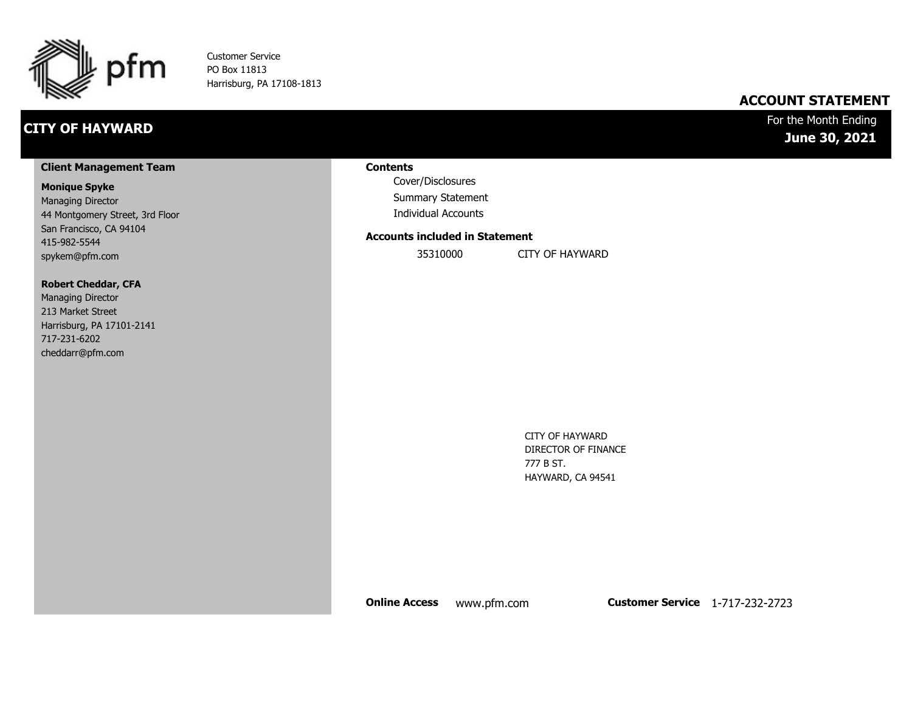

Customer Service PO Box 11813 Harrisburg, PA 17108-1813

## **CITY OF HAYWARD**

### **ACCOUNT STATEMENT**

### For the Month Ending **June 30, 2021**

#### **Client Management Team**

#### **Monique Spyke**

Managing Director 44 Montgomery Street, 3rd Floor San Francisco, CA 94104 415-982-5544 spykem@pfm.com

#### **Robert Cheddar, CFA**

| <b>Managing Director</b>  |
|---------------------------|
| 213 Market Street         |
| Harrisburg, PA 17101-2141 |
| 717-231-6202              |
| cheddarr@pfm.com          |

#### **Contents**

Cover/Disclosures Summary Statement Individual Accounts

#### **Accounts included in Statement**

35310000 CITY OF HAYWARD

CITY OF HAYWARD DIRECTOR OF FINANCE 777 B ST. HAYWARD, CA 94541

**Online Access** www.pfm.com **Customer Service** 1-717-232-2723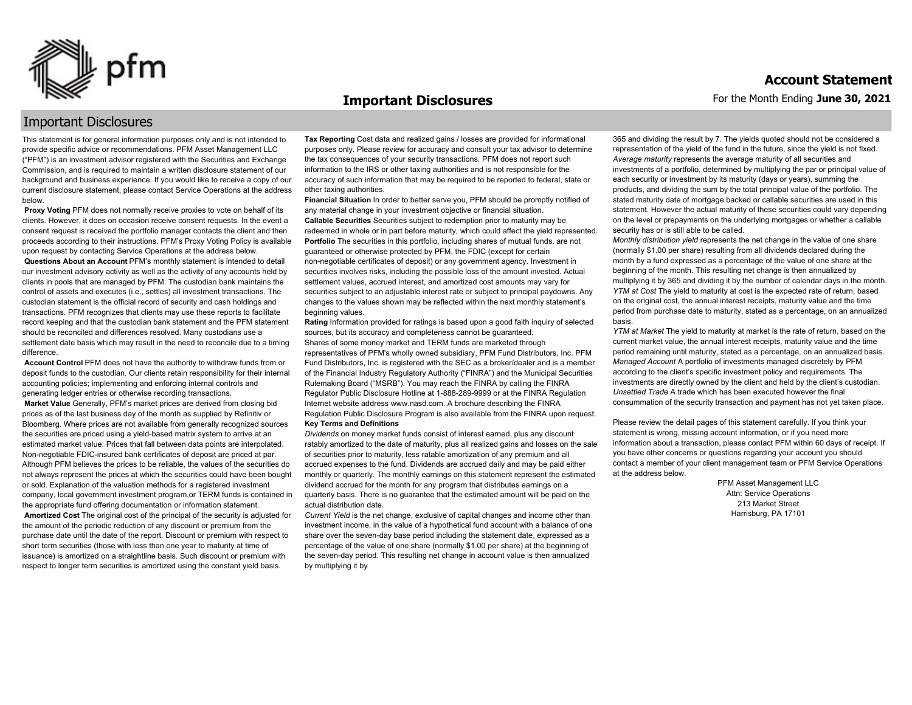

#### **Important Disclosures**

#### For the Month Ending **June 30, 2021 Account Statement**

### Important Disclosures

This statement is for general information purposes only and is not intended to provide specific advice or recommendations. PFM Asset Management LLC ("PFM") is an investment advisor registered with the Securities and Exchange Commission, and is required to maintain a written disclosure statement of our background and business experience. If you would like to receive a copy of our current disclosure statement, please contact Service Operations at the address below.

**Proxy Voting** PFM does not normally receive proxies to vote on behalf of its clients. However, it does on occasion receive consent requests. In the event a consent request is received the portfolio manager contacts the client and then proceeds according to their instructions. PFM's Proxy Voting Policy is available upon request by contacting Service Operations at the address below. **Questions About an Account** PFM's monthly statement is intended to detail our investment advisory activity as well as the activity of any accounts held by clients in pools that are managed by PFM. The custodian bank maintains the control of assets and executes (i.e., settles) all investment transactions. The custodian statement is the official record of security and cash holdings and transactions. PFM recognizes that clients may use these reports to facilitate record keeping and that the custodian bank statement and the PFM statement should be reconciled and differences resolved. Many custodians use a settlement date basis which may result in the need to reconcile due to a timing

difference. **Account Control** PFM does not have the authority to withdraw funds from or deposit funds to the custodian. Our clients retain responsibility for their internal accounting policies; implementing and enforcing internal controls and

generating ledger entries or otherwise recording transactions. **Market Value** Generally, PFM's market prices are derived from closing bid prices as of the last business day of the month as supplied by Refinitiv or Bloomberg. Where prices are not available from generally recognized sources the securities are priced using a yield-based matrix system to arrive at an estimated market value. Prices that fall between data points are interpolated. Non-negotiable FDIC-insured bank certificates of deposit are priced at par. Although PFM believes the prices to be reliable, the values of the securities do not always represent the prices at which the securities could have been bought or sold. Explanation of the valuation methods for a registered investment company, local government investment program,or TERM funds is contained in the appropriate fund offering documentation or information statement. **Amortized Cost** The original cost of the principal of the security is adjusted for the amount of the periodic reduction of any discount or premium from the purchase date until the date of the report. Discount or premium with respect to short term securities (those with less than one year to maturity at time of issuance) is amortized on a straightline basis. Such discount or premium with respect to longer term securities is amortized using the constant yield basis.

**Tax Reporting** Cost data and realized gains / losses are provided for informational purposes only. Please review for accuracy and consult your tax advisor to determine the tax consequences of your security transactions. PFM does not report such information to the IRS or other taxing authorities and is not responsible for the accuracy of such information that may be required to be reported to federal, state or other taxing authorities.

**Financial Situation** In order to better serve you, PFM should be promptly notified of any material change in your investment objective or financial situation. **Callable Securities** Securities subject to redemption prior to maturity may be redeemed in whole or in part before maturity, which could affect the yield represented. Portfolio The securities in this portfolio, including shares of mutual funds, are not guaranteed or otherwise protected by PFM, the FDIC (except for certain non-negotiable certificates of deposit) or any government agency. Investment in securities involves risks, including the possible loss of the amount invested. Actual settlement values, accrued interest, and amortized cost amounts may vary for securities subject to an adjustable interest rate or subject to principal paydowns. Any changes to the values shown may be reflected within the next monthly statement's beginning values.

**Rating** Information provided for ratings is based upon a good faith inquiry of selected sources, but its accuracy and completeness cannot be guaranteed. Shares of some money market and TERM funds are marketed through representatives of PFM's wholly owned subsidiary, PFM Fund Distributors, Inc. PFM Fund Distributors, Inc. is registered with the SEC as a broker/dealer and is a member of the Financial Industry Regulatory Authority ("FINRA") and the Municipal Securities Rulemaking Board ("MSRB"). You may reach the FINRA by calling the FINRA Regulator Public Disclosure Hotline at 1-888-289-9999 or at the FINRA Regulation Internet website address www.nasd.com. A brochure describing the FINRA Regulation Public Disclosure Program is also available from the FINRA upon request. **Key Terms and Definitions**

*Dividends* on money market funds consist of interest earned, plus any discount ratably amortized to the date of maturity, plus all realized gains and losses on the sale of securities prior to maturity, less ratable amortization of any premium and all accrued expenses to the fund. Dividends are accrued daily and may be paid either monthly or quarterly. The monthly earnings on this statement represent the estimated dividend accrued for the month for any program that distributes earnings on a quarterly basis. There is no guarantee that the estimated amount will be paid on the actual distribution date.

*Current Yield* is the net change, exclusive of capital changes and income other than investment income, in the value of a hypothetical fund account with a balance of one share over the seven-day base period including the statement date, expressed as a percentage of the value of one share (normally \$1.00 per share) at the beginning of the seven-day period. This resulting net change in account value is then annualized by multiplying it by

365 and dividing the result by 7. The yields quoted should not be considered a representation of the yield of the fund in the future, since the yield is not fixed. *Average maturity* represents the average maturity of all securities and investments of a portfolio, determined by multiplying the par or principal value of each security or investment by its maturity (days or years), summing the products, and dividing the sum by the total principal value of the portfolio. The stated maturity date of mortgage backed or callable securities are used in this statement. However the actual maturity of these securities could vary depending on the level or prepayments on the underlying mortgages or whether a callable security has or is still able to be called.

*Monthly distribution yield* represents the net change in the value of one share (normally \$1.00 per share) resulting from all dividends declared during the month by a fund expressed as a percentage of the value of one share at the beginning of the month. This resulting net change is then annualized by multiplying it by 365 and dividing it by the number of calendar days in the month. *YTM at Cost* The yield to maturity at cost is the expected rate of return, based on the original cost, the annual interest receipts, maturity value and the time period from purchase date to maturity, stated as a percentage, on an annualized basis.

*YTM at Market* The yield to maturity at market is the rate of return, based on the current market value, the annual interest receipts, maturity value and the time period remaining until maturity, stated as a percentage, on an annualized basis. *Managed Account* A portfolio of investments managed discretely by PFM according to the client's specific investment policy and requirements. The investments are directly owned by the client and held by the client's custodian. *Unsettled Trade* A trade which has been executed however the final consummation of the security transaction and payment has not yet taken place.

Please review the detail pages of this statement carefully. If you think your statement is wrong, missing account information, or if you need more information about a transaction, please contact PFM within 60 days of receipt. If you have other concerns or questions regarding your account you should contact a member of your client management team or PFM Service Operations at the address below.

> PFM Asset Management LLC Attn: Service Operations 213 Market Street Harrisburg, PA 17101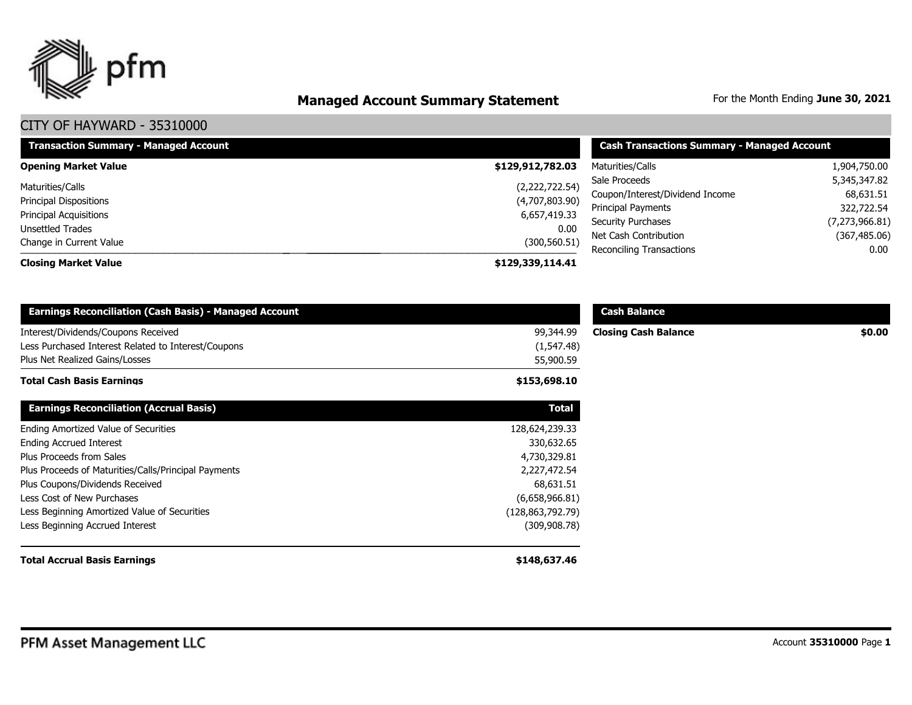

# **Managed Account Summary Statement** For the Month Ending June 30, 2021

| <b>Transaction Summary - Managed Account</b>      | <b>Cash Transactions Summary - Managed Account</b> |                                                   |                           |
|---------------------------------------------------|----------------------------------------------------|---------------------------------------------------|---------------------------|
| <b>Opening Market Value</b>                       | \$129,912,782.03                                   | Maturities/Calls                                  | 1,904,750.00              |
| Maturities/Calls                                  | (2,222,722.54)                                     | Sale Proceeds<br>Coupon/Interest/Dividend Income  | 5,345,347.82<br>68,631.51 |
| <b>Principal Dispositions</b>                     | (4,707,803.90)                                     | Principal Payments                                | 322,722.54                |
| <b>Principal Acquisitions</b><br>Unsettled Trades | 6,657,419.33<br>0.00                               | <b>Security Purchases</b>                         | (7,273,966.81)            |
| Change in Current Value                           | (300, 560.51)                                      | Net Cash Contribution<br>Reconciling Transactions | (367, 485.06)<br>0.00     |
| <b>Closing Market Value</b>                       | \$129,339,114.41                                   |                                                   |                           |

| <b>Earnings Reconciliation (Cash Basis) - Managed Account</b> |                  | <b>Cash Balance</b>         |        |
|---------------------------------------------------------------|------------------|-----------------------------|--------|
| Interest/Dividends/Coupons Received                           | 99,344.99        | <b>Closing Cash Balance</b> | \$0.00 |
| Less Purchased Interest Related to Interest/Coupons           | (1, 547.48)      |                             |        |
| Plus Net Realized Gains/Losses                                | 55,900.59        |                             |        |
| <b>Total Cash Basis Earnings</b>                              | \$153,698.10     |                             |        |
| <b>Earnings Reconciliation (Accrual Basis)</b>                | <b>Total</b>     |                             |        |
| Ending Amortized Value of Securities                          | 128,624,239.33   |                             |        |
| <b>Ending Accrued Interest</b>                                | 330,632.65       |                             |        |
| Plus Proceeds from Sales                                      | 4,730,329.81     |                             |        |
| Plus Proceeds of Maturities/Calls/Principal Payments          | 2,227,472.54     |                             |        |
| Plus Coupons/Dividends Received                               | 68,631.51        |                             |        |
| Less Cost of New Purchases                                    | (6,658,966.81)   |                             |        |
| Less Beginning Amortized Value of Securities                  | (128,863,792.79) |                             |        |
| Less Beginning Accrued Interest                               | (309, 908.78)    |                             |        |
| <b>Total Accrual Basis Earnings</b>                           | \$148,637.46     |                             |        |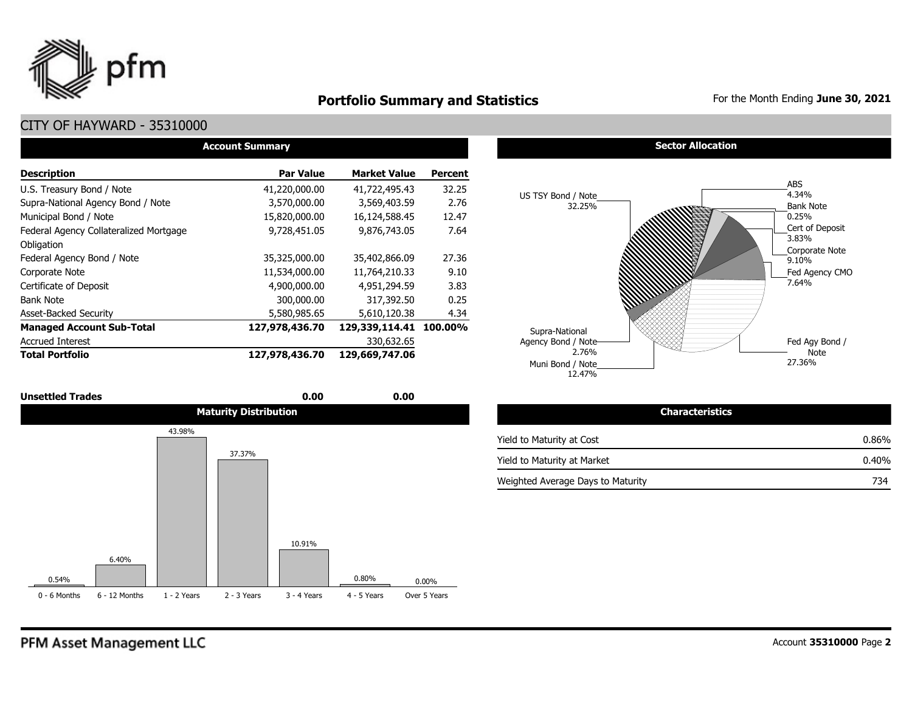

## **Portfolio Summary and Statistics** For the Month Ending June 30, 2021

## CITY OF HAYWARD - 35310000

| <b>Account Summary</b>                 |                  |                     |                |  |  |  |  |  |  |  |
|----------------------------------------|------------------|---------------------|----------------|--|--|--|--|--|--|--|
| <b>Description</b>                     | <b>Par Value</b> | <b>Market Value</b> | <b>Percent</b> |  |  |  |  |  |  |  |
| U.S. Treasury Bond / Note              | 41,220,000.00    | 41,722,495.43       | 32.25          |  |  |  |  |  |  |  |
| Supra-National Agency Bond / Note      | 3,570,000.00     | 3,569,403.59        | 2.76           |  |  |  |  |  |  |  |
| Municipal Bond / Note                  | 15,820,000.00    | 16,124,588.45       | 12.47          |  |  |  |  |  |  |  |
| Federal Agency Collateralized Mortgage | 9.728.451.05     | 9,876,743.05        | 7.64           |  |  |  |  |  |  |  |
| Obligation                             |                  |                     |                |  |  |  |  |  |  |  |
| Federal Agency Bond / Note             | 35,325,000.00    | 35,402,866.09       | 27.36          |  |  |  |  |  |  |  |
| Corporate Note                         | 11,534,000.00    | 11,764,210.33       | 9.10           |  |  |  |  |  |  |  |
| Certificate of Deposit                 | 4,900,000.00     | 4,951,294.59        | 3.83           |  |  |  |  |  |  |  |
| <b>Bank Note</b>                       | 300,000.00       | 317,392.50          | 0.25           |  |  |  |  |  |  |  |
| <b>Asset-Backed Security</b>           | 5,580,985.65     | 5,610,120.38        | 4.34           |  |  |  |  |  |  |  |
| <b>Managed Account Sub-Total</b>       | 127,978,436.70   | 129,339,114.41      | 100.00%        |  |  |  |  |  |  |  |
| <b>Accrued Interest</b>                |                  | 330,632.65          |                |  |  |  |  |  |  |  |
| <b>Total Portfolio</b>                 | 127,978,436.70   | 129,669,747.06      |                |  |  |  |  |  |  |  |



#### **Sector Allocation**



| <b>Characteristics</b>            |       |
|-----------------------------------|-------|
| Yield to Maturity at Cost         | 0.86% |
| Yield to Maturity at Market       | 0.40% |
| Weighted Average Days to Maturity | 734   |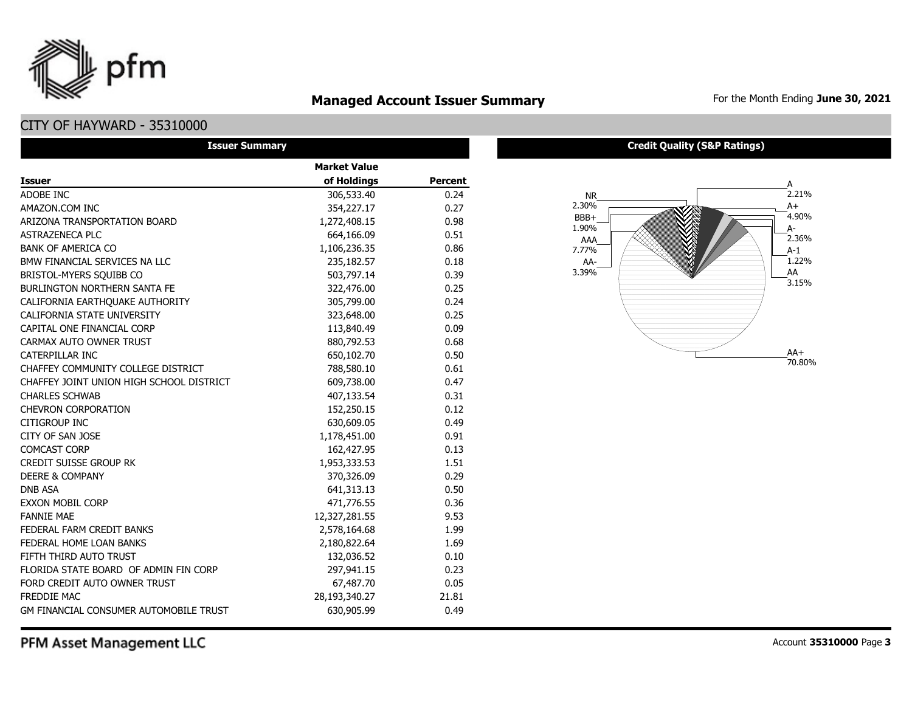

**Managed Account Issuer Summary** For the Month Ending June 30, 2021

## CITY OF HAYWARD - 35310000

pfm

| <b>Issuer Summary</b>                    |                     |                |  |  |  |  |  |
|------------------------------------------|---------------------|----------------|--|--|--|--|--|
|                                          | <b>Market Value</b> |                |  |  |  |  |  |
| <b>Issuer</b>                            | of Holdings         | <b>Percent</b> |  |  |  |  |  |
| ADOBE INC                                | 306,533.40          | 0.24           |  |  |  |  |  |
| AMAZON.COM INC                           | 354,227.17          | 0.27           |  |  |  |  |  |
| ARIZONA TRANSPORTATION BOARD             | 1,272,408.15        | 0.98           |  |  |  |  |  |
| <b>ASTRAZENECA PLC</b>                   | 664,166.09          | 0.51           |  |  |  |  |  |
| <b>BANK OF AMERICA CO</b>                | 1,106,236.35        | 0.86           |  |  |  |  |  |
| BMW FINANCIAL SERVICES NA LLC            | 235,182.57          | 0.18           |  |  |  |  |  |
| BRISTOL-MYERS SQUIBB CO                  | 503,797.14          | 0.39           |  |  |  |  |  |
| <b>BURLINGTON NORTHERN SANTA FE</b>      | 322,476.00          | 0.25           |  |  |  |  |  |
| CALIFORNIA EARTHQUAKE AUTHORITY          | 305,799.00          | 0.24           |  |  |  |  |  |
| CALIFORNIA STATE UNIVERSITY              | 323,648.00          | 0.25           |  |  |  |  |  |
| CAPITAL ONE FINANCIAL CORP               | 113,840.49          | 0.09           |  |  |  |  |  |
| CARMAX AUTO OWNER TRUST                  | 880,792.53          | 0.68           |  |  |  |  |  |
| CATERPILLAR INC                          | 650,102.70          | 0.50           |  |  |  |  |  |
| CHAFFEY COMMUNITY COLLEGE DISTRICT       | 788,580.10          | 0.61           |  |  |  |  |  |
| CHAFFEY JOINT UNION HIGH SCHOOL DISTRICT | 609,738.00          | 0.47           |  |  |  |  |  |
| <b>CHARLES SCHWAB</b>                    | 407,133.54          | 0.31           |  |  |  |  |  |
| <b>CHEVRON CORPORATION</b>               | 152,250.15          | 0.12           |  |  |  |  |  |
| CITIGROUP INC                            | 630,609.05          | 0.49           |  |  |  |  |  |
| CITY OF SAN JOSE                         | 1,178,451.00        | 0.91           |  |  |  |  |  |
| <b>COMCAST CORP</b>                      | 162,427.95          | 0.13           |  |  |  |  |  |
| <b>CREDIT SUISSE GROUP RK</b>            | 1,953,333.53        | 1.51           |  |  |  |  |  |
| <b>DEERE &amp; COMPANY</b>               | 370,326.09          | 0.29           |  |  |  |  |  |
| <b>DNB ASA</b>                           | 641,313.13          | 0.50           |  |  |  |  |  |
| <b>EXXON MOBIL CORP</b>                  | 471,776.55          | 0.36           |  |  |  |  |  |
| <b>FANNIE MAE</b>                        | 12,327,281.55       | 9.53           |  |  |  |  |  |
| FEDERAL FARM CREDIT BANKS                | 2,578,164.68        | 1.99           |  |  |  |  |  |
| FEDERAL HOME LOAN BANKS                  | 2,180,822.64        | 1.69           |  |  |  |  |  |
| FIFTH THIRD AUTO TRUST                   | 132,036.52          | 0.10           |  |  |  |  |  |
| FLORIDA STATE BOARD OF ADMIN FIN CORP    | 297,941.15          | 0.23           |  |  |  |  |  |
| FORD CREDIT AUTO OWNER TRUST             | 67,487.70           | 0.05           |  |  |  |  |  |
| FREDDIE MAC                              | 28,193,340.27       | 21.81          |  |  |  |  |  |
| GM FINANCIAL CONSUMER AUTOMOBILE TRUST   | 630,905.99          | 0.49           |  |  |  |  |  |

#### **Credit Quality (S&P Ratings)**



PFM Asset Management LLC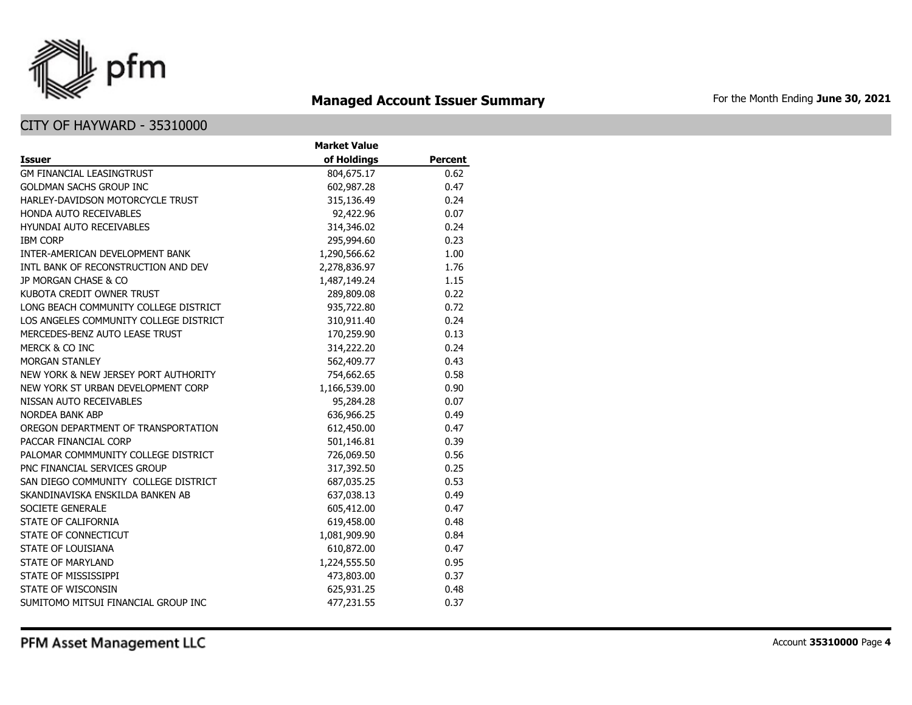

## **Managed Account Issuer Summary** For the Month Ending June 30, 2021

|                                        | <b>Market Value</b> |                |
|----------------------------------------|---------------------|----------------|
| <b>Issuer</b>                          | of Holdings         | <b>Percent</b> |
| <b>GM FINANCIAL LEASINGTRUST</b>       | 804,675.17          | 0.62           |
| <b>GOLDMAN SACHS GROUP INC</b>         | 602,987.28          | 0.47           |
| HARLEY-DAVIDSON MOTORCYCLE TRUST       | 315,136.49          | 0.24           |
| HONDA AUTO RECEIVABLES                 | 92,422.96           | 0.07           |
| <b>HYUNDAI AUTO RECEIVABLES</b>        | 314,346.02          | 0.24           |
| <b>IBM CORP</b>                        | 295,994.60          | 0.23           |
| INTER-AMERICAN DEVELOPMENT BANK        | 1,290,566.62        | 1.00           |
| INTL BANK OF RECONSTRUCTION AND DEV    | 2,278,836.97        | 1.76           |
| JP MORGAN CHASE & CO                   | 1,487,149.24        | 1.15           |
| KUBOTA CREDIT OWNER TRUST              | 289,809.08          | 0.22           |
| LONG BEACH COMMUNITY COLLEGE DISTRICT  | 935,722.80          | 0.72           |
| LOS ANGELES COMMUNITY COLLEGE DISTRICT | 310,911.40          | 0.24           |
| MERCEDES-BENZ AUTO LEASE TRUST         | 170,259.90          | 0.13           |
| MERCK & CO INC                         | 314,222.20          | 0.24           |
| <b>MORGAN STANLEY</b>                  | 562,409.77          | 0.43           |
| NEW YORK & NEW JERSEY PORT AUTHORITY   | 754,662.65          | 0.58           |
| NEW YORK ST URBAN DEVELOPMENT CORP     | 1,166,539.00        | 0.90           |
| NISSAN AUTO RECEIVABLES                | 95,284.28           | 0.07           |
| <b>NORDEA BANK ABP</b>                 | 636,966.25          | 0.49           |
| OREGON DEPARTMENT OF TRANSPORTATION    | 612,450.00          | 0.47           |
| PACCAR FINANCIAL CORP                  | 501,146.81          | 0.39           |
| PALOMAR COMMMUNITY COLLEGE DISTRICT    | 726,069.50          | 0.56           |
| PNC FINANCIAL SERVICES GROUP           | 317,392.50          | 0.25           |
| SAN DIEGO COMMUNITY COLLEGE DISTRICT   | 687,035.25          | 0.53           |
| SKANDINAVISKA ENSKILDA BANKEN AB       | 637,038.13          | 0.49           |
| SOCIETE GENERALE                       | 605,412.00          | 0.47           |
| STATE OF CALIFORNIA                    | 619,458.00          | 0.48           |
| STATE OF CONNECTICUT                   | 1,081,909.90        | 0.84           |
| STATE OF LOUISIANA                     | 610,872.00          | 0.47           |
| STATE OF MARYLAND                      | 1,224,555.50        | 0.95           |
| STATE OF MISSISSIPPI                   | 473,803.00          | 0.37           |
| STATE OF WISCONSIN                     | 625,931.25          | 0.48           |
| SUMITOMO MITSUI FINANCIAL GROUP INC    | 477.231.55          | 0.37           |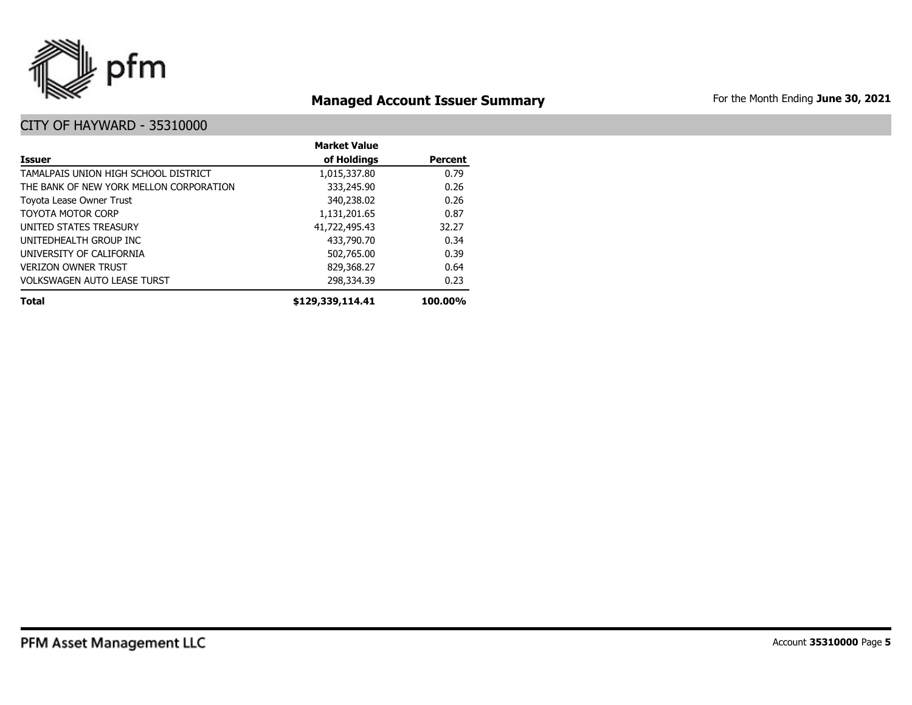

## **Managed Account Issuer Summary** For the Month Ending June 30, 2021

|                                         | <b>Market Value</b> |                |
|-----------------------------------------|---------------------|----------------|
| <b>Issuer</b>                           | of Holdings         | <b>Percent</b> |
| TAMALPAIS UNION HIGH SCHOOL DISTRICT    | 1,015,337.80        | 0.79           |
| THE BANK OF NEW YORK MELLON CORPORATION | 333,245.90          | 0.26           |
| Toyota Lease Owner Trust                | 340,238.02          | 0.26           |
| TOYOTA MOTOR CORP                       | 1,131,201.65        | 0.87           |
| UNITED STATES TREASURY                  | 41,722,495.43       | 32.27          |
| UNITEDHEALTH GROUP INC                  | 433,790.70          | 0.34           |
| UNIVERSITY OF CALIFORNIA                | 502,765.00          | 0.39           |
| <b>VERIZON OWNER TRUST</b>              | 829,368.27          | 0.64           |
| <b>VOLKSWAGEN AUTO LEASE TURST</b>      | 298,334.39          | 0.23           |
| <b>Total</b>                            | \$129,339,114.41    | 100.00%        |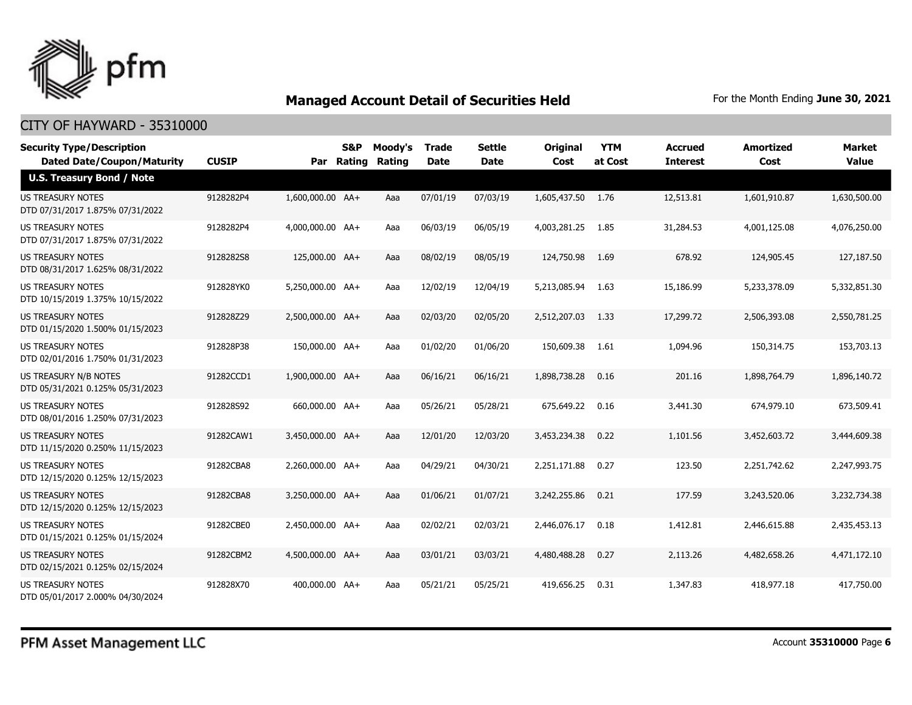

| <b>Security Type/Description</b><br><b>Dated Date/Coupon/Maturity</b> | <b>CUSIP</b> | Par              | <b>S&amp;P</b><br>Rating | Moody's<br>Rating | <b>Trade</b><br><b>Date</b> | <b>Settle</b><br><b>Date</b> | <b>Original</b><br>Cost | <b>YTM</b><br>at Cost | <b>Accrued</b><br><b>Interest</b> | <b>Amortized</b><br>Cost | <b>Market</b><br><b>Value</b> |
|-----------------------------------------------------------------------|--------------|------------------|--------------------------|-------------------|-----------------------------|------------------------------|-------------------------|-----------------------|-----------------------------------|--------------------------|-------------------------------|
| <b>U.S. Treasury Bond / Note</b>                                      |              |                  |                          |                   |                             |                              |                         |                       |                                   |                          |                               |
| <b>US TREASURY NOTES</b><br>DTD 07/31/2017 1.875% 07/31/2022          | 9128282P4    | 1,600,000.00 AA+ |                          | Aaa               | 07/01/19                    | 07/03/19                     | 1,605,437.50 1.76       |                       | 12,513.81                         | 1,601,910.87             | 1,630,500.00                  |
| US TREASURY NOTES<br>DTD 07/31/2017 1.875% 07/31/2022                 | 9128282P4    | 4,000,000.00 AA+ |                          | Aaa               | 06/03/19                    | 06/05/19                     | 4,003,281.25            | 1.85                  | 31,284.53                         | 4,001,125.08             | 4,076,250.00                  |
| <b>US TREASURY NOTES</b><br>DTD 08/31/2017 1.625% 08/31/2022          | 9128282S8    | 125,000.00 AA+   |                          | Aaa               | 08/02/19                    | 08/05/19                     | 124,750.98              | 1.69                  | 678.92                            | 124,905.45               | 127,187.50                    |
| US TREASURY NOTES<br>DTD 10/15/2019 1.375% 10/15/2022                 | 912828YK0    | 5,250,000.00 AA+ |                          | Aaa               | 12/02/19                    | 12/04/19                     | 5,213,085.94            | - 1.63                | 15,186.99                         | 5,233,378.09             | 5,332,851.30                  |
| <b>US TREASURY NOTES</b><br>DTD 01/15/2020 1.500% 01/15/2023          | 912828Z29    | 2,500,000.00 AA+ |                          | Aaa               | 02/03/20                    | 02/05/20                     | 2,512,207.03            | 1.33                  | 17,299.72                         | 2,506,393.08             | 2,550,781.25                  |
| <b>US TREASURY NOTES</b><br>DTD 02/01/2016 1.750% 01/31/2023          | 912828P38    | 150,000.00 AA+   |                          | Aaa               | 01/02/20                    | 01/06/20                     | 150,609.38              | 1.61                  | 1,094.96                          | 150,314.75               | 153,703.13                    |
| <b>US TREASURY N/B NOTES</b><br>DTD 05/31/2021 0.125% 05/31/2023      | 91282CCD1    | 1,900,000.00 AA+ |                          | Aaa               | 06/16/21                    | 06/16/21                     | 1,898,738.28            | 0.16                  | 201.16                            | 1,898,764.79             | 1,896,140.72                  |
| <b>US TREASURY NOTES</b><br>DTD 08/01/2016 1.250% 07/31/2023          | 912828S92    | 660,000.00 AA+   |                          | Aaa               | 05/26/21                    | 05/28/21                     | 675,649.22              | 0.16                  | 3,441.30                          | 674,979.10               | 673,509.41                    |
| US TREASURY NOTES<br>DTD 11/15/2020 0.250% 11/15/2023                 | 91282CAW1    | 3,450,000.00 AA+ |                          | Aaa               | 12/01/20                    | 12/03/20                     | 3,453,234.38            | 0.22                  | 1,101.56                          | 3,452,603.72             | 3,444,609.38                  |
| <b>US TREASURY NOTES</b><br>DTD 12/15/2020 0.125% 12/15/2023          | 91282CBA8    | 2,260,000.00 AA+ |                          | Aaa               | 04/29/21                    | 04/30/21                     | 2,251,171.88            | 0.27                  | 123.50                            | 2,251,742.62             | 2,247,993.75                  |
| <b>US TREASURY NOTES</b><br>DTD 12/15/2020 0.125% 12/15/2023          | 91282CBA8    | 3,250,000.00 AA+ |                          | Aaa               | 01/06/21                    | 01/07/21                     | 3,242,255.86            | 0.21                  | 177.59                            | 3,243,520.06             | 3,232,734.38                  |
| <b>US TREASURY NOTES</b><br>DTD 01/15/2021 0.125% 01/15/2024          | 91282CBE0    | 2,450,000.00 AA+ |                          | Aaa               | 02/02/21                    | 02/03/21                     | 2,446,076.17            | 0.18                  | 1,412.81                          | 2,446,615.88             | 2,435,453.13                  |
| <b>US TREASURY NOTES</b><br>DTD 02/15/2021 0.125% 02/15/2024          | 91282CBM2    | 4,500,000.00 AA+ |                          | Aaa               | 03/01/21                    | 03/03/21                     | 4,480,488,28            | 0.27                  | 2,113.26                          | 4,482,658,26             | 4,471,172.10                  |
| <b>US TREASURY NOTES</b><br>DTD 05/01/2017 2.000% 04/30/2024          | 912828X70    | 400,000.00 AA+   |                          | Aaa               | 05/21/21                    | 05/25/21                     | 419,656.25              | 0.31                  | 1,347.83                          | 418,977.18               | 417,750.00                    |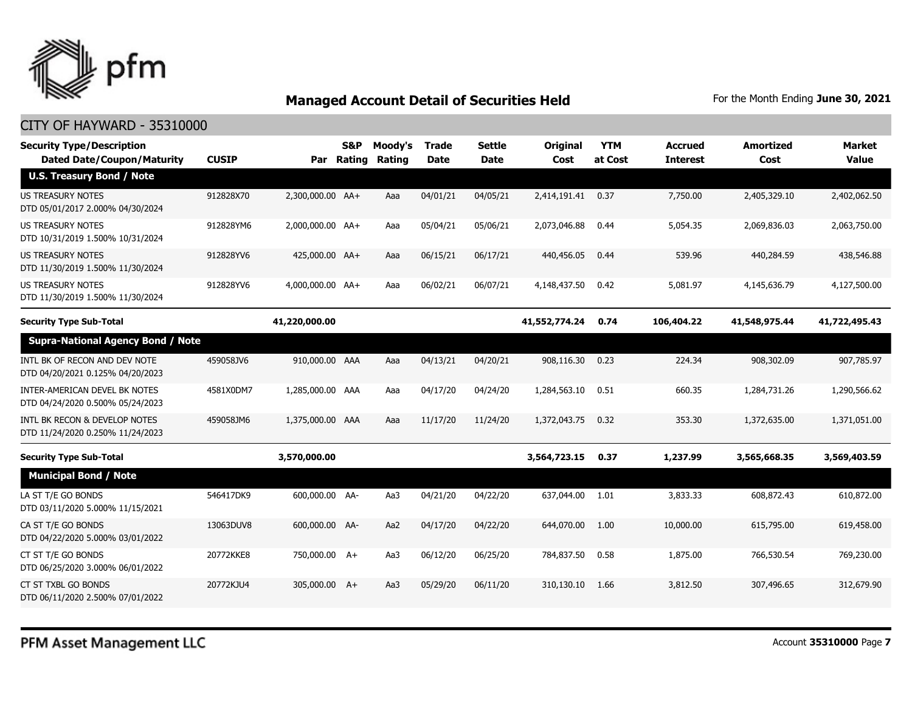

| <b>Security Type/Description</b><br><b>Dated Date/Coupon/Maturity</b> | <b>CUSIP</b> |                  | <b>S&amp;P</b><br>Par Rating | Moody's<br>Rating | <b>Trade</b><br><b>Date</b> | <b>Settle</b><br><b>Date</b> | <b>Original</b><br>Cost | <b>YTM</b><br>at Cost | <b>Accrued</b><br><b>Interest</b> | <b>Amortized</b><br>Cost | Market<br><b>Value</b> |
|-----------------------------------------------------------------------|--------------|------------------|------------------------------|-------------------|-----------------------------|------------------------------|-------------------------|-----------------------|-----------------------------------|--------------------------|------------------------|
| <b>U.S. Treasury Bond / Note</b>                                      |              |                  |                              |                   |                             |                              |                         |                       |                                   |                          |                        |
| <b>US TREASURY NOTES</b><br>DTD 05/01/2017 2.000% 04/30/2024          | 912828X70    | 2,300,000.00 AA+ |                              | Aaa               | 04/01/21                    | 04/05/21                     | 2,414,191.41            | 0.37                  | 7,750.00                          | 2,405,329.10             | 2,402,062.50           |
| US TREASURY NOTES<br>DTD 10/31/2019 1.500% 10/31/2024                 | 912828YM6    | 2,000,000.00 AA+ |                              | Aaa               | 05/04/21                    | 05/06/21                     | 2,073,046.88            | 0.44                  | 5,054.35                          | 2,069,836.03             | 2,063,750.00           |
| <b>US TREASURY NOTES</b><br>DTD 11/30/2019 1.500% 11/30/2024          | 912828YV6    | 425,000.00 AA+   |                              | Aaa               | 06/15/21                    | 06/17/21                     | 440,456.05              | 0.44                  | 539.96                            | 440,284.59               | 438,546.88             |
| US TREASURY NOTES<br>DTD 11/30/2019 1.500% 11/30/2024                 | 912828YV6    | 4,000,000.00 AA+ |                              | Aaa               | 06/02/21                    | 06/07/21                     | 4,148,437.50            | 0.42                  | 5,081.97                          | 4,145,636.79             | 4,127,500.00           |
| <b>Security Type Sub-Total</b>                                        |              | 41,220,000.00    |                              |                   |                             |                              | 41,552,774.24           | 0.74                  | 106,404.22                        | 41,548,975.44            | 41,722,495.43          |
| <b>Supra-National Agency Bond / Note</b>                              |              |                  |                              |                   |                             |                              |                         |                       |                                   |                          |                        |
| INTL BK OF RECON AND DEV NOTE<br>DTD 04/20/2021 0.125% 04/20/2023     | 459058JV6    | 910,000.00 AAA   |                              | Aaa               | 04/13/21                    | 04/20/21                     | 908,116.30              | 0.23                  | 224.34                            | 908,302.09               | 907,785.97             |
| INTER-AMERICAN DEVEL BK NOTES<br>DTD 04/24/2020 0.500% 05/24/2023     | 4581X0DM7    | 1,285,000.00 AAA |                              | Aaa               | 04/17/20                    | 04/24/20                     | 1,284,563.10            | 0.51                  | 660.35                            | 1,284,731.26             | 1,290,566.62           |
| INTL BK RECON & DEVELOP NOTES<br>DTD 11/24/2020 0.250% 11/24/2023     | 459058JM6    | 1,375,000.00 AAA |                              | Aaa               | 11/17/20                    | 11/24/20                     | 1,372,043.75            | 0.32                  | 353.30                            | 1,372,635.00             | 1,371,051.00           |
| <b>Security Type Sub-Total</b>                                        |              | 3,570,000.00     |                              |                   |                             |                              | 3,564,723.15            | 0.37                  | 1,237.99                          | 3,565,668.35             | 3,569,403.59           |
| <b>Municipal Bond / Note</b>                                          |              |                  |                              |                   |                             |                              |                         |                       |                                   |                          |                        |
| LA ST T/E GO BONDS<br>DTD 03/11/2020 5.000% 11/15/2021                | 546417DK9    | 600,000.00 AA-   |                              | Aa3               | 04/21/20                    | 04/22/20                     | 637,044.00              | 1.01                  | 3,833.33                          | 608,872.43               | 610,872.00             |
| CA ST T/E GO BONDS<br>DTD 04/22/2020 5.000% 03/01/2022                | 13063DUV8    | 600,000,00 AA-   |                              | Aa2               | 04/17/20                    | 04/22/20                     | 644,070,00              | 1.00                  | 10,000.00                         | 615,795,00               | 619,458.00             |
| CT ST T/E GO BONDS<br>DTD 06/25/2020 3.000% 06/01/2022                | 20772KKE8    | 750,000.00 A+    |                              | Aa3               | 06/12/20                    | 06/25/20                     | 784,837.50              | 0.58                  | 1,875.00                          | 766,530.54               | 769,230.00             |
| CT ST TXBL GO BONDS<br>DTD 06/11/2020 2.500% 07/01/2022               | 20772KJU4    | 305,000.00 A+    |                              | Aa3               | 05/29/20                    | 06/11/20                     | 310,130.10              | 1.66                  | 3,812.50                          | 307,496.65               | 312,679.90             |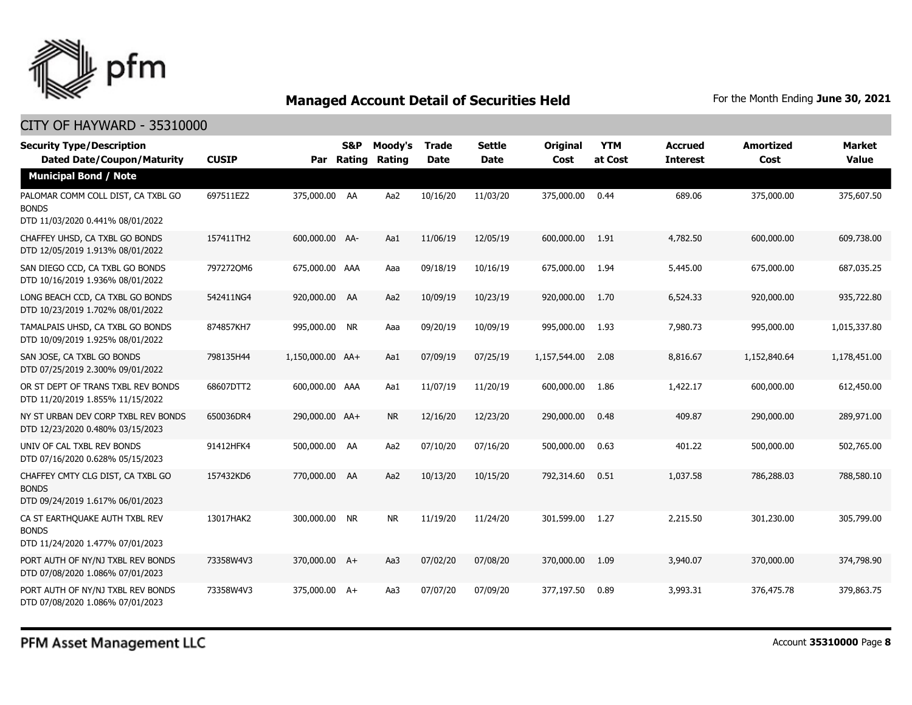

| <b>Security Type/Description</b><br><b>Dated Date/Coupon/Maturity</b>                  | <b>CUSIP</b> | Par              | S&P<br>Rating | Moody's<br>Rating | <b>Trade</b><br><b>Date</b> | <b>Settle</b><br><b>Date</b> | <b>Original</b><br>Cost | <b>YTM</b><br>at Cost | <b>Accrued</b><br><b>Interest</b> | <b>Amortized</b><br>Cost | Market<br><b>Value</b> |
|----------------------------------------------------------------------------------------|--------------|------------------|---------------|-------------------|-----------------------------|------------------------------|-------------------------|-----------------------|-----------------------------------|--------------------------|------------------------|
| <b>Municipal Bond / Note</b>                                                           |              |                  |               |                   |                             |                              |                         |                       |                                   |                          |                        |
| PALOMAR COMM COLL DIST, CA TXBL GO<br><b>BONDS</b><br>DTD 11/03/2020 0.441% 08/01/2022 | 697511EZ2    | 375,000.00 AA    |               | Aa2               | 10/16/20                    | 11/03/20                     | 375,000.00              | 0.44                  | 689.06                            | 375,000.00               | 375,607.50             |
| CHAFFEY UHSD, CA TXBL GO BONDS<br>DTD 12/05/2019 1.913% 08/01/2022                     | 157411TH2    | 600,000,00 AA-   |               | Aa1               | 11/06/19                    | 12/05/19                     | 600,000,00              | 1.91                  | 4,782.50                          | 600,000.00               | 609,738,00             |
| SAN DIEGO CCD, CA TXBL GO BONDS<br>DTD 10/16/2019 1.936% 08/01/2022                    | 7972720M6    | 675,000.00 AAA   |               | Aaa               | 09/18/19                    | 10/16/19                     | 675,000.00              | 1.94                  | 5,445.00                          | 675,000.00               | 687,035.25             |
| LONG BEACH CCD, CA TXBL GO BONDS<br>DTD 10/23/2019 1.702% 08/01/2022                   | 542411NG4    | 920,000.00 AA    |               | Aa2               | 10/09/19                    | 10/23/19                     | 920,000.00              | 1.70                  | 6,524.33                          | 920,000.00               | 935,722.80             |
| TAMALPAIS UHSD, CA TXBL GO BONDS<br>DTD 10/09/2019 1.925% 08/01/2022                   | 874857KH7    | 995,000.00 NR    |               | Aaa               | 09/20/19                    | 10/09/19                     | 995,000.00              | 1.93                  | 7,980.73                          | 995,000.00               | 1,015,337.80           |
| SAN JOSE, CA TXBL GO BONDS<br>DTD 07/25/2019 2.300% 09/01/2022                         | 798135H44    | 1,150,000.00 AA+ |               | Aa1               | 07/09/19                    | 07/25/19                     | 1,157,544.00            | 2.08                  | 8,816.67                          | 1,152,840.64             | 1,178,451.00           |
| OR ST DEPT OF TRANS TXBL REV BONDS<br>DTD 11/20/2019 1.855% 11/15/2022                 | 68607DTT2    | 600,000.00 AAA   |               | Aa1               | 11/07/19                    | 11/20/19                     | 600,000.00              | 1.86                  | 1,422.17                          | 600,000.00               | 612,450.00             |
| NY ST URBAN DEV CORP TXBL REV BONDS<br>DTD 12/23/2020 0.480% 03/15/2023                | 650036DR4    | 290,000.00 AA+   |               | <b>NR</b>         | 12/16/20                    | 12/23/20                     | 290,000.00              | 0.48                  | 409.87                            | 290,000.00               | 289,971.00             |
| UNIV OF CAL TXBL REV BONDS<br>DTD 07/16/2020 0.628% 05/15/2023                         | 91412HFK4    | 500,000.00 AA    |               | Aa2               | 07/10/20                    | 07/16/20                     | 500,000.00              | 0.63                  | 401.22                            | 500,000.00               | 502,765.00             |
| CHAFFEY CMTY CLG DIST, CA TXBL GO<br><b>BONDS</b><br>DTD 09/24/2019 1.617% 06/01/2023  | 157432KD6    | 770,000.00 AA    |               | Aa2               | 10/13/20                    | 10/15/20                     | 792,314.60              | 0.51                  | 1,037.58                          | 786,288.03               | 788,580.10             |
| CA ST EARTHQUAKE AUTH TXBL REV<br><b>BONDS</b><br>DTD 11/24/2020 1.477% 07/01/2023     | 13017HAK2    | 300,000.00 NR    |               | <b>NR</b>         | 11/19/20                    | 11/24/20                     | 301,599.00              | 1.27                  | 2,215.50                          | 301,230.00               | 305,799.00             |
| PORT AUTH OF NY/NJ TXBL REV BONDS<br>DTD 07/08/2020 1.086% 07/01/2023                  | 73358W4V3    | 370,000.00 A+    |               | Aa3               | 07/02/20                    | 07/08/20                     | 370,000.00              | 1.09                  | 3,940.07                          | 370,000.00               | 374,798.90             |
| PORT AUTH OF NY/NJ TXBL REV BONDS<br>DTD 07/08/2020 1.086% 07/01/2023                  | 73358W4V3    | 375,000.00 A+    |               | Aa3               | 07/07/20                    | 07/09/20                     | 377,197.50              | 0.89                  | 3,993.31                          | 376,475.78               | 379,863,75             |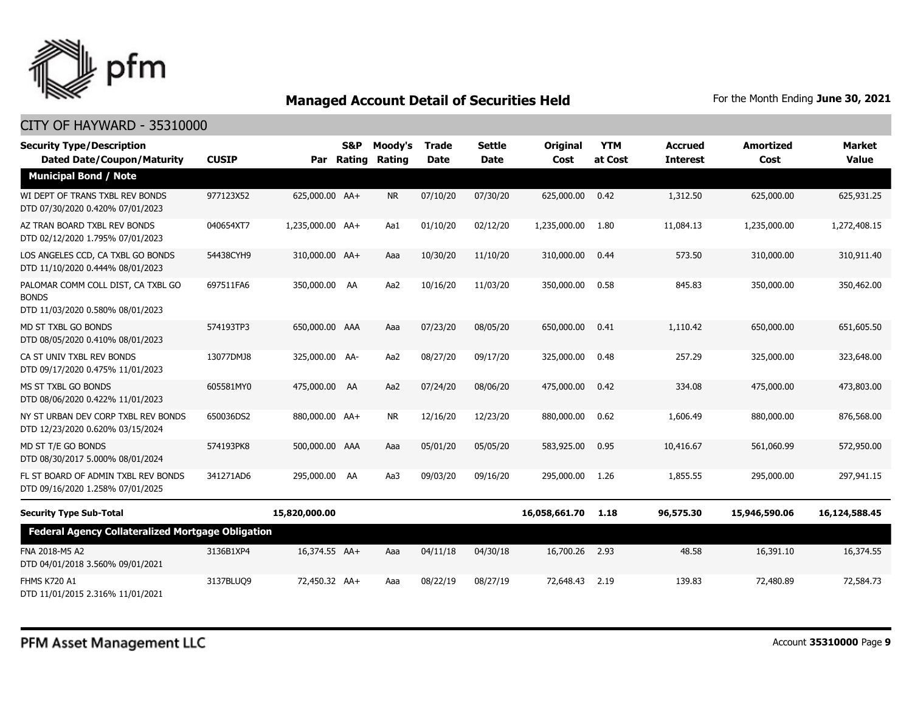

| <b>Security Type/Description</b><br><b>Dated Date/Coupon/Maturity</b>                  | <b>CUSIP</b> | Par              | <b>S&amp;P</b><br>Rating | Moody's<br>Rating | <b>Trade</b><br><b>Date</b> | <b>Settle</b><br><b>Date</b> | <b>Original</b><br>Cost | <b>YTM</b><br>at Cost | <b>Accrued</b><br><b>Interest</b> | <b>Amortized</b><br>Cost | <b>Market</b><br><b>Value</b> |
|----------------------------------------------------------------------------------------|--------------|------------------|--------------------------|-------------------|-----------------------------|------------------------------|-------------------------|-----------------------|-----------------------------------|--------------------------|-------------------------------|
| <b>Municipal Bond / Note</b>                                                           |              |                  |                          |                   |                             |                              |                         |                       |                                   |                          |                               |
| WI DEPT OF TRANS TXBL REV BONDS<br>DTD 07/30/2020 0.420% 07/01/2023                    | 977123X52    | 625,000.00 AA+   |                          | <b>NR</b>         | 07/10/20                    | 07/30/20                     | 625,000.00              | 0.42                  | 1,312.50                          | 625,000.00               | 625,931.25                    |
| AZ TRAN BOARD TXBL REV BONDS<br>DTD 02/12/2020 1.795% 07/01/2023                       | 040654XT7    | 1,235,000.00 AA+ |                          | Aa1               | 01/10/20                    | 02/12/20                     | 1,235,000.00            | 1.80                  | 11,084.13                         | 1,235,000.00             | 1,272,408.15                  |
| LOS ANGELES CCD, CA TXBL GO BONDS<br>DTD 11/10/2020 0.444% 08/01/2023                  | 54438CYH9    | 310,000.00 AA+   |                          | Aaa               | 10/30/20                    | 11/10/20                     | 310,000.00              | 0.44                  | 573.50                            | 310,000.00               | 310,911.40                    |
| PALOMAR COMM COLL DIST, CA TXBL GO<br><b>BONDS</b><br>DTD 11/03/2020 0.580% 08/01/2023 | 697511FA6    | 350,000.00 AA    |                          | Aa2               | 10/16/20                    | 11/03/20                     | 350,000.00              | 0.58                  | 845.83                            | 350,000.00               | 350,462.00                    |
| MD ST TXBL GO BONDS<br>DTD 08/05/2020 0.410% 08/01/2023                                | 574193TP3    | 650,000.00 AAA   |                          | Aaa               | 07/23/20                    | 08/05/20                     | 650,000.00              | 0.41                  | 1,110.42                          | 650,000.00               | 651,605.50                    |
| CA ST UNIV TXBL REV BONDS<br>DTD 09/17/2020 0.475% 11/01/2023                          | 13077DMJ8    | 325,000.00 AA-   |                          | Aa2               | 08/27/20                    | 09/17/20                     | 325,000.00              | 0.48                  | 257.29                            | 325,000.00               | 323,648.00                    |
| MS ST TXBL GO BONDS<br>DTD 08/06/2020 0.422% 11/01/2023                                | 605581MY0    | 475,000.00 AA    |                          | Aa2               | 07/24/20                    | 08/06/20                     | 475,000.00              | 0.42                  | 334.08                            | 475,000.00               | 473,803.00                    |
| NY ST URBAN DEV CORP TXBL REV BONDS<br>DTD 12/23/2020 0.620% 03/15/2024                | 650036DS2    | 880,000.00 AA+   |                          | NR.               | 12/16/20                    | 12/23/20                     | 880,000.00              | 0.62                  | 1,606.49                          | 880,000.00               | 876,568.00                    |
| MD ST T/E GO BONDS<br>DTD 08/30/2017 5.000% 08/01/2024                                 | 574193PK8    | 500,000.00 AAA   |                          | Aaa               | 05/01/20                    | 05/05/20                     | 583,925.00              | 0.95                  | 10,416.67                         | 561,060.99               | 572,950.00                    |
| FL ST BOARD OF ADMIN TXBL REV BONDS<br>DTD 09/16/2020 1.258% 07/01/2025                | 341271AD6    | 295,000.00 AA    |                          | Aa3               | 09/03/20                    | 09/16/20                     | 295,000.00              | 1.26                  | 1,855.55                          | 295,000.00               | 297.941.15                    |
| <b>Security Type Sub-Total</b>                                                         |              | 15,820,000.00    |                          |                   |                             |                              | 16,058,661.70           | 1.18                  | 96,575.30                         | 15,946,590.06            | 16,124,588.45                 |
| <b>Federal Agency Collateralized Mortgage Obligation</b>                               |              |                  |                          |                   |                             |                              |                         |                       |                                   |                          |                               |
| FNA 2018-M5 A2<br>DTD 04/01/2018 3.560% 09/01/2021                                     | 3136B1XP4    | 16,374.55 AA+    |                          | Aaa               | 04/11/18                    | 04/30/18                     | 16,700.26               | 2.93                  | 48.58                             | 16,391.10                | 16,374.55                     |
| <b>FHMS K720 A1</b><br>DTD 11/01/2015 2.316% 11/01/2021                                | 3137BLUQ9    | 72,450.32 AA+    |                          | Aaa               | 08/22/19                    | 08/27/19                     | 72,648.43               | 2.19                  | 139.83                            | 72,480.89                | 72,584.73                     |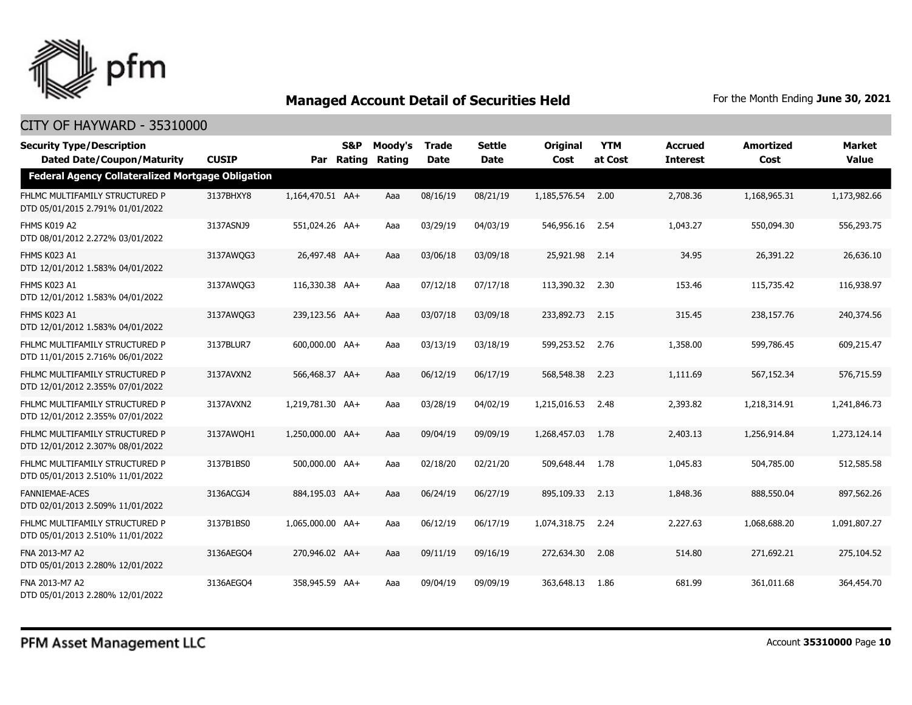

| <b>Security Type/Description</b><br><b>Dated Date/Coupon/Maturity</b> | <b>CUSIP</b> |                  | S&P<br>Par Rating | Moody's<br>Rating | <b>Trade</b><br><b>Date</b> | Settle<br><b>Date</b> | <b>Original</b><br>Cost | <b>YTM</b><br>at Cost | <b>Accrued</b><br><b>Interest</b> | <b>Amortized</b><br>Cost | Market<br><b>Value</b> |
|-----------------------------------------------------------------------|--------------|------------------|-------------------|-------------------|-----------------------------|-----------------------|-------------------------|-----------------------|-----------------------------------|--------------------------|------------------------|
| <b>Federal Agency Collateralized Mortgage Obligation</b>              |              |                  |                   |                   |                             |                       |                         |                       |                                   |                          |                        |
| FHLMC MULTIFAMILY STRUCTURED P<br>DTD 05/01/2015 2.791% 01/01/2022    | 3137BHXY8    | 1,164,470.51 AA+ |                   | Aaa               | 08/16/19                    | 08/21/19              | 1,185,576.54            | 2.00                  | 2,708.36                          | 1,168,965.31             | 1,173,982.66           |
| FHMS K019 A2<br>DTD 08/01/2012 2.272% 03/01/2022                      | 3137ASNJ9    | 551,024.26 AA+   |                   | Aaa               | 03/29/19                    | 04/03/19              | 546,956.16              | 2.54                  | 1,043.27                          | 550,094.30               | 556,293.75             |
| FHMS K023 A1<br>DTD 12/01/2012 1.583% 04/01/2022                      | 3137AWQG3    | 26,497.48 AA+    |                   | Aaa               | 03/06/18                    | 03/09/18              | 25,921.98               | 2.14                  | 34.95                             | 26,391.22                | 26,636.10              |
| FHMS K023 A1<br>DTD 12/01/2012 1.583% 04/01/2022                      | 3137AWQG3    | 116,330.38 AA+   |                   | Aaa               | 07/12/18                    | 07/17/18              | 113,390.32              | 2.30                  | 153.46                            | 115,735.42               | 116,938.97             |
| FHMS K023 A1<br>DTD 12/01/2012 1.583% 04/01/2022                      | 3137AWOG3    | 239,123.56 AA+   |                   | Aaa               | 03/07/18                    | 03/09/18              | 233,892.73              | 2.15                  | 315.45                            | 238,157.76               | 240,374.56             |
| FHLMC MULTIFAMILY STRUCTURED P<br>DTD 11/01/2015 2.716% 06/01/2022    | 3137BLUR7    | 600,000.00 AA+   |                   | Aaa               | 03/13/19                    | 03/18/19              | 599,253.52              | 2.76                  | 1,358.00                          | 599,786.45               | 609,215.47             |
| FHLMC MULTIFAMILY STRUCTURED P<br>DTD 12/01/2012 2.355% 07/01/2022    | 3137AVXN2    | 566,468.37 AA+   |                   | Aaa               | 06/12/19                    | 06/17/19              | 568,548.38              | 2.23                  | 1,111.69                          | 567,152.34               | 576,715.59             |
| FHLMC MULTIFAMILY STRUCTURED P<br>DTD 12/01/2012 2.355% 07/01/2022    | 3137AVXN2    | 1,219,781.30 AA+ |                   | Aaa               | 03/28/19                    | 04/02/19              | 1,215,016.53            | 2.48                  | 2,393.82                          | 1,218,314.91             | 1,241,846.73           |
| FHLMC MULTIFAMILY STRUCTURED P<br>DTD 12/01/2012 2.307% 08/01/2022    | 3137AWQH1    | 1,250,000.00 AA+ |                   | Aaa               | 09/04/19                    | 09/09/19              | 1,268,457.03            | 1.78                  | 2,403.13                          | 1,256,914.84             | 1,273,124.14           |
| FHLMC MULTIFAMILY STRUCTURED P<br>DTD 05/01/2013 2.510% 11/01/2022    | 3137B1BS0    | 500,000.00 AA+   |                   | Aaa               | 02/18/20                    | 02/21/20              | 509,648.44              | 1.78                  | 1,045.83                          | 504,785.00               | 512,585.58             |
| <b>FANNIEMAE-ACES</b><br>DTD 02/01/2013 2.509% 11/01/2022             | 3136ACGJ4    | 884,195.03 AA+   |                   | Aaa               | 06/24/19                    | 06/27/19              | 895,109.33              | 2.13                  | 1,848.36                          | 888,550.04               | 897,562.26             |
| FHLMC MULTIFAMILY STRUCTURED P<br>DTD 05/01/2013 2.510% 11/01/2022    | 3137B1BS0    | 1,065,000.00 AA+ |                   | Aaa               | 06/12/19                    | 06/17/19              | 1,074,318.75            | 2.24                  | 2,227.63                          | 1,068,688,20             | 1,091,807.27           |
| FNA 2013-M7 A2<br>DTD 05/01/2013 2.280% 12/01/2022                    | 3136AEGO4    | 270,946.02 AA+   |                   | Aaa               | 09/11/19                    | 09/16/19              | 272,634.30              | 2.08                  | 514.80                            | 271,692.21               | 275,104.52             |
| FNA 2013-M7 A2<br>DTD 05/01/2013 2.280% 12/01/2022                    | 3136AEGO4    | 358,945.59 AA+   |                   | Aaa               | 09/04/19                    | 09/09/19              | 363,648.13              | 1.86                  | 681.99                            | 361.011.68               | 364,454.70             |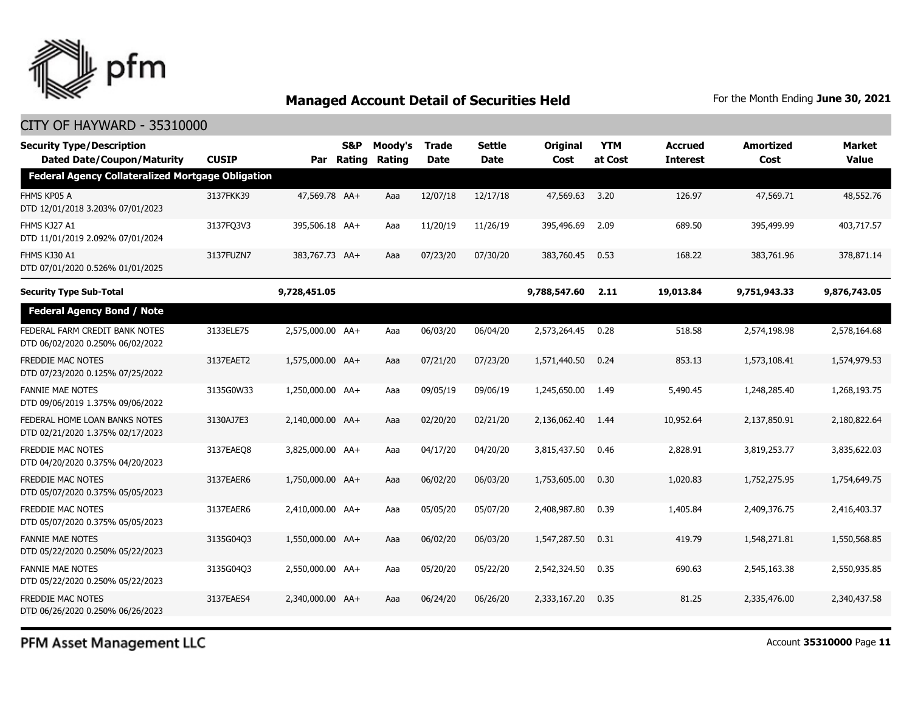

### CITY OF HAYWARD - 35310000

| <b>Security Type/Description</b><br><b>Dated Date/Coupon/Maturity</b> | <b>CUSIP</b> | Par              | S&P<br>Rating | Moody's<br>Rating | <b>Trade</b><br><b>Date</b> | Settle<br><b>Date</b> | Original<br>Cost | <b>YTM</b><br>at Cost | <b>Accrued</b><br><b>Interest</b> | <b>Amortized</b><br>Cost | Market<br><b>Value</b> |
|-----------------------------------------------------------------------|--------------|------------------|---------------|-------------------|-----------------------------|-----------------------|------------------|-----------------------|-----------------------------------|--------------------------|------------------------|
| <b>Federal Agency Collateralized Mortgage Obligation</b>              |              |                  |               |                   |                             |                       |                  |                       |                                   |                          |                        |
| FHMS KP05 A<br>DTD 12/01/2018 3.203% 07/01/2023                       | 3137FKK39    | 47,569.78 AA+    |               | Aaa               | 12/07/18                    | 12/17/18              | 47,569.63        | 3.20                  | 126.97                            | 47,569.71                | 48,552.76              |
| FHMS KJ27 A1<br>DTD 11/01/2019 2.092% 07/01/2024                      | 3137FQ3V3    | 395,506.18 AA+   |               | Aaa               | 11/20/19                    | 11/26/19              | 395,496.69       | 2.09                  | 689.50                            | 395,499.99               | 403,717.57             |
| FHMS KJ30 A1<br>DTD 07/01/2020 0.526% 01/01/2025                      | 3137FUZN7    | 383,767.73 AA+   |               | Aaa               | 07/23/20                    | 07/30/20              | 383,760.45       | 0.53                  | 168.22                            | 383,761.96               | 378,871.14             |
| <b>Security Type Sub-Total</b>                                        |              | 9,728,451.05     |               |                   |                             |                       | 9,788,547.60     | 2.11                  | 19,013.84                         | 9,751,943.33             | 9,876,743.05           |
| <b>Federal Agency Bond / Note</b>                                     |              |                  |               |                   |                             |                       |                  |                       |                                   |                          |                        |
| FEDERAL FARM CREDIT BANK NOTES<br>DTD 06/02/2020 0.250% 06/02/2022    | 3133ELE75    | 2,575,000.00 AA+ |               | Aaa               | 06/03/20                    | 06/04/20              | 2,573,264.45     | 0.28                  | 518.58                            | 2,574,198.98             | 2,578,164.68           |
| <b>FREDDIE MAC NOTES</b><br>DTD 07/23/2020 0.125% 07/25/2022          | 3137EAET2    | 1,575,000.00 AA+ |               | Aaa               | 07/21/20                    | 07/23/20              | 1,571,440.50     | 0.24                  | 853.13                            | 1,573,108.41             | 1,574,979.53           |
| <b>FANNIE MAE NOTES</b><br>DTD 09/06/2019 1.375% 09/06/2022           | 3135G0W33    | 1,250,000.00 AA+ |               | Aaa               | 09/05/19                    | 09/06/19              | 1,245,650.00     | 1.49                  | 5,490.45                          | 1,248,285.40             | 1,268,193.75           |
| FEDERAL HOME LOAN BANKS NOTES<br>DTD 02/21/2020 1.375% 02/17/2023     | 3130AJ7E3    | 2.140.000.00 AA+ |               | Aaa               | 02/20/20                    | 02/21/20              | 2,136,062.40     | 1.44                  | 10,952.64                         | 2,137,850.91             | 2,180,822.64           |
| <b>FREDDIE MAC NOTES</b><br>DTD 04/20/2020 0.375% 04/20/2023          | 3137EAEO8    | 3,825,000.00 AA+ |               | Aaa               | 04/17/20                    | 04/20/20              | 3,815,437.50     | 0.46                  | 2,828.91                          | 3,819,253.77             | 3,835,622.03           |
| <b>FREDDIE MAC NOTES</b><br>DTD 05/07/2020 0.375% 05/05/2023          | 3137EAER6    | 1,750,000.00 AA+ |               | Aaa               | 06/02/20                    | 06/03/20              | 1,753,605.00     | 0.30                  | 1,020.83                          | 1,752,275.95             | 1,754,649.75           |
| <b>FREDDIE MAC NOTES</b><br>DTD 05/07/2020 0.375% 05/05/2023          | 3137EAER6    | 2,410,000.00 AA+ |               | Aaa               | 05/05/20                    | 05/07/20              | 2,408,987.80     | 0.39                  | 1,405.84                          | 2,409,376.75             | 2,416,403.37           |
| <b>FANNIE MAE NOTES</b><br>DTD 05/22/2020 0.250% 05/22/2023           | 3135G04O3    | 1,550,000.00 AA+ |               | Aaa               | 06/02/20                    | 06/03/20              | 1,547,287.50     | 0.31                  | 419.79                            | 1,548,271.81             | 1,550,568.85           |
| <b>FANNIE MAE NOTES</b><br>DTD 05/22/2020 0.250% 05/22/2023           | 3135G04Q3    | 2,550,000.00 AA+ |               | Aaa               | 05/20/20                    | 05/22/20              | 2,542,324.50     | 0.35                  | 690.63                            | 2,545,163,38             | 2,550,935.85           |
| FREDDIE MAC NOTES<br>DTD 06/26/2020 0.250% 06/26/2023                 | 3137EAES4    | 2,340,000.00 AA+ |               | Aaa               | 06/24/20                    | 06/26/20              | 2,333,167.20     | 0.35                  | 81.25                             | 2,335,476.00             | 2,340,437.58           |

PFM Asset Management LLC

Account **35310000** Page **11**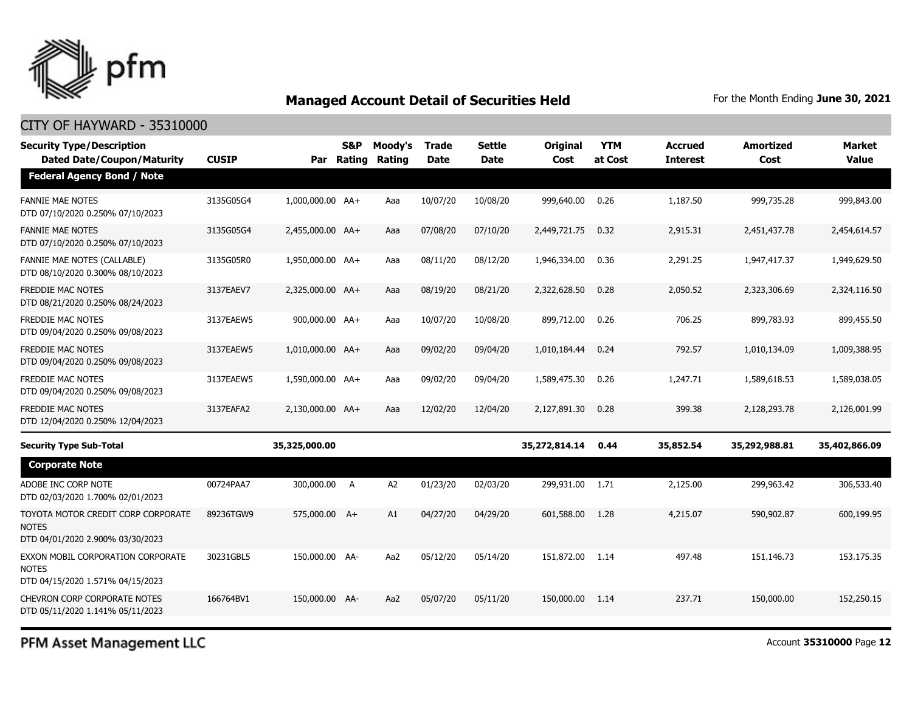

#### CITY OF HAYWARD - 35310000

| <b>Security Type/Description</b><br><b>Dated Date/Coupon/Maturity</b>                  | <b>CUSIP</b> |                  | <b>S&amp;P</b><br>Par Rating | Moody's<br>Rating | <b>Trade</b><br><b>Date</b> | <b>Settle</b><br>Date | Original<br>Cost | <b>YTM</b><br>at Cost | Accrued<br><b>Interest</b> | <b>Amortized</b><br>Cost | <b>Market</b><br><b>Value</b> |
|----------------------------------------------------------------------------------------|--------------|------------------|------------------------------|-------------------|-----------------------------|-----------------------|------------------|-----------------------|----------------------------|--------------------------|-------------------------------|
| <b>Federal Agency Bond / Note</b>                                                      |              |                  |                              |                   |                             |                       |                  |                       |                            |                          |                               |
| <b>FANNIE MAE NOTES</b><br>DTD 07/10/2020 0.250% 07/10/2023                            | 3135G05G4    | 1,000,000.00 AA+ |                              | Aaa               | 10/07/20                    | 10/08/20              | 999,640.00       | 0.26                  | 1,187.50                   | 999,735.28               | 999,843.00                    |
| <b>FANNIE MAE NOTES</b><br>DTD 07/10/2020 0.250% 07/10/2023                            | 3135G05G4    | 2,455,000.00 AA+ |                              | Aaa               | 07/08/20                    | 07/10/20              | 2,449,721.75     | 0.32                  | 2,915.31                   | 2,451,437.78             | 2,454,614.57                  |
| FANNIE MAE NOTES (CALLABLE)<br>DTD 08/10/2020 0.300% 08/10/2023                        | 3135G05R0    | 1,950,000.00 AA+ |                              | Aaa               | 08/11/20                    | 08/12/20              | 1,946,334.00     | 0.36                  | 2,291.25                   | 1,947,417.37             | 1,949,629.50                  |
| <b>FREDDIE MAC NOTES</b><br>DTD 08/21/2020 0.250% 08/24/2023                           | 3137EAEV7    | 2,325,000.00 AA+ |                              | Aaa               | 08/19/20                    | 08/21/20              | 2,322,628.50     | 0.28                  | 2,050.52                   | 2,323,306.69             | 2,324,116.50                  |
| <b>FREDDIE MAC NOTES</b><br>DTD 09/04/2020 0.250% 09/08/2023                           | 3137EAEW5    | 900,000.00 AA+   |                              | Aaa               | 10/07/20                    | 10/08/20              | 899,712.00       | 0.26                  | 706.25                     | 899,783.93               | 899,455.50                    |
| <b>FREDDIE MAC NOTES</b><br>DTD 09/04/2020 0.250% 09/08/2023                           | 3137EAEW5    | 1,010,000.00 AA+ |                              | Aaa               | 09/02/20                    | 09/04/20              | 1,010,184.44     | 0.24                  | 792.57                     | 1,010,134.09             | 1,009,388.95                  |
| FREDDIE MAC NOTES<br>DTD 09/04/2020 0.250% 09/08/2023                                  | 3137EAEW5    | 1,590,000.00 AA+ |                              | Aaa               | 09/02/20                    | 09/04/20              | 1,589,475.30     | 0.26                  | 1,247.71                   | 1,589,618.53             | 1,589,038.05                  |
| <b>FREDDIE MAC NOTES</b><br>DTD 12/04/2020 0.250% 12/04/2023                           | 3137EAFA2    | 2,130,000.00 AA+ |                              | Aaa               | 12/02/20                    | 12/04/20              | 2,127,891.30     | 0.28                  | 399.38                     | 2,128,293.78             | 2,126,001.99                  |
| <b>Security Type Sub-Total</b>                                                         |              | 35,325,000.00    |                              |                   |                             |                       | 35,272,814.14    | 0.44                  | 35,852.54                  | 35,292,988.81            | 35,402,866.09                 |
| <b>Corporate Note</b>                                                                  |              |                  |                              |                   |                             |                       |                  |                       |                            |                          |                               |
| ADOBE INC CORP NOTE<br>DTD 02/03/2020 1.700% 02/01/2023                                | 00724PAA7    | 300,000.00 A     |                              | A <sub>2</sub>    | 01/23/20                    | 02/03/20              | 299,931.00       | 1.71                  | 2,125.00                   | 299,963.42               | 306,533.40                    |
| TOYOTA MOTOR CREDIT CORP CORPORATE<br><b>NOTES</b><br>DTD 04/01/2020 2.900% 03/30/2023 | 89236TGW9    | 575,000.00 A+    |                              | A1                | 04/27/20                    | 04/29/20              | 601,588.00       | 1.28                  | 4,215.07                   | 590,902.87               | 600.199.95                    |
| EXXON MOBIL CORPORATION CORPORATE<br><b>NOTES</b><br>DTD 04/15/2020 1.571% 04/15/2023  | 30231GBL5    | 150,000.00 AA-   |                              | Aa2               | 05/12/20                    | 05/14/20              | 151,872.00       | 1.14                  | 497.48                     | 151,146.73               | 153,175.35                    |
| <b>CHEVRON CORP CORPORATE NOTES</b><br>DTD 05/11/2020 1.141% 05/11/2023                | 166764BV1    | 150,000.00 AA-   |                              | Aa2               | 05/07/20                    | 05/11/20              | 150,000.00       | 1.14                  | 237.71                     | 150,000.00               | 152,250.15                    |

PFM Asset Management LLC

Account **35310000** Page **12**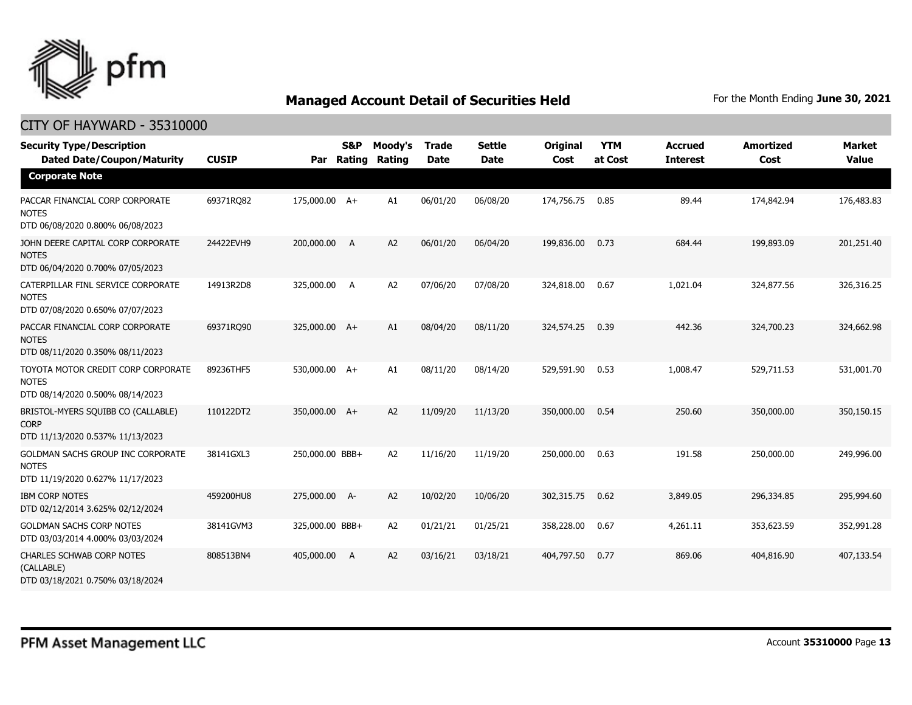

| <b>Security Type/Description</b><br><b>Dated Date/Coupon/Maturity</b>                  | <b>CUSIP</b> | Par             | S&P<br>Rating | Moody's<br>Rating | <b>Trade</b><br><b>Date</b> | <b>Settle</b><br><b>Date</b> | Original<br>Cost | <b>YTM</b><br>at Cost | <b>Accrued</b><br><b>Interest</b> | <b>Amortized</b><br>Cost | <b>Market</b><br><b>Value</b> |
|----------------------------------------------------------------------------------------|--------------|-----------------|---------------|-------------------|-----------------------------|------------------------------|------------------|-----------------------|-----------------------------------|--------------------------|-------------------------------|
| <b>Corporate Note</b>                                                                  |              |                 |               |                   |                             |                              |                  |                       |                                   |                          |                               |
| PACCAR FINANCIAL CORP CORPORATE<br><b>NOTES</b><br>DTD 06/08/2020 0.800% 06/08/2023    | 69371RQ82    | 175,000.00 A+   |               | A1                | 06/01/20                    | 06/08/20                     | 174,756.75       | 0.85                  | 89.44                             | 174,842.94               | 176,483.83                    |
| JOHN DEERE CAPITAL CORP CORPORATE<br><b>NOTES</b><br>DTD 06/04/2020 0.700% 07/05/2023  | 24422EVH9    | 200,000.00      | A             | A2                | 06/01/20                    | 06/04/20                     | 199,836,00       | 0.73                  | 684.44                            | 199,893.09               | 201,251.40                    |
| CATERPILLAR FINL SERVICE CORPORATE<br><b>NOTES</b><br>DTD 07/08/2020 0.650% 07/07/2023 | 14913R2D8    | 325,000.00      | A             | A <sub>2</sub>    | 07/06/20                    | 07/08/20                     | 324,818.00       | 0.67                  | 1,021.04                          | 324,877.56               | 326,316.25                    |
| PACCAR FINANCIAL CORP CORPORATE<br><b>NOTES</b><br>DTD 08/11/2020 0.350% 08/11/2023    | 69371RO90    | 325,000.00 A+   |               | A1                | 08/04/20                    | 08/11/20                     | 324,574.25       | 0.39                  | 442.36                            | 324,700.23               | 324,662.98                    |
| TOYOTA MOTOR CREDIT CORP CORPORATE<br><b>NOTES</b><br>DTD 08/14/2020 0.500% 08/14/2023 | 89236THF5    | 530,000.00 A+   |               | A1                | 08/11/20                    | 08/14/20                     | 529,591.90       | 0.53                  | 1,008.47                          | 529,711.53               | 531,001.70                    |
| BRISTOL-MYERS SQUIBB CO (CALLABLE)<br><b>CORP</b><br>DTD 11/13/2020 0.537% 11/13/2023  | 110122DT2    | 350,000.00 A+   |               | A2                | 11/09/20                    | 11/13/20                     | 350,000.00       | 0.54                  | 250.60                            | 350,000,00               | 350,150.15                    |
| GOLDMAN SACHS GROUP INC CORPORATE<br><b>NOTES</b><br>DTD 11/19/2020 0.627% 11/17/2023  | 38141GXL3    | 250,000.00 BBB+ |               | A <sub>2</sub>    | 11/16/20                    | 11/19/20                     | 250,000.00       | 0.63                  | 191.58                            | 250,000.00               | 249,996.00                    |
| <b>IBM CORP NOTES</b><br>DTD 02/12/2014 3.625% 02/12/2024                              | 459200HU8    | 275,000.00 A-   |               | A <sub>2</sub>    | 10/02/20                    | 10/06/20                     | 302,315.75       | 0.62                  | 3,849.05                          | 296,334.85               | 295,994.60                    |
| <b>GOLDMAN SACHS CORP NOTES</b><br>DTD 03/03/2014 4.000% 03/03/2024                    | 38141GVM3    | 325,000.00 BBB+ |               | A <sub>2</sub>    | 01/21/21                    | 01/25/21                     | 358,228.00       | 0.67                  | 4,261.11                          | 353,623.59               | 352,991.28                    |
| <b>CHARLES SCHWAB CORP NOTES</b><br>(CALLABLE)<br>DTD 03/18/2021 0.750% 03/18/2024     | 808513BN4    | 405,000.00      | A             | A <sub>2</sub>    | 03/16/21                    | 03/18/21                     | 404,797.50       | 0.77                  | 869.06                            | 404,816.90               | 407,133.54                    |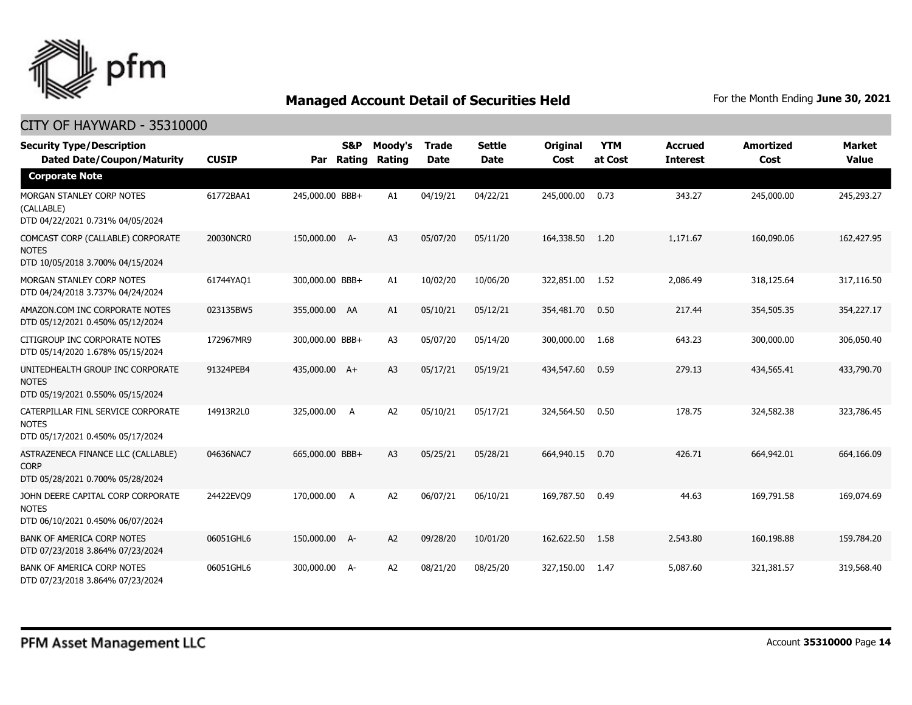

| <b>Security Type/Description</b><br><b>Dated Date/Coupon/Maturity</b>                  | <b>CUSIP</b> | Par             | <b>S&amp;P</b><br>Rating | Moody's<br>Rating | <b>Trade</b><br><b>Date</b> | <b>Settle</b><br><b>Date</b> | Original<br>Cost | <b>YTM</b><br>at Cost | <b>Accrued</b><br><b>Interest</b> | <b>Amortized</b><br>Cost | Market<br><b>Value</b> |
|----------------------------------------------------------------------------------------|--------------|-----------------|--------------------------|-------------------|-----------------------------|------------------------------|------------------|-----------------------|-----------------------------------|--------------------------|------------------------|
| <b>Corporate Note</b>                                                                  |              |                 |                          |                   |                             |                              |                  |                       |                                   |                          |                        |
| MORGAN STANLEY CORP NOTES<br>(CALLABLE)<br>DTD 04/22/2021 0.731% 04/05/2024            | 61772BAA1    | 245,000.00 BBB+ |                          | A1                | 04/19/21                    | 04/22/21                     | 245,000.00       | 0.73                  | 343.27                            | 245,000.00               | 245,293.27             |
| COMCAST CORP (CALLABLE) CORPORATE<br><b>NOTES</b><br>DTD 10/05/2018 3.700% 04/15/2024  | 20030NCR0    | 150,000.00 A-   |                          | A <sub>3</sub>    | 05/07/20                    | 05/11/20                     | 164,338.50       | 1.20                  | 1,171.67                          | 160,090.06               | 162,427.95             |
| MORGAN STANLEY CORP NOTES<br>DTD 04/24/2018 3.737% 04/24/2024                          | 61744YAQ1    | 300,000.00 BBB+ |                          | A1                | 10/02/20                    | 10/06/20                     | 322,851.00       | 1.52                  | 2,086.49                          | 318,125.64               | 317,116.50             |
| AMAZON.COM INC CORPORATE NOTES<br>DTD 05/12/2021 0.450% 05/12/2024                     | 023135BW5    | 355,000.00 AA   |                          | A1                | 05/10/21                    | 05/12/21                     | 354,481.70       | 0.50                  | 217.44                            | 354,505.35               | 354,227.17             |
| CITIGROUP INC CORPORATE NOTES<br>DTD 05/14/2020 1.678% 05/15/2024                      | 172967MR9    | 300,000.00 BBB+ |                          | A <sub>3</sub>    | 05/07/20                    | 05/14/20                     | 300,000.00       | 1.68                  | 643.23                            | 300,000.00               | 306,050.40             |
| UNITEDHEALTH GROUP INC CORPORATE<br><b>NOTES</b><br>DTD 05/19/2021 0.550% 05/15/2024   | 91324PEB4    | 435,000.00 A+   |                          | A <sub>3</sub>    | 05/17/21                    | 05/19/21                     | 434,547.60       | 0.59                  | 279.13                            | 434,565.41               | 433,790.70             |
| CATERPILLAR FINL SERVICE CORPORATE<br><b>NOTES</b><br>DTD 05/17/2021 0.450% 05/17/2024 | 14913R2L0    | 325,000.00      | A                        | A <sub>2</sub>    | 05/10/21                    | 05/17/21                     | 324,564.50       | 0.50                  | 178.75                            | 324,582.38               | 323,786.45             |
| ASTRAZENECA FINANCE LLC (CALLABLE)<br><b>CORP</b><br>DTD 05/28/2021 0.700% 05/28/2024  | 04636NAC7    | 665,000.00 BBB+ |                          | A <sub>3</sub>    | 05/25/21                    | 05/28/21                     | 664,940.15       | 0.70                  | 426.71                            | 664,942.01               | 664,166.09             |
| JOHN DEERE CAPITAL CORP CORPORATE<br><b>NOTES</b><br>DTD 06/10/2021 0.450% 06/07/2024  | 24422EVO9    | 170,000.00      | <b>A</b>                 | A <sub>2</sub>    | 06/07/21                    | 06/10/21                     | 169,787.50       | 0.49                  | 44.63                             | 169,791.58               | 169,074.69             |
| <b>BANK OF AMERICA CORP NOTES</b><br>DTD 07/23/2018 3.864% 07/23/2024                  | 06051GHL6    | 150,000.00 A-   |                          | A <sub>2</sub>    | 09/28/20                    | 10/01/20                     | 162,622.50       | 1.58                  | 2,543,80                          | 160,198.88               | 159,784.20             |
| <b>BANK OF AMERICA CORP NOTES</b><br>DTD 07/23/2018 3.864% 07/23/2024                  | 06051GHL6    | 300,000.00 A-   |                          | A2                | 08/21/20                    | 08/25/20                     | 327,150.00       | 1.47                  | 5,087.60                          | 321,381.57               | 319,568.40             |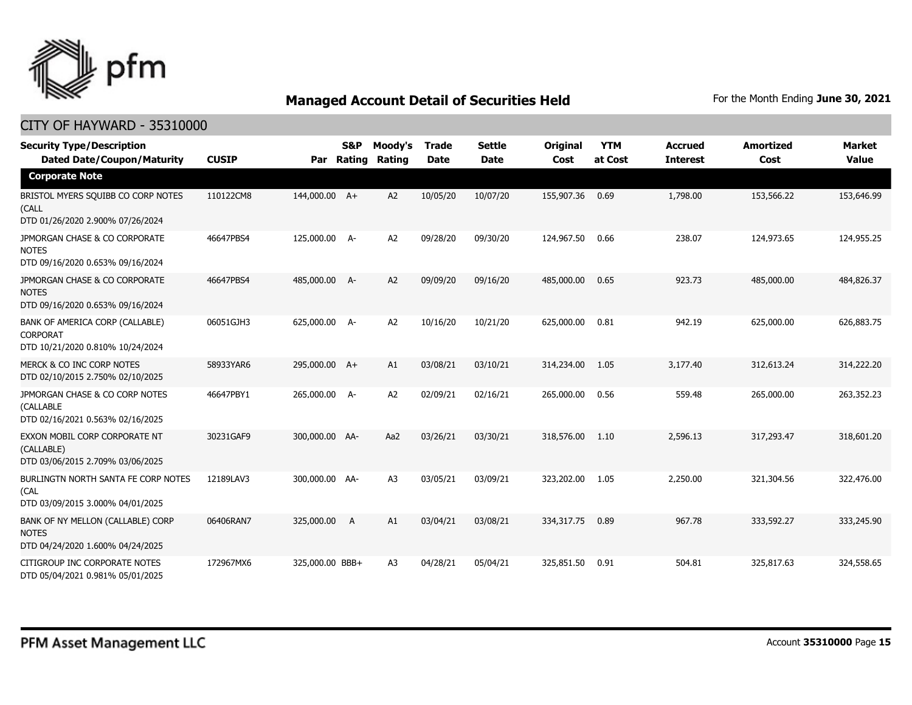

| <b>Security Type/Description</b><br><b>Dated Date/Coupon/Maturity</b>                  | <b>CUSIP</b> | Par             | S&P<br>Rating | Moody's<br><b>Rating</b> | <b>Trade</b><br><b>Date</b> | <b>Settle</b><br><b>Date</b> | Original<br>Cost | <b>YTM</b><br>at Cost | <b>Accrued</b><br><b>Interest</b> | <b>Amortized</b><br>Cost | <b>Market</b><br><b>Value</b> |
|----------------------------------------------------------------------------------------|--------------|-----------------|---------------|--------------------------|-----------------------------|------------------------------|------------------|-----------------------|-----------------------------------|--------------------------|-------------------------------|
| <b>Corporate Note</b>                                                                  |              |                 |               |                          |                             |                              |                  |                       |                                   |                          |                               |
| BRISTOL MYERS SQUIBB CO CORP NOTES<br>(CALL<br>DTD 01/26/2020 2.900% 07/26/2024        | 110122CM8    | 144,000.00 A+   |               | A2                       | 10/05/20                    | 10/07/20                     | 155,907.36       | 0.69                  | 1,798.00                          | 153,566.22               | 153,646.99                    |
| JPMORGAN CHASE & CO CORPORATE<br><b>NOTES</b><br>DTD 09/16/2020 0.653% 09/16/2024      | 46647PBS4    | 125,000.00 A-   |               | A <sub>2</sub>           | 09/28/20                    | 09/30/20                     | 124,967.50       | 0.66                  | 238.07                            | 124,973.65               | 124,955.25                    |
| JPMORGAN CHASE & CO CORPORATE<br><b>NOTES</b><br>DTD 09/16/2020 0.653% 09/16/2024      | 46647PBS4    | 485,000.00 A-   |               | A <sub>2</sub>           | 09/09/20                    | 09/16/20                     | 485,000.00       | 0.65                  | 923.73                            | 485,000.00               | 484,826.37                    |
| BANK OF AMERICA CORP (CALLABLE)<br><b>CORPORAT</b><br>DTD 10/21/2020 0.810% 10/24/2024 | 06051GJH3    | 625,000.00 A-   |               | A <sub>2</sub>           | 10/16/20                    | 10/21/20                     | 625,000.00       | 0.81                  | 942.19                            | 625,000.00               | 626,883.75                    |
| MERCK & CO INC CORP NOTES<br>DTD 02/10/2015 2.750% 02/10/2025                          | 58933YAR6    | 295,000.00 A+   |               | A1                       | 03/08/21                    | 03/10/21                     | 314,234.00       | 1.05                  | 3,177,40                          | 312,613.24               | 314,222.20                    |
| JPMORGAN CHASE & CO CORP NOTES<br>(CALLABLE<br>DTD 02/16/2021 0.563% 02/16/2025        | 46647PBY1    | 265,000.00 A-   |               | A2                       | 02/09/21                    | 02/16/21                     | 265,000.00       | 0.56                  | 559.48                            | 265,000.00               | 263,352,23                    |
| EXXON MOBIL CORP CORPORATE NT<br>(CALLABLE)<br>DTD 03/06/2015 2.709% 03/06/2025        | 30231GAF9    | 300,000.00 AA-  |               | Aa2                      | 03/26/21                    | 03/30/21                     | 318,576.00       | 1.10                  | 2,596.13                          | 317,293.47               | 318,601.20                    |
| BURLINGTN NORTH SANTA FE CORP NOTES<br>(CAL<br>DTD 03/09/2015 3.000% 04/01/2025        | 12189LAV3    | 300,000.00 AA-  |               | A <sub>3</sub>           | 03/05/21                    | 03/09/21                     | 323,202.00       | 1.05                  | 2,250.00                          | 321,304.56               | 322,476.00                    |
| BANK OF NY MELLON (CALLABLE) CORP<br><b>NOTES</b><br>DTD 04/24/2020 1.600% 04/24/2025  | 06406RAN7    | 325,000.00      | A             | A1                       | 03/04/21                    | 03/08/21                     | 334,317,75       | 0.89                  | 967.78                            | 333,592.27               | 333,245.90                    |
| CITIGROUP INC CORPORATE NOTES<br>DTD 05/04/2021 0.981% 05/01/2025                      | 172967MX6    | 325,000.00 BBB+ |               | A <sub>3</sub>           | 04/28/21                    | 05/04/21                     | 325,851.50       | 0.91                  | 504.81                            | 325,817.63               | 324,558.65                    |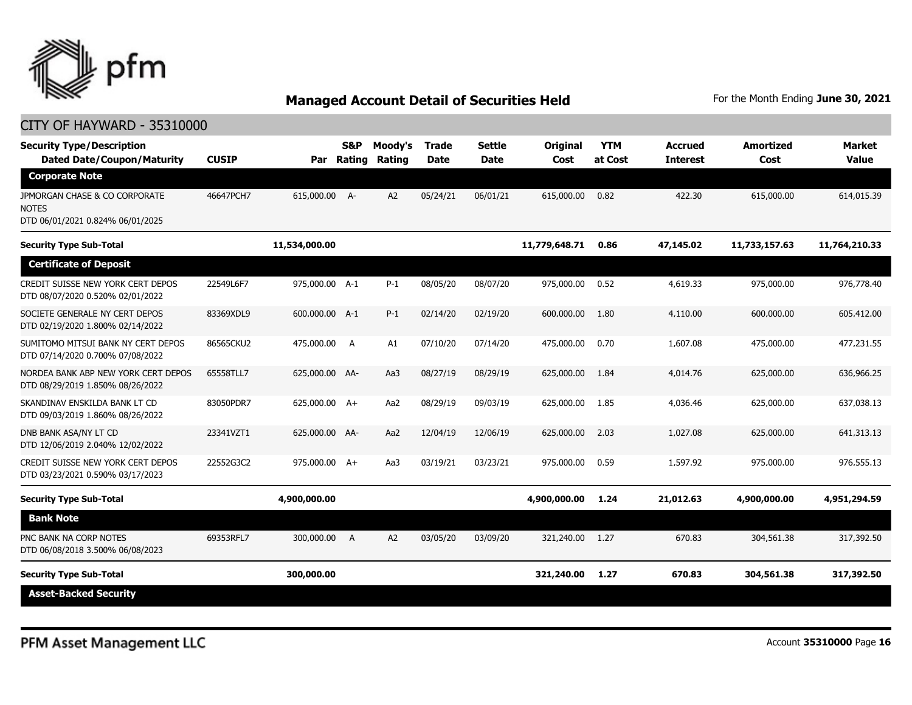

| <b>Security Type/Description</b><br><b>Dated Date/Coupon/Maturity</b>             | <b>CUSIP</b> | Par            | <b>S&amp;P</b><br>Rating | Moody's<br>Rating | <b>Trade</b><br><b>Date</b> | <b>Settle</b><br><b>Date</b> | Original<br>Cost | <b>YTM</b><br>at Cost | <b>Accrued</b><br><b>Interest</b> | <b>Amortized</b><br>Cost | <b>Market</b><br><b>Value</b> |
|-----------------------------------------------------------------------------------|--------------|----------------|--------------------------|-------------------|-----------------------------|------------------------------|------------------|-----------------------|-----------------------------------|--------------------------|-------------------------------|
| <b>Corporate Note</b>                                                             |              |                |                          |                   |                             |                              |                  |                       |                                   |                          |                               |
| JPMORGAN CHASE & CO CORPORATE<br><b>NOTES</b><br>DTD 06/01/2021 0.824% 06/01/2025 | 46647PCH7    | 615,000.00 A-  |                          | A <sub>2</sub>    | 05/24/21                    | 06/01/21                     | 615,000.00       | 0.82                  | 422.30                            | 615,000.00               | 614,015.39                    |
| <b>Security Type Sub-Total</b>                                                    |              | 11,534,000.00  |                          |                   |                             |                              | 11,779,648.71    | 0.86                  | 47,145.02                         | 11,733,157.63            | 11,764,210.33                 |
| <b>Certificate of Deposit</b>                                                     |              |                |                          |                   |                             |                              |                  |                       |                                   |                          |                               |
| CREDIT SUISSE NEW YORK CERT DEPOS<br>DTD 08/07/2020 0.520% 02/01/2022             | 22549L6F7    | 975,000.00 A-1 |                          | $P-1$             | 08/05/20                    | 08/07/20                     | 975,000.00       | 0.52                  | 4,619.33                          | 975,000.00               | 976,778.40                    |
| SOCIETE GENERALE NY CERT DEPOS<br>DTD 02/19/2020 1.800% 02/14/2022                | 83369XDL9    | 600,000,00 A-1 |                          | $P-1$             | 02/14/20                    | 02/19/20                     | 600,000,00       | 1.80                  | 4,110,00                          | 600,000,00               | 605,412.00                    |
| SUMITOMO MITSUI BANK NY CERT DEPOS<br>DTD 07/14/2020 0.700% 07/08/2022            | 86565CKU2    | 475,000,00     | A                        | A1                | 07/10/20                    | 07/14/20                     | 475,000.00       | 0.70                  | 1,607.08                          | 475,000.00               | 477,231.55                    |
| NORDEA BANK ABP NEW YORK CERT DEPOS<br>DTD 08/29/2019 1.850% 08/26/2022           | 65558TLL7    | 625,000.00 AA- |                          | Aa3               | 08/27/19                    | 08/29/19                     | 625,000.00       | 1.84                  | 4,014.76                          | 625,000.00               | 636,966.25                    |
| SKANDINAV ENSKILDA BANK LT CD<br>DTD 09/03/2019 1.860% 08/26/2022                 | 83050PDR7    | 625,000.00 A+  |                          | Aa2               | 08/29/19                    | 09/03/19                     | 625,000.00       | 1.85                  | 4,036.46                          | 625,000.00               | 637,038.13                    |
| DNB BANK ASA/NY LT CD<br>DTD 12/06/2019 2.040% 12/02/2022                         | 23341VZT1    | 625,000.00 AA- |                          | Aa2               | 12/04/19                    | 12/06/19                     | 625,000.00       | 2.03                  | 1,027,08                          | 625,000.00               | 641,313.13                    |
| CREDIT SUISSE NEW YORK CERT DEPOS<br>DTD 03/23/2021 0.590% 03/17/2023             | 22552G3C2    | 975,000.00 A+  |                          | Aa3               | 03/19/21                    | 03/23/21                     | 975,000.00       | 0.59                  | 1,597.92                          | 975,000.00               | 976,555.13                    |
| <b>Security Type Sub-Total</b>                                                    |              | 4,900,000.00   |                          |                   |                             |                              | 4,900,000.00     | 1.24                  | 21,012.63                         | 4,900,000.00             | 4,951,294.59                  |
| <b>Bank Note</b>                                                                  |              |                |                          |                   |                             |                              |                  |                       |                                   |                          |                               |
| PNC BANK NA CORP NOTES<br>DTD 06/08/2018 3.500% 06/08/2023                        | 69353RFL7    | 300,000.00     | A                        | A <sub>2</sub>    | 03/05/20                    | 03/09/20                     | 321,240.00       | 1.27                  | 670.83                            | 304,561.38               | 317,392.50                    |
| <b>Security Type Sub-Total</b>                                                    |              | 300,000.00     |                          |                   |                             |                              | 321,240.00       | 1.27                  | 670.83                            | 304,561.38               | 317,392.50                    |
| <b>Asset-Backed Security</b>                                                      |              |                |                          |                   |                             |                              |                  |                       |                                   |                          |                               |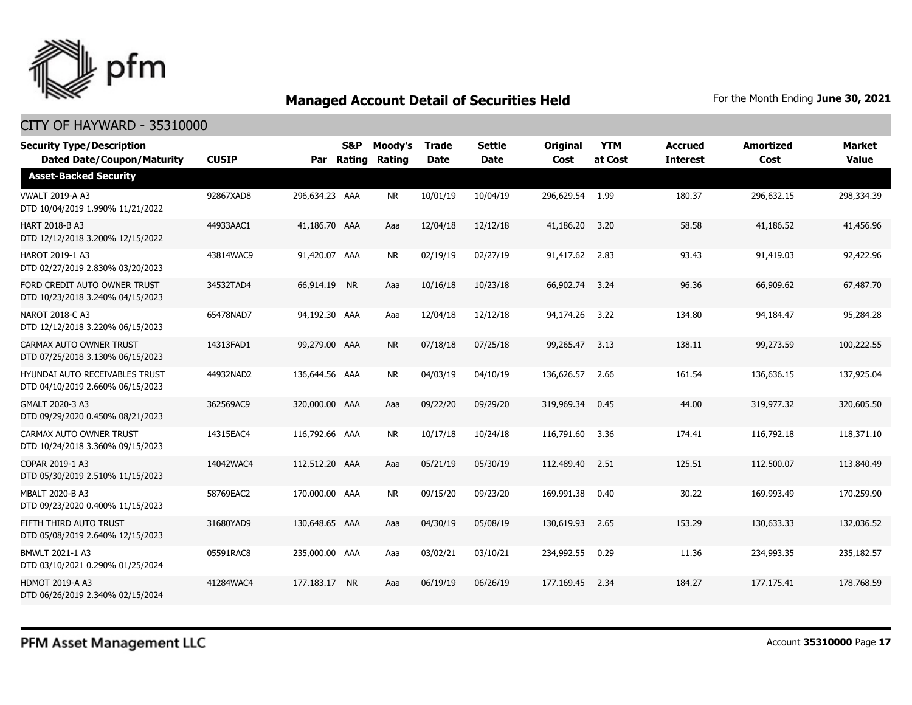

| <b>Security Type/Description</b><br><b>Dated Date/Coupon/Maturity</b> | <b>CUSIP</b> |                | S&P<br>Par Rating | Moody's<br>Rating | <b>Trade</b><br><b>Date</b> | <b>Settle</b><br><b>Date</b> | <b>Original</b><br>Cost | <b>YTM</b><br>at Cost | <b>Accrued</b><br><b>Interest</b> | <b>Amortized</b><br>Cost | <b>Market</b><br><b>Value</b> |
|-----------------------------------------------------------------------|--------------|----------------|-------------------|-------------------|-----------------------------|------------------------------|-------------------------|-----------------------|-----------------------------------|--------------------------|-------------------------------|
| <b>Asset-Backed Security</b>                                          |              |                |                   |                   |                             |                              |                         |                       |                                   |                          |                               |
| <b>VWALT 2019-A A3</b><br>DTD 10/04/2019 1.990% 11/21/2022            | 92867XAD8    | 296,634.23 AAA |                   | NR.               | 10/01/19                    | 10/04/19                     | 296,629.54              | 1.99                  | 180.37                            | 296,632.15               | 298,334.39                    |
| <b>HART 2018-B A3</b><br>DTD 12/12/2018 3.200% 12/15/2022             | 44933AAC1    | 41,186.70 AAA  |                   | Aaa               | 12/04/18                    | 12/12/18                     | 41,186.20               | 3.20                  | 58.58                             | 41,186.52                | 41,456.96                     |
| HAROT 2019-1 A3<br>DTD 02/27/2019 2.830% 03/20/2023                   | 43814WAC9    | 91,420.07 AAA  |                   | <b>NR</b>         | 02/19/19                    | 02/27/19                     | 91,417.62               | 2.83                  | 93.43                             | 91,419.03                | 92,422.96                     |
| FORD CREDIT AUTO OWNER TRUST<br>DTD 10/23/2018 3.240% 04/15/2023      | 34532TAD4    | 66,914.19 NR   |                   | Aaa               | 10/16/18                    | 10/23/18                     | 66,902.74               | - 3.24                | 96.36                             | 66,909.62                | 67,487.70                     |
| NAROT 2018-C A3<br>DTD 12/12/2018 3.220% 06/15/2023                   | 65478NAD7    | 94,192.30 AAA  |                   | Aaa               | 12/04/18                    | 12/12/18                     | 94,174.26               | 3.22                  | 134.80                            | 94,184.47                | 95,284.28                     |
| CARMAX AUTO OWNER TRUST<br>DTD 07/25/2018 3.130% 06/15/2023           | 14313FAD1    | 99,279.00 AAA  |                   | <b>NR</b>         | 07/18/18                    | 07/25/18                     | 99,265.47               | 3.13                  | 138.11                            | 99,273.59                | 100,222.55                    |
| HYUNDAI AUTO RECEIVABLES TRUST<br>DTD 04/10/2019 2.660% 06/15/2023    | 44932NAD2    | 136,644.56 AAA |                   | <b>NR</b>         | 04/03/19                    | 04/10/19                     | 136,626.57              | 2.66                  | 161.54                            | 136,636.15               | 137,925.04                    |
| GMALT 2020-3 A3<br>DTD 09/29/2020 0.450% 08/21/2023                   | 362569AC9    | 320,000.00 AAA |                   | Aaa               | 09/22/20                    | 09/29/20                     | 319,969.34              | 0.45                  | 44.00                             | 319,977.32               | 320,605.50                    |
| CARMAX AUTO OWNER TRUST<br>DTD 10/24/2018 3.360% 09/15/2023           | 14315EAC4    | 116,792.66 AAA |                   | <b>NR</b>         | 10/17/18                    | 10/24/18                     | 116,791.60              | 3.36                  | 174.41                            | 116,792.18               | 118,371.10                    |
| COPAR 2019-1 A3<br>DTD 05/30/2019 2.510% 11/15/2023                   | 14042WAC4    | 112,512.20 AAA |                   | Aaa               | 05/21/19                    | 05/30/19                     | 112,489.40              | 2.51                  | 125.51                            | 112,500.07               | 113,840.49                    |
| MBALT 2020-B A3<br>DTD 09/23/2020 0.400% 11/15/2023                   | 58769EAC2    | 170,000.00 AAA |                   | <b>NR</b>         | 09/15/20                    | 09/23/20                     | 169,991.38              | 0.40                  | 30.22                             | 169,993.49               | 170,259.90                    |
| FIFTH THIRD AUTO TRUST<br>DTD 05/08/2019 2.640% 12/15/2023            | 31680YAD9    | 130,648.65 AAA |                   | Aaa               | 04/30/19                    | 05/08/19                     | 130,619.93              | 2.65                  | 153.29                            | 130,633.33               | 132,036.52                    |
| BMWLT 2021-1 A3<br>DTD 03/10/2021 0.290% 01/25/2024                   | 05591RAC8    | 235,000.00 AAA |                   | Aaa               | 03/02/21                    | 03/10/21                     | 234,992.55              | 0.29                  | 11.36                             | 234,993.35               | 235,182.57                    |
| <b>HDMOT 2019-A A3</b><br>DTD 06/26/2019 2.340% 02/15/2024            | 41284WAC4    | 177,183.17 NR  |                   | Aaa               | 06/19/19                    | 06/26/19                     | 177,169.45              | 2.34                  | 184.27                            | 177, 175. 41             | 178,768.59                    |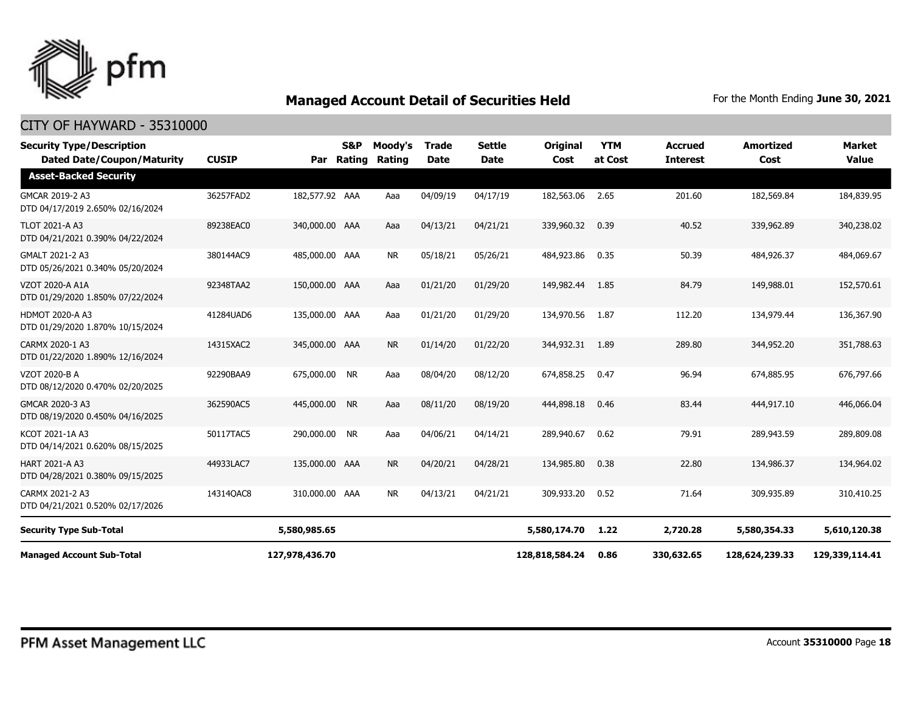

| <b>Security Type/Description</b><br><b>Dated Date/Coupon/Maturity</b> | <b>CUSIP</b> | Par            | S&P<br>Rating | Moody's<br>Rating | <b>Trade</b><br><b>Date</b> | Settle<br><b>Date</b> | <b>Original</b><br>Cost | <b>YTM</b><br>at Cost | <b>Accrued</b><br><b>Interest</b> | <b>Amortized</b><br>Cost | <b>Market</b><br><b>Value</b> |
|-----------------------------------------------------------------------|--------------|----------------|---------------|-------------------|-----------------------------|-----------------------|-------------------------|-----------------------|-----------------------------------|--------------------------|-------------------------------|
| <b>Asset-Backed Security</b>                                          |              |                |               |                   |                             |                       |                         |                       |                                   |                          |                               |
| GMCAR 2019-2 A3<br>DTD 04/17/2019 2.650% 02/16/2024                   | 36257FAD2    | 182,577.92 AAA |               | Aaa               | 04/09/19                    | 04/17/19              | 182,563.06              | 2.65                  | 201.60                            | 182,569.84               | 184,839.95                    |
| <b>TLOT 2021-A A3</b><br>DTD 04/21/2021 0.390% 04/22/2024             | 89238EAC0    | 340,000.00 AAA |               | Aaa               | 04/13/21                    | 04/21/21              | 339,960.32              | 0.39                  | 40.52                             | 339,962.89               | 340,238.02                    |
| GMALT 2021-2 A3<br>DTD 05/26/2021 0.340% 05/20/2024                   | 380144AC9    | 485,000.00 AAA |               | <b>NR</b>         | 05/18/21                    | 05/26/21              | 484,923.86              | 0.35                  | 50.39                             | 484,926.37               | 484,069.67                    |
| VZOT 2020-A A1A<br>DTD 01/29/2020 1.850% 07/22/2024                   | 92348TAA2    | 150,000.00 AAA |               | Aaa               | 01/21/20                    | 01/29/20              | 149,982.44              | 1.85                  | 84.79                             | 149,988.01               | 152,570.61                    |
| HDMOT 2020-A A3<br>DTD 01/29/2020 1.870% 10/15/2024                   | 41284UAD6    | 135,000.00 AAA |               | Aaa               | 01/21/20                    | 01/29/20              | 134,970.56              | 1.87                  | 112.20                            | 134,979.44               | 136,367.90                    |
| CARMX 2020-1 A3<br>DTD 01/22/2020 1.890% 12/16/2024                   | 14315XAC2    | 345,000.00 AAA |               | <b>NR</b>         | 01/14/20                    | 01/22/20              | 344,932.31              | 1.89                  | 289.80                            | 344,952.20               | 351,788.63                    |
| VZOT 2020-B A<br>DTD 08/12/2020 0.470% 02/20/2025                     | 92290BAA9    | 675,000.00 NR  |               | Aaa               | 08/04/20                    | 08/12/20              | 674,858.25              | 0.47                  | 96.94                             | 674,885.95               | 676,797.66                    |
| GMCAR 2020-3 A3<br>DTD 08/19/2020 0.450% 04/16/2025                   | 362590AC5    | 445,000.00 NR  |               | Aaa               | 08/11/20                    | 08/19/20              | 444,898.18              | 0.46                  | 83.44                             | 444,917.10               | 446,066.04                    |
| KCOT 2021-1A A3<br>DTD 04/14/2021 0.620% 08/15/2025                   | 50117TAC5    | 290,000.00 NR  |               | Aaa               | 04/06/21                    | 04/14/21              | 289,940.67              | 0.62                  | 79.91                             | 289,943.59               | 289,809.08                    |
| <b>HART 2021-A A3</b><br>DTD 04/28/2021 0.380% 09/15/2025             | 44933LAC7    | 135,000.00 AAA |               | <b>NR</b>         | 04/20/21                    | 04/28/21              | 134,985.80              | 0.38                  | 22.80                             | 134,986,37               | 134,964.02                    |
| CARMX 2021-2 A3<br>DTD 04/21/2021 0.520% 02/17/2026                   | 14314QAC8    | 310,000.00 AAA |               | <b>NR</b>         | 04/13/21                    | 04/21/21              | 309,933.20              | 0.52                  | 71.64                             | 309,935.89               | 310,410.25                    |
| <b>Security Type Sub-Total</b>                                        |              | 5,580,985.65   |               |                   |                             |                       | 5,580,174.70            | 1.22                  | 2,720.28                          | 5,580,354.33             | 5,610,120.38                  |
| <b>Managed Account Sub-Total</b>                                      |              | 127,978,436.70 |               |                   |                             |                       | 128,818,584.24          | 0.86                  | 330,632.65                        | 128,624,239.33           | 129,339,114.41                |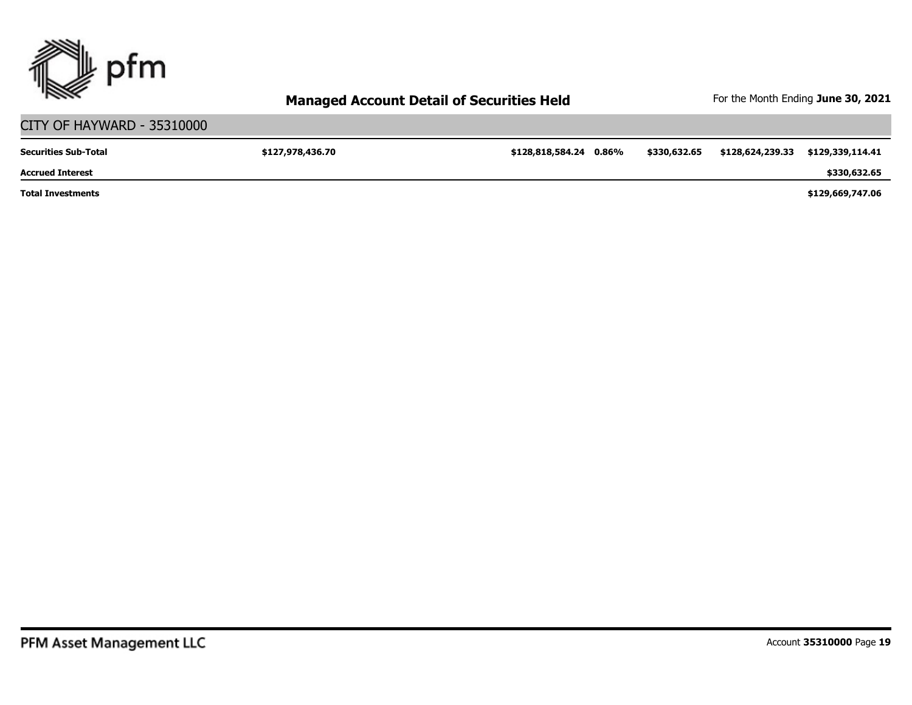

#### CITY OF HAYWARD - 35310000 **\$127,978,436.70 \$128,818,584.24 0.86% \$330,632.65 \$128,624,239.33 \$129,339,114.41 \$129,669,747.06 \$330,632.65 Total Investments Accrued Interest Securities Sub-Total**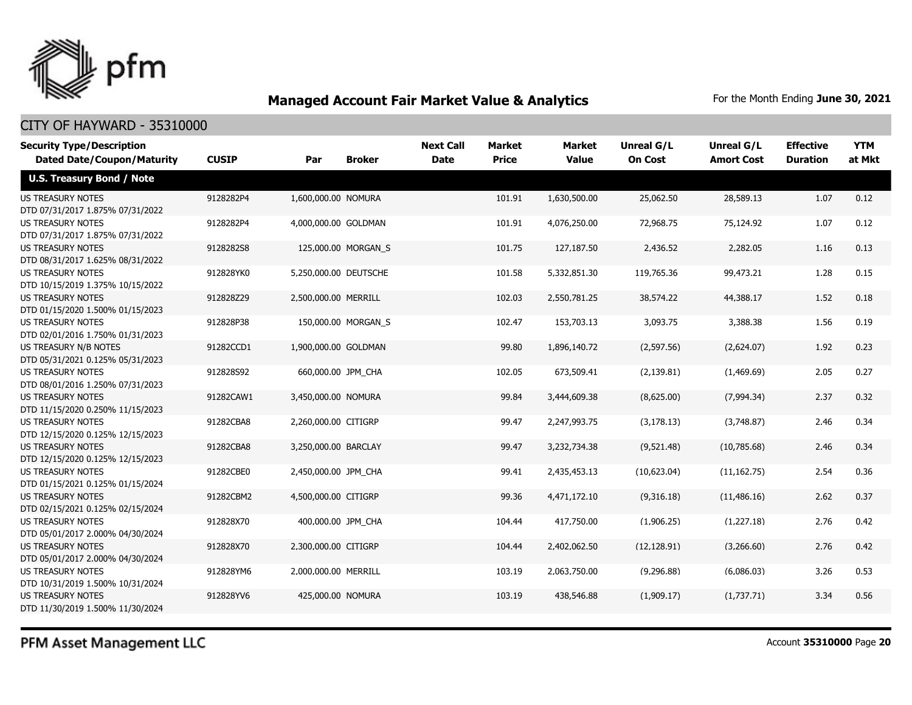

| <b>Security Type/Description</b><br><b>Dated Date/Coupon/Maturity</b> | <b>CUSIP</b> | Par                   | <b>Broker</b>       | <b>Next Call</b><br><b>Date</b> | <b>Market</b><br><b>Price</b> | <b>Market</b><br><b>Value</b> | <b>Unreal G/L</b><br><b>On Cost</b> | Unreal G/L<br><b>Amort Cost</b> | <b>Effective</b><br><b>Duration</b> | <b>YTM</b><br>at Mkt |
|-----------------------------------------------------------------------|--------------|-----------------------|---------------------|---------------------------------|-------------------------------|-------------------------------|-------------------------------------|---------------------------------|-------------------------------------|----------------------|
| <b>U.S. Treasury Bond / Note</b>                                      |              |                       |                     |                                 |                               |                               |                                     |                                 |                                     |                      |
| <b>US TREASURY NOTES</b><br>DTD 07/31/2017 1.875% 07/31/2022          | 9128282P4    | 1,600,000.00 NOMURA   |                     |                                 | 101.91                        | 1,630,500.00                  | 25,062.50                           | 28,589.13                       | 1.07                                | 0.12                 |
| <b>US TREASURY NOTES</b><br>DTD 07/31/2017 1.875% 07/31/2022          | 9128282P4    | 4,000,000.00 GOLDMAN  |                     |                                 | 101.91                        | 4,076,250.00                  | 72,968.75                           | 75,124.92                       | 1.07                                | 0.12                 |
| <b>US TREASURY NOTES</b><br>DTD 08/31/2017 1.625% 08/31/2022          | 9128282S8    |                       | 125,000.00 MORGAN_S |                                 | 101.75                        | 127,187.50                    | 2,436.52                            | 2,282.05                        | 1.16                                | 0.13                 |
| <b>US TREASURY NOTES</b><br>DTD 10/15/2019 1.375% 10/15/2022          | 912828YK0    | 5,250,000.00 DEUTSCHE |                     |                                 | 101.58                        | 5,332,851.30                  | 119,765.36                          | 99,473.21                       | 1.28                                | 0.15                 |
| <b>US TREASURY NOTES</b><br>DTD 01/15/2020 1.500% 01/15/2023          | 912828Z29    | 2,500,000.00 MERRILL  |                     |                                 | 102.03                        | 2,550,781.25                  | 38,574.22                           | 44,388.17                       | 1.52                                | 0.18                 |
| <b>US TREASURY NOTES</b><br>DTD 02/01/2016 1.750% 01/31/2023          | 912828P38    |                       | 150,000.00 MORGAN_S |                                 | 102.47                        | 153,703.13                    | 3,093.75                            | 3,388.38                        | 1.56                                | 0.19                 |
| US TREASURY N/B NOTES<br>DTD 05/31/2021 0.125% 05/31/2023             | 91282CCD1    | 1,900,000.00 GOLDMAN  |                     |                                 | 99.80                         | 1,896,140.72                  | (2,597.56)                          | (2,624.07)                      | 1.92                                | 0.23                 |
| <b>US TREASURY NOTES</b><br>DTD 08/01/2016 1.250% 07/31/2023          | 912828S92    | 660,000.00 JPM_CHA    |                     |                                 | 102.05                        | 673,509.41                    | (2, 139.81)                         | (1,469.69)                      | 2.05                                | 0.27                 |
| <b>US TREASURY NOTES</b><br>DTD 11/15/2020 0.250% 11/15/2023          | 91282CAW1    | 3,450,000.00 NOMURA   |                     |                                 | 99.84                         | 3,444,609.38                  | (8,625.00)                          | (7,994.34)                      | 2.37                                | 0.32                 |
| <b>US TREASURY NOTES</b><br>DTD 12/15/2020 0.125% 12/15/2023          | 91282CBA8    | 2,260,000.00 CITIGRP  |                     |                                 | 99.47                         | 2,247,993.75                  | (3, 178.13)                         | (3,748.87)                      | 2.46                                | 0.34                 |
| <b>US TREASURY NOTES</b><br>DTD 12/15/2020 0.125% 12/15/2023          | 91282CBA8    | 3,250,000.00 BARCLAY  |                     |                                 | 99.47                         | 3,232,734.38                  | (9,521.48)                          | (10,785.68)                     | 2.46                                | 0.34                 |
| <b>US TREASURY NOTES</b><br>DTD 01/15/2021 0.125% 01/15/2024          | 91282CBE0    | 2,450,000.00 JPM_CHA  |                     |                                 | 99.41                         | 2,435,453.13                  | (10,623.04)                         | (11, 162.75)                    | 2.54                                | 0.36                 |
| <b>US TREASURY NOTES</b><br>DTD 02/15/2021 0.125% 02/15/2024          | 91282CBM2    | 4,500,000.00 CITIGRP  |                     |                                 | 99.36                         | 4,471,172.10                  | (9,316.18)                          | (11, 486.16)                    | 2.62                                | 0.37                 |
| US TREASURY NOTES<br>DTD 05/01/2017 2.000% 04/30/2024                 | 912828X70    | 400,000.00 JPM CHA    |                     |                                 | 104.44                        | 417,750.00                    | (1,906.25)                          | (1,227.18)                      | 2.76                                | 0.42                 |
| <b>US TREASURY NOTES</b><br>DTD 05/01/2017 2.000% 04/30/2024          | 912828X70    | 2,300,000.00 CITIGRP  |                     |                                 | 104.44                        | 2,402,062.50                  | (12, 128.91)                        | (3,266.60)                      | 2.76                                | 0.42                 |
| <b>US TREASURY NOTES</b><br>DTD 10/31/2019 1.500% 10/31/2024          | 912828YM6    | 2,000,000.00 MERRILL  |                     |                                 | 103.19                        | 2,063,750.00                  | (9,296.88)                          | (6,086.03)                      | 3.26                                | 0.53                 |
| <b>US TREASURY NOTES</b><br>DTD 11/30/2019 1.500% 11/30/2024          | 912828YV6    | 425,000.00 NOMURA     |                     |                                 | 103.19                        | 438,546,88                    | (1,909.17)                          | (1,737.71)                      | 3.34                                | 0.56                 |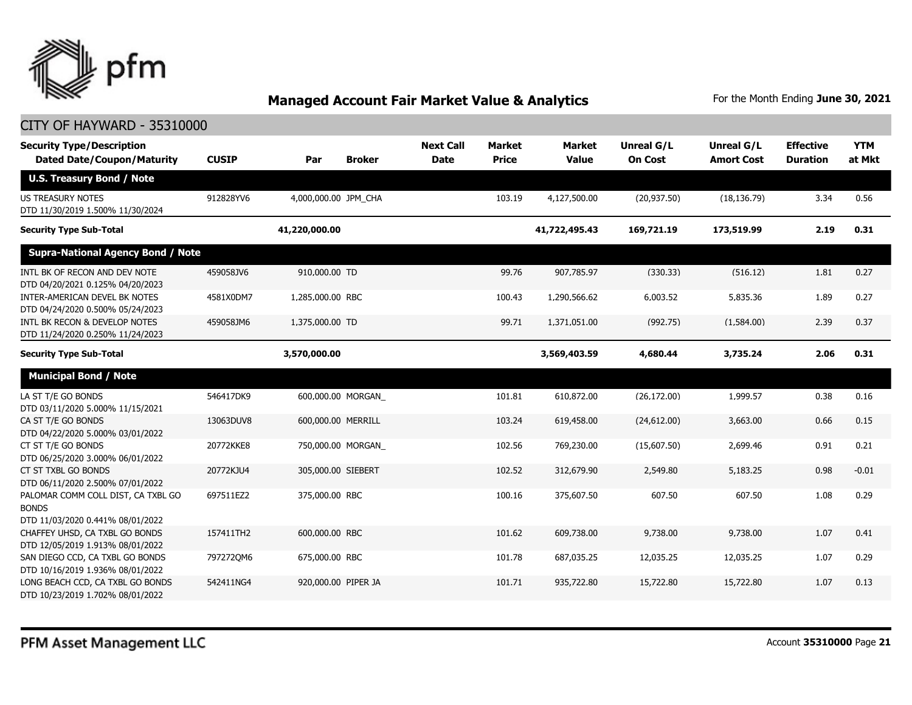

| <b>Security Type/Description</b><br><b>Dated Date/Coupon/Maturity</b>                  | <b>CUSIP</b> | Par                  | <b>Broker</b> | <b>Next Call</b><br><b>Date</b> | <b>Market</b><br><b>Price</b> | <b>Market</b><br><b>Value</b> | <b>Unreal G/L</b><br><b>On Cost</b> | Unreal G/L<br><b>Amort Cost</b> | <b>Effective</b><br><b>Duration</b> | <b>YTM</b><br>at Mkt |
|----------------------------------------------------------------------------------------|--------------|----------------------|---------------|---------------------------------|-------------------------------|-------------------------------|-------------------------------------|---------------------------------|-------------------------------------|----------------------|
| <b>U.S. Treasury Bond / Note</b>                                                       |              |                      |               |                                 |                               |                               |                                     |                                 |                                     |                      |
| <b>US TREASURY NOTES</b><br>DTD 11/30/2019 1.500% 11/30/2024                           | 912828YV6    | 4,000,000.00 JPM CHA |               |                                 | 103.19                        | 4,127,500.00                  | (20, 937.50)                        | (18, 136.79)                    | 3.34                                | 0.56                 |
| <b>Security Type Sub-Total</b>                                                         |              | 41,220,000.00        |               |                                 |                               | 41,722,495.43                 | 169,721.19                          | 173,519.99                      | 2.19                                | 0.31                 |
| <b>Supra-National Agency Bond / Note</b>                                               |              |                      |               |                                 |                               |                               |                                     |                                 |                                     |                      |
| INTL BK OF RECON AND DEV NOTE<br>DTD 04/20/2021 0.125% 04/20/2023                      | 459058JV6    | 910,000.00 TD        |               |                                 | 99.76                         | 907,785.97                    | (330.33)                            | (516.12)                        | 1.81                                | 0.27                 |
| INTER-AMERICAN DEVEL BK NOTES<br>DTD 04/24/2020 0.500% 05/24/2023                      | 4581X0DM7    | 1,285,000.00 RBC     |               |                                 | 100.43                        | 1,290,566.62                  | 6,003.52                            | 5,835.36                        | 1.89                                | 0.27                 |
| INTL BK RECON & DEVELOP NOTES<br>DTD 11/24/2020 0.250% 11/24/2023                      | 459058JM6    | 1,375,000.00 TD      |               |                                 | 99.71                         | 1,371,051.00                  | (992.75)                            | (1,584.00)                      | 2.39                                | 0.37                 |
| <b>Security Type Sub-Total</b>                                                         |              | 3,570,000.00         |               |                                 |                               | 3,569,403.59                  | 4,680.44                            | 3,735.24                        | 2.06                                | 0.31                 |
| <b>Municipal Bond / Note</b>                                                           |              |                      |               |                                 |                               |                               |                                     |                                 |                                     |                      |
| LA ST T/E GO BONDS<br>DTD 03/11/2020 5.000% 11/15/2021                                 | 546417DK9    | 600,000.00 MORGAN    |               |                                 | 101.81                        | 610,872.00                    | (26, 172.00)                        | 1,999.57                        | 0.38                                | 0.16                 |
| CA ST T/E GO BONDS<br>DTD 04/22/2020 5.000% 03/01/2022                                 | 13063DUV8    | 600,000.00 MERRILL   |               |                                 | 103.24                        | 619,458.00                    | (24,612.00)                         | 3,663.00                        | 0.66                                | 0.15                 |
| CT ST T/E GO BONDS<br>DTD 06/25/2020 3.000% 06/01/2022                                 | 20772KKE8    | 750,000.00 MORGAN    |               |                                 | 102.56                        | 769,230.00                    | (15,607.50)                         | 2,699.46                        | 0.91                                | 0.21                 |
| CT ST TXBL GO BONDS<br>DTD 06/11/2020 2.500% 07/01/2022                                | 20772KJU4    | 305,000.00 SIEBERT   |               |                                 | 102.52                        | 312,679.90                    | 2,549.80                            | 5,183.25                        | 0.98                                | $-0.01$              |
| PALOMAR COMM COLL DIST, CA TXBL GO<br><b>BONDS</b><br>DTD 11/03/2020 0.441% 08/01/2022 | 697511EZ2    | 375,000.00 RBC       |               |                                 | 100.16                        | 375,607.50                    | 607.50                              | 607.50                          | 1.08                                | 0.29                 |
| CHAFFEY UHSD, CA TXBL GO BONDS<br>DTD 12/05/2019 1.913% 08/01/2022                     | 157411TH2    | 600,000.00 RBC       |               |                                 | 101.62                        | 609,738.00                    | 9,738.00                            | 9,738.00                        | 1.07                                | 0.41                 |
| SAN DIEGO CCD, CA TXBL GO BONDS<br>DTD 10/16/2019 1.936% 08/01/2022                    | 797272QM6    | 675,000.00 RBC       |               |                                 | 101.78                        | 687,035.25                    | 12,035.25                           | 12,035.25                       | 1.07                                | 0.29                 |
| LONG BEACH CCD, CA TXBL GO BONDS<br>DTD 10/23/2019 1.702% 08/01/2022                   | 542411NG4    | 920,000.00 PIPER JA  |               |                                 | 101.71                        | 935,722.80                    | 15,722.80                           | 15,722.80                       | 1.07                                | 0.13                 |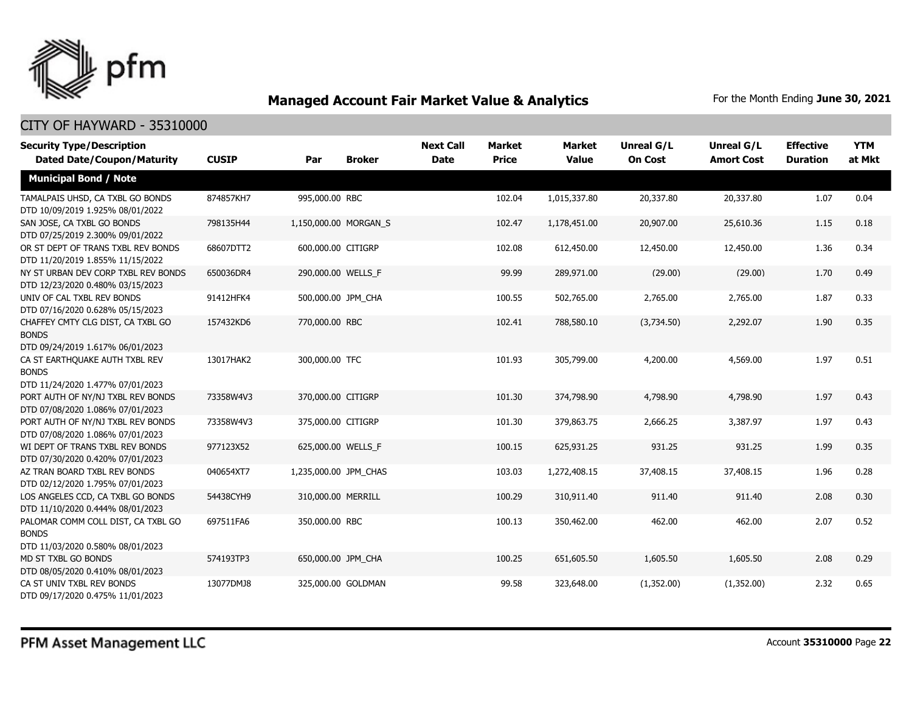

| <b>Security Type/Description</b><br><b>Dated Date/Coupon/Maturity</b>                  | <b>CUSIP</b> | Par                   | <b>Broker</b> | <b>Next Call</b><br><b>Date</b> | <b>Market</b><br><b>Price</b> | <b>Market</b><br><b>Value</b> | <b>Unreal G/L</b><br><b>On Cost</b> | Unreal G/L<br><b>Amort Cost</b> | <b>Effective</b><br><b>Duration</b> | <b>YTM</b><br>at Mkt |
|----------------------------------------------------------------------------------------|--------------|-----------------------|---------------|---------------------------------|-------------------------------|-------------------------------|-------------------------------------|---------------------------------|-------------------------------------|----------------------|
| <b>Municipal Bond / Note</b>                                                           |              |                       |               |                                 |                               |                               |                                     |                                 |                                     |                      |
| TAMALPAIS UHSD, CA TXBL GO BONDS<br>DTD 10/09/2019 1.925% 08/01/2022                   | 874857KH7    | 995,000.00 RBC        |               |                                 | 102.04                        | 1,015,337.80                  | 20,337.80                           | 20,337.80                       | 1.07                                | 0.04                 |
| SAN JOSE, CA TXBL GO BONDS<br>DTD 07/25/2019 2.300% 09/01/2022                         | 798135H44    | 1,150,000.00 MORGAN_S |               |                                 | 102.47                        | 1,178,451.00                  | 20,907.00                           | 25,610.36                       | 1.15                                | 0.18                 |
| OR ST DEPT OF TRANS TXBL REV BONDS<br>DTD 11/20/2019 1.855% 11/15/2022                 | 68607DTT2    | 600,000.00 CITIGRP    |               |                                 | 102.08                        | 612,450.00                    | 12,450.00                           | 12,450.00                       | 1.36                                | 0.34                 |
| NY ST URBAN DEV CORP TXBL REV BONDS<br>DTD 12/23/2020 0.480% 03/15/2023                | 650036DR4    | 290,000.00 WELLS F    |               |                                 | 99.99                         | 289,971.00                    | (29.00)                             | (29.00)                         | 1.70                                | 0.49                 |
| UNIV OF CAL TXBL REV BONDS<br>DTD 07/16/2020 0.628% 05/15/2023                         | 91412HFK4    | 500,000.00 JPM_CHA    |               |                                 | 100.55                        | 502,765.00                    | 2,765.00                            | 2,765.00                        | 1.87                                | 0.33                 |
| CHAFFEY CMTY CLG DIST, CA TXBL GO<br><b>BONDS</b><br>DTD 09/24/2019 1.617% 06/01/2023  | 157432KD6    | 770,000.00 RBC        |               |                                 | 102.41                        | 788,580.10                    | (3,734.50)                          | 2,292.07                        | 1.90                                | 0.35                 |
| CA ST EARTHQUAKE AUTH TXBL REV<br><b>BONDS</b><br>DTD 11/24/2020 1.477% 07/01/2023     | 13017HAK2    | 300,000.00 TFC        |               |                                 | 101.93                        | 305,799.00                    | 4,200.00                            | 4,569.00                        | 1.97                                | 0.51                 |
| PORT AUTH OF NY/NJ TXBL REV BONDS<br>DTD 07/08/2020 1.086% 07/01/2023                  | 73358W4V3    | 370,000.00 CITIGRP    |               |                                 | 101.30                        | 374,798.90                    | 4,798.90                            | 4,798.90                        | 1.97                                | 0.43                 |
| PORT AUTH OF NY/NJ TXBL REV BONDS<br>DTD 07/08/2020 1.086% 07/01/2023                  | 73358W4V3    | 375,000.00 CITIGRP    |               |                                 | 101.30                        | 379,863.75                    | 2,666.25                            | 3,387.97                        | 1.97                                | 0.43                 |
| WI DEPT OF TRANS TXBL REV BONDS<br>DTD 07/30/2020 0.420% 07/01/2023                    | 977123X52    | 625,000.00 WELLS_F    |               |                                 | 100.15                        | 625,931.25                    | 931.25                              | 931.25                          | 1.99                                | 0.35                 |
| AZ TRAN BOARD TXBL REV BONDS<br>DTD 02/12/2020 1.795% 07/01/2023                       | 040654XT7    | 1,235,000.00 JPM CHAS |               |                                 | 103.03                        | 1,272,408.15                  | 37,408.15                           | 37,408.15                       | 1.96                                | 0.28                 |
| LOS ANGELES CCD, CA TXBL GO BONDS<br>DTD 11/10/2020 0.444% 08/01/2023                  | 54438CYH9    | 310,000.00 MERRILL    |               |                                 | 100.29                        | 310,911.40                    | 911.40                              | 911.40                          | 2.08                                | 0.30                 |
| PALOMAR COMM COLL DIST, CA TXBL GO<br><b>BONDS</b><br>DTD 11/03/2020 0.580% 08/01/2023 | 697511FA6    | 350,000.00 RBC        |               |                                 | 100.13                        | 350,462.00                    | 462.00                              | 462.00                          | 2.07                                | 0.52                 |
| MD ST TXBL GO BONDS<br>DTD 08/05/2020 0.410% 08/01/2023                                | 574193TP3    | 650,000.00 JPM_CHA    |               |                                 | 100.25                        | 651,605.50                    | 1,605.50                            | 1,605.50                        | 2.08                                | 0.29                 |
| CA ST UNIV TXBL REV BONDS<br>DTD 09/17/2020 0.475% 11/01/2023                          | 13077DMJ8    | 325,000.00 GOLDMAN    |               |                                 | 99.58                         | 323,648.00                    | (1,352.00)                          | (1,352.00)                      | 2.32                                | 0.65                 |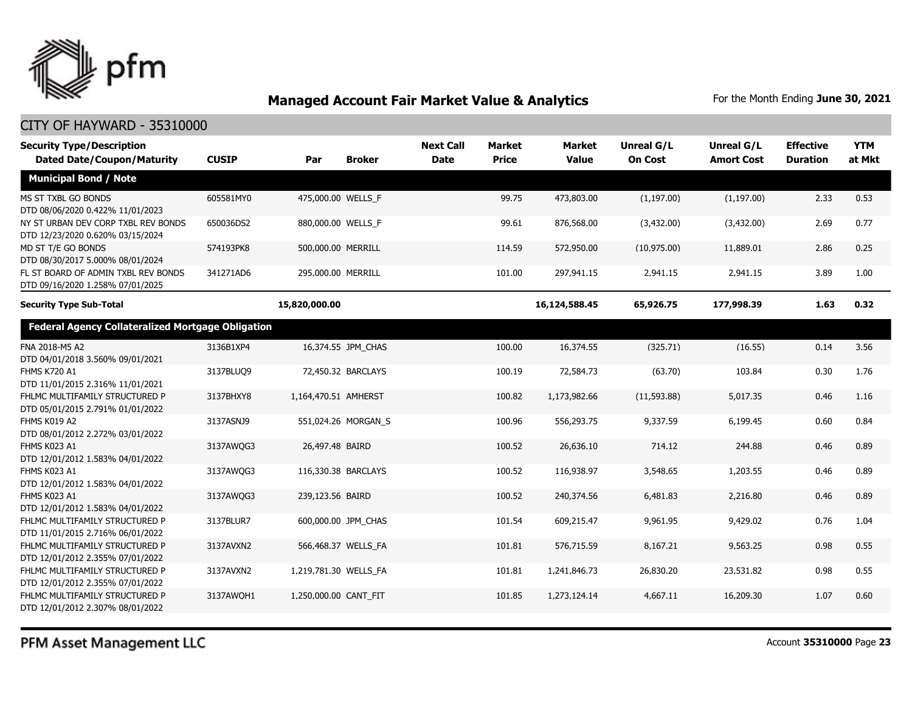

| <b>Security Type/Description</b><br><b>Dated Date/Coupon/Maturity</b>   | <b>CUSIP</b> | Par                   | <b>Broker</b>       | <b>Next Call</b><br><b>Date</b> | <b>Market</b><br><b>Price</b> | <b>Market</b><br><b>Value</b> | <b>Unreal G/L</b><br><b>On Cost</b> | Unreal G/L<br><b>Amort Cost</b> | <b>Effective</b><br><b>Duration</b> | <b>YTM</b><br>at Mkt |
|-------------------------------------------------------------------------|--------------|-----------------------|---------------------|---------------------------------|-------------------------------|-------------------------------|-------------------------------------|---------------------------------|-------------------------------------|----------------------|
| <b>Municipal Bond / Note</b>                                            |              |                       |                     |                                 |                               |                               |                                     |                                 |                                     |                      |
| MS ST TXBL GO BONDS<br>DTD 08/06/2020 0.422% 11/01/2023                 | 605581MY0    | 475,000.00 WELLS F    |                     |                                 | 99.75                         | 473,803.00                    | (1, 197.00)                         | (1, 197.00)                     | 2.33                                | 0.53                 |
| NY ST URBAN DEV CORP TXBL REV BONDS<br>DTD 12/23/2020 0.620% 03/15/2024 | 650036DS2    | 880,000.00 WELLS_F    |                     |                                 | 99.61                         | 876,568.00                    | (3,432.00)                          | (3,432.00)                      | 2.69                                | 0.77                 |
| MD ST T/E GO BONDS<br>DTD 08/30/2017 5.000% 08/01/2024                  | 574193PK8    | 500,000.00 MERRILL    |                     |                                 | 114.59                        | 572,950.00                    | (10, 975.00)                        | 11,889.01                       | 2.86                                | 0.25                 |
| FL ST BOARD OF ADMIN TXBL REV BONDS<br>DTD 09/16/2020 1.258% 07/01/2025 | 341271AD6    | 295,000.00 MERRILL    |                     |                                 | 101.00                        | 297,941.15                    | 2,941.15                            | 2,941.15                        | 3.89                                | 1.00                 |
| <b>Security Type Sub-Total</b>                                          |              | 15,820,000.00         |                     |                                 |                               | 16,124,588.45                 | 65,926.75                           | 177,998.39                      | 1.63                                | 0.32                 |
| <b>Federal Agency Collateralized Mortgage Obligation</b>                |              |                       |                     |                                 |                               |                               |                                     |                                 |                                     |                      |
| FNA 2018-M5 A2<br>DTD 04/01/2018 3.560% 09/01/2021                      | 3136B1XP4    |                       | 16,374.55 JPM_CHAS  |                                 | 100.00                        | 16,374.55                     | (325.71)                            | (16.55)                         | 0.14                                | 3.56                 |
| <b>FHMS K720 A1</b><br>DTD 11/01/2015 2.316% 11/01/2021                 | 3137BLUO9    |                       | 72,450.32 BARCLAYS  |                                 | 100.19                        | 72,584.73                     | (63.70)                             | 103.84                          | 0.30                                | 1.76                 |
| FHLMC MULTIFAMILY STRUCTURED P<br>DTD 05/01/2015 2.791% 01/01/2022      | 3137BHXY8    | 1,164,470.51 AMHERST  |                     |                                 | 100.82                        | 1,173,982.66                  | (11, 593.88)                        | 5,017.35                        | 0.46                                | 1.16                 |
| FHMS K019 A2<br>DTD 08/01/2012 2.272% 03/01/2022                        | 3137ASNJ9    |                       | 551,024.26 MORGAN_S |                                 | 100.96                        | 556,293.75                    | 9,337.59                            | 6,199.45                        | 0.60                                | 0.84                 |
| FHMS K023 A1<br>DTD 12/01/2012 1.583% 04/01/2022                        | 3137AWQG3    | 26,497.48 BAIRD       |                     |                                 | 100.52                        | 26,636.10                     | 714.12                              | 244.88                          | 0.46                                | 0.89                 |
| FHMS K023 A1<br>DTD 12/01/2012 1.583% 04/01/2022                        | 3137AWQG3    |                       | 116,330.38 BARCLAYS |                                 | 100.52                        | 116,938.97                    | 3,548.65                            | 1,203.55                        | 0.46                                | 0.89                 |
| <b>FHMS K023 A1</b><br>DTD 12/01/2012 1.583% 04/01/2022                 | 3137AWQG3    | 239,123.56 BAIRD      |                     |                                 | 100.52                        | 240,374.56                    | 6,481.83                            | 2,216.80                        | 0.46                                | 0.89                 |
| FHLMC MULTIFAMILY STRUCTURED P<br>DTD 11/01/2015 2.716% 06/01/2022      | 3137BLUR7    |                       | 600,000.00 JPM CHAS |                                 | 101.54                        | 609,215.47                    | 9,961.95                            | 9,429.02                        | 0.76                                | 1.04                 |
| FHLMC MULTIFAMILY STRUCTURED P<br>DTD 12/01/2012 2.355% 07/01/2022      | 3137AVXN2    | 566,468.37 WELLS FA   |                     |                                 | 101.81                        | 576,715.59                    | 8,167.21                            | 9,563.25                        | 0.98                                | 0.55                 |
| FHLMC MULTIFAMILY STRUCTURED P<br>DTD 12/01/2012 2.355% 07/01/2022      | 3137AVXN2    | 1,219,781.30 WELLS FA |                     |                                 | 101.81                        | 1,241,846.73                  | 26,830.20                           | 23,531.82                       | 0.98                                | 0.55                 |
| FHLMC MULTIFAMILY STRUCTURED P<br>DTD 12/01/2012 2.307% 08/01/2022      | 3137AWOH1    | 1,250,000.00 CANT FIT |                     |                                 | 101.85                        | 1,273,124.14                  | 4,667.11                            | 16,209.30                       | 1.07                                | 0.60                 |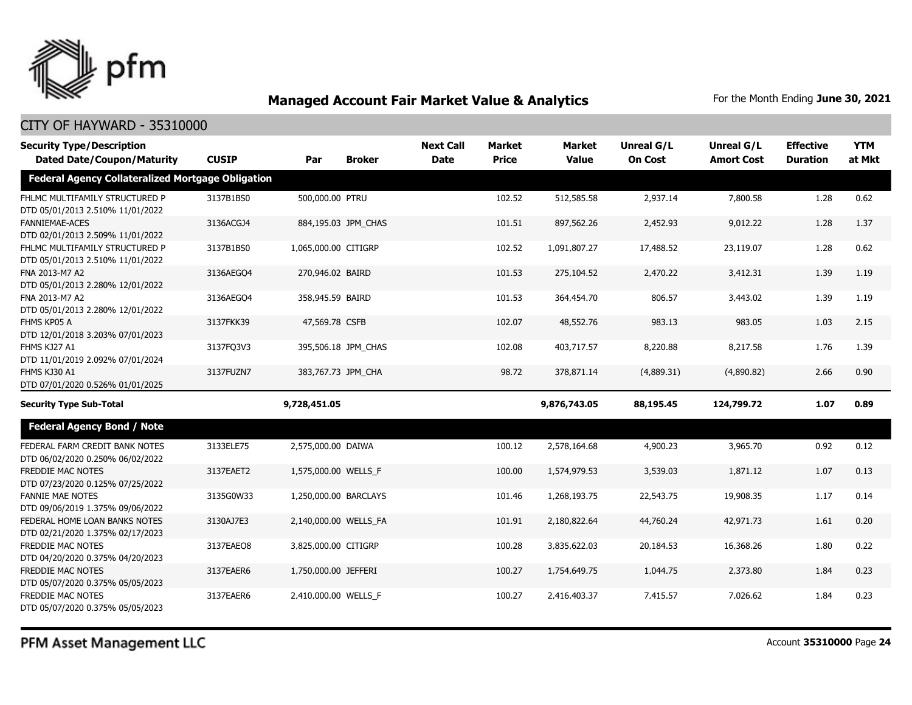

#### CITY OF HAYWARD - 35310000

| <b>Security Type/Description</b>                                   |              |                       |                     | <b>Next Call</b> | <b>Market</b> | <b>Market</b> | <b>Unreal G/L</b> | Unreal G/L        | <b>Effective</b> | <b>YTM</b> |
|--------------------------------------------------------------------|--------------|-----------------------|---------------------|------------------|---------------|---------------|-------------------|-------------------|------------------|------------|
| <b>Dated Date/Coupon/Maturity</b>                                  | <b>CUSIP</b> | Par                   | <b>Broker</b>       | <b>Date</b>      | <b>Price</b>  | <b>Value</b>  | <b>On Cost</b>    | <b>Amort Cost</b> | <b>Duration</b>  | at Mkt     |
| <b>Federal Agency Collateralized Mortgage Obligation</b>           |              |                       |                     |                  |               |               |                   |                   |                  |            |
| FHLMC MULTIFAMILY STRUCTURED P<br>DTD 05/01/2013 2.510% 11/01/2022 | 3137B1BS0    | 500,000.00 PTRU       |                     |                  | 102.52        | 512,585.58    | 2,937.14          | 7,800.58          | 1.28             | 0.62       |
| <b>FANNIEMAE-ACES</b><br>DTD 02/01/2013 2.509% 11/01/2022          | 3136ACGJ4    |                       | 884,195.03 JPM_CHAS |                  | 101.51        | 897,562.26    | 2,452.93          | 9,012.22          | 1.28             | 1.37       |
| FHLMC MULTIFAMILY STRUCTURED P<br>DTD 05/01/2013 2.510% 11/01/2022 | 3137B1BS0    | 1,065,000.00 CITIGRP  |                     |                  | 102.52        | 1,091,807.27  | 17,488.52         | 23,119.07         | 1.28             | 0.62       |
| FNA 2013-M7 A2<br>DTD 05/01/2013 2.280% 12/01/2022                 | 3136AEGQ4    | 270,946.02 BAIRD      |                     |                  | 101.53        | 275,104.52    | 2,470.22          | 3,412.31          | 1.39             | 1.19       |
| FNA 2013-M7 A2<br>DTD 05/01/2013 2.280% 12/01/2022                 | 3136AEGO4    | 358,945.59 BAIRD      |                     |                  | 101.53        | 364,454.70    | 806.57            | 3,443.02          | 1.39             | 1.19       |
| FHMS KP05 A<br>DTD 12/01/2018 3.203% 07/01/2023                    | 3137FKK39    | 47,569.78 CSFB        |                     |                  | 102.07        | 48,552.76     | 983.13            | 983.05            | 1.03             | 2.15       |
| FHMS KJ27 A1<br>DTD 11/01/2019 2.092% 07/01/2024                   | 3137FQ3V3    |                       | 395,506.18 JPM CHAS |                  | 102.08        | 403,717.57    | 8,220.88          | 8,217.58          | 1.76             | 1.39       |
| FHMS KJ30 A1<br>DTD 07/01/2020 0.526% 01/01/2025                   | 3137FUZN7    |                       | 383,767.73 JPM CHA  |                  | 98.72         | 378,871.14    | (4,889.31)        | (4,890.82)        | 2.66             | 0.90       |
| <b>Security Type Sub-Total</b>                                     |              | 9,728,451.05          |                     |                  |               | 9,876,743.05  | 88,195.45         | 124,799.72        | 1.07             | 0.89       |
| <b>Federal Agency Bond / Note</b>                                  |              |                       |                     |                  |               |               |                   |                   |                  |            |
| FEDERAL FARM CREDIT BANK NOTES<br>DTD 06/02/2020 0.250% 06/02/2022 | 3133ELE75    | 2,575,000.00 DAIWA    |                     |                  | 100.12        | 2,578,164.68  | 4,900.23          | 3,965.70          | 0.92             | 0.12       |
| FREDDIE MAC NOTES<br>DTD 07/23/2020 0.125% 07/25/2022              | 3137EAET2    | 1,575,000.00 WELLS_F  |                     |                  | 100.00        | 1,574,979.53  | 3,539.03          | 1,871.12          | 1.07             | 0.13       |
| <b>FANNIE MAE NOTES</b><br>DTD 09/06/2019 1.375% 09/06/2022        | 3135G0W33    | 1,250,000.00 BARCLAYS |                     |                  | 101.46        | 1,268,193.75  | 22,543.75         | 19,908.35         | 1.17             | 0.14       |
| FEDERAL HOME LOAN BANKS NOTES<br>DTD 02/21/2020 1.375% 02/17/2023  | 3130AJ7E3    | 2,140,000.00 WELLS_FA |                     |                  | 101.91        | 2,180,822.64  | 44,760.24         | 42,971.73         | 1.61             | 0.20       |
| FREDDIE MAC NOTES<br>DTD 04/20/2020 0.375% 04/20/2023              | 3137EAEO8    | 3,825,000.00 CITIGRP  |                     |                  | 100.28        | 3,835,622.03  | 20,184.53         | 16,368.26         | 1.80             | 0.22       |
| FREDDIE MAC NOTES<br>DTD 05/07/2020 0.375% 05/05/2023              | 3137EAER6    | 1,750,000.00 JEFFERI  |                     |                  | 100.27        | 1,754,649.75  | 1,044.75          | 2,373.80          | 1.84             | 0.23       |
| FREDDIE MAC NOTES<br>DTD 05/07/2020 0.375% 05/05/2023              | 3137EAER6    | 2,410,000.00 WELLS F  |                     |                  | 100.27        | 2,416,403.37  | 7,415.57          | 7,026.62          | 1.84             | 0.23       |

PFM Asset Management LLC

Account **35310000** Page **24**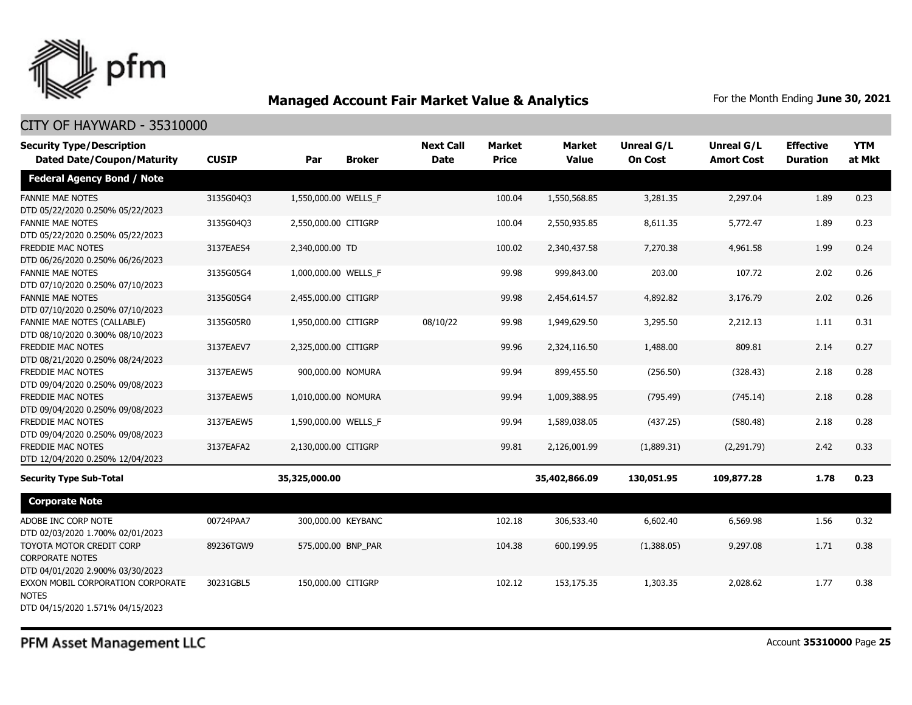

### CITY OF HAYWARD - 35310000

| <b>Security Type/Description</b><br><b>Dated Date/Coupon/Maturity</b>                  | <b>CUSIP</b> | Par                  | <b>Broker</b> | <b>Next Call</b><br><b>Date</b> | <b>Market</b><br><b>Price</b> | <b>Market</b><br><b>Value</b> | Unreal G/L<br><b>On Cost</b> | Unreal G/L<br><b>Amort Cost</b> | <b>Effective</b><br><b>Duration</b> | <b>YTM</b><br>at Mkt |
|----------------------------------------------------------------------------------------|--------------|----------------------|---------------|---------------------------------|-------------------------------|-------------------------------|------------------------------|---------------------------------|-------------------------------------|----------------------|
| <b>Federal Agency Bond / Note</b>                                                      |              |                      |               |                                 |                               |                               |                              |                                 |                                     |                      |
| <b>FANNIE MAE NOTES</b><br>DTD 05/22/2020 0.250% 05/22/2023                            | 3135G04Q3    | 1,550,000.00 WELLS_F |               |                                 | 100.04                        | 1,550,568.85                  | 3,281.35                     | 2,297.04                        | 1.89                                | 0.23                 |
| <b>FANNIE MAE NOTES</b><br>DTD 05/22/2020 0.250% 05/22/2023                            | 3135G04Q3    | 2,550,000.00 CITIGRP |               |                                 | 100.04                        | 2,550,935.85                  | 8,611.35                     | 5,772.47                        | 1.89                                | 0.23                 |
| FREDDIE MAC NOTES<br>DTD 06/26/2020 0.250% 06/26/2023                                  | 3137EAES4    | 2,340,000.00 TD      |               |                                 | 100.02                        | 2,340,437.58                  | 7,270.38                     | 4,961.58                        | 1.99                                | 0.24                 |
| <b>FANNIE MAE NOTES</b><br>DTD 07/10/2020 0.250% 07/10/2023                            | 3135G05G4    | 1,000,000.00 WELLS F |               |                                 | 99.98                         | 999,843.00                    | 203.00                       | 107.72                          | 2.02                                | 0.26                 |
| <b>FANNIE MAE NOTES</b><br>DTD 07/10/2020 0.250% 07/10/2023                            | 3135G05G4    | 2,455,000.00 CITIGRP |               |                                 | 99.98                         | 2,454,614.57                  | 4,892.82                     | 3,176.79                        | 2.02                                | 0.26                 |
| FANNIE MAE NOTES (CALLABLE)<br>DTD 08/10/2020 0.300% 08/10/2023                        | 3135G05R0    | 1,950,000.00 CITIGRP |               | 08/10/22                        | 99.98                         | 1,949,629.50                  | 3,295.50                     | 2,212.13                        | 1.11                                | 0.31                 |
| <b>FREDDIE MAC NOTES</b><br>DTD 08/21/2020 0.250% 08/24/2023                           | 3137EAEV7    | 2,325,000.00 CITIGRP |               |                                 | 99.96                         | 2,324,116.50                  | 1,488.00                     | 809.81                          | 2.14                                | 0.27                 |
| FREDDIE MAC NOTES<br>DTD 09/04/2020 0.250% 09/08/2023                                  | 3137EAEW5    | 900,000.00 NOMURA    |               |                                 | 99.94                         | 899,455.50                    | (256.50)                     | (328.43)                        | 2.18                                | 0.28                 |
| <b>FREDDIE MAC NOTES</b><br>DTD 09/04/2020 0.250% 09/08/2023                           | 3137EAEW5    | 1,010,000.00 NOMURA  |               |                                 | 99.94                         | 1,009,388.95                  | (795.49)                     | (745.14)                        | 2.18                                | 0.28                 |
| FREDDIE MAC NOTES<br>DTD 09/04/2020 0.250% 09/08/2023                                  | 3137EAEW5    | 1,590,000.00 WELLS_F |               |                                 | 99.94                         | 1,589,038.05                  | (437.25)                     | (580.48)                        | 2.18                                | 0.28                 |
| FREDDIE MAC NOTES<br>DTD 12/04/2020 0.250% 12/04/2023                                  | 3137EAFA2    | 2,130,000.00 CITIGRP |               |                                 | 99.81                         | 2,126,001.99                  | (1,889.31)                   | (2,291.79)                      | 2.42                                | 0.33                 |
| <b>Security Type Sub-Total</b>                                                         |              | 35,325,000.00        |               |                                 |                               | 35,402,866.09                 | 130,051.95                   | 109,877.28                      | 1.78                                | 0.23                 |
| <b>Corporate Note</b>                                                                  |              |                      |               |                                 |                               |                               |                              |                                 |                                     |                      |
| ADOBE INC CORP NOTE<br>DTD 02/03/2020 1.700% 02/01/2023                                | 00724PAA7    | 300,000.00 KEYBANC   |               |                                 | 102.18                        | 306,533.40                    | 6,602.40                     | 6,569.98                        | 1.56                                | 0.32                 |
| TOYOTA MOTOR CREDIT CORP<br><b>CORPORATE NOTES</b><br>DTD 04/01/2020 2.900% 03/30/2023 | 89236TGW9    | 575,000.00 BNP_PAR   |               |                                 | 104.38                        | 600,199.95                    | (1,388.05)                   | 9,297.08                        | 1.71                                | 0.38                 |
| EXXON MOBIL CORPORATION CORPORATE<br><b>NOTES</b><br>DTD 04/15/2020 1.571% 04/15/2023  | 30231GBL5    | 150,000.00 CITIGRP   |               |                                 | 102.12                        | 153,175.35                    | 1,303.35                     | 2,028.62                        | 1.77                                | 0.38                 |

PFM Asset Management LLC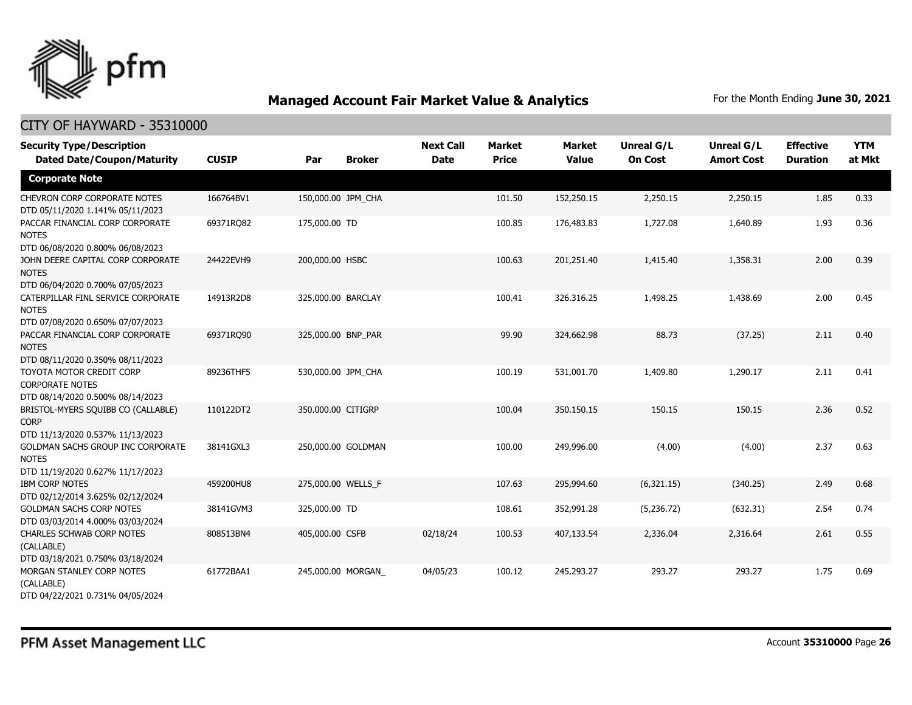

| <b>Security Type/Description</b>                                                       | <b>CUSIP</b> |                    |                    | <b>Next Call</b><br><b>Date</b> | <b>Market</b><br><b>Price</b> | <b>Market</b><br><b>Value</b> | <b>Unreal G/L</b> | Unreal G/L<br><b>Amort Cost</b> | <b>Effective</b> | <b>YTM</b><br>at Mkt |
|----------------------------------------------------------------------------------------|--------------|--------------------|--------------------|---------------------------------|-------------------------------|-------------------------------|-------------------|---------------------------------|------------------|----------------------|
| <b>Dated Date/Coupon/Maturity</b>                                                      |              | Par                | <b>Broker</b>      |                                 |                               |                               | <b>On Cost</b>    |                                 | <b>Duration</b>  |                      |
| <b>Corporate Note</b>                                                                  |              |                    |                    |                                 |                               |                               |                   |                                 |                  |                      |
| <b>CHEVRON CORP CORPORATE NOTES</b><br>DTD 05/11/2020 1.141% 05/11/2023                | 166764BV1    | 150,000.00 JPM CHA |                    |                                 | 101.50                        | 152,250.15                    | 2,250.15          | 2,250.15                        | 1.85             | 0.33                 |
| PACCAR FINANCIAL CORP CORPORATE<br><b>NOTES</b><br>DTD 06/08/2020 0.800% 06/08/2023    | 69371RQ82    | 175,000.00 TD      |                    |                                 | 100.85                        | 176,483.83                    | 1,727.08          | 1,640.89                        | 1.93             | 0.36                 |
| JOHN DEERE CAPITAL CORP CORPORATE<br><b>NOTES</b><br>DTD 06/04/2020 0.700% 07/05/2023  | 24422EVH9    | 200,000.00 HSBC    |                    |                                 | 100.63                        | 201,251.40                    | 1,415.40          | 1,358.31                        | 2.00             | 0.39                 |
| CATERPILLAR FINL SERVICE CORPORATE<br><b>NOTES</b><br>DTD 07/08/2020 0.650% 07/07/2023 | 14913R2D8    | 325,000.00 BARCLAY |                    |                                 | 100.41                        | 326,316.25                    | 1,498.25          | 1,438.69                        | 2.00             | 0.45                 |
| PACCAR FINANCIAL CORP CORPORATE<br><b>NOTES</b><br>DTD 08/11/2020 0.350% 08/11/2023    | 69371RQ90    | 325,000.00 BNP_PAR |                    |                                 | 99.90                         | 324,662.98                    | 88.73             | (37.25)                         | 2.11             | 0.40                 |
| TOYOTA MOTOR CREDIT CORP<br><b>CORPORATE NOTES</b><br>DTD 08/14/2020 0.500% 08/14/2023 | 89236THF5    | 530,000.00 JPM_CHA |                    |                                 | 100.19                        | 531,001.70                    | 1,409.80          | 1,290.17                        | 2.11             | 0.41                 |
| BRISTOL-MYERS SQUIBB CO (CALLABLE)<br><b>CORP</b><br>DTD 11/13/2020 0.537% 11/13/2023  | 110122DT2    | 350,000.00 CITIGRP |                    |                                 | 100.04                        | 350,150.15                    | 150.15            | 150.15                          | 2.36             | 0.52                 |
| GOLDMAN SACHS GROUP INC CORPORATE<br><b>NOTES</b><br>DTD 11/19/2020 0.627% 11/17/2023  | 38141GXL3    |                    | 250,000.00 GOLDMAN |                                 | 100.00                        | 249,996.00                    | (4.00)            | (4.00)                          | 2.37             | 0.63                 |
| <b>IBM CORP NOTES</b><br>DTD 02/12/2014 3.625% 02/12/2024                              | 459200HU8    | 275,000.00 WELLS_F |                    |                                 | 107.63                        | 295,994.60                    | (6,321.15)        | (340.25)                        | 2.49             | 0.68                 |
| <b>GOLDMAN SACHS CORP NOTES</b><br>DTD 03/03/2014 4.000% 03/03/2024                    | 38141GVM3    | 325,000.00 TD      |                    |                                 | 108.61                        | 352,991.28                    | (5,236.72)        | (632.31)                        | 2.54             | 0.74                 |
| <b>CHARLES SCHWAB CORP NOTES</b><br>(CALLABLE)<br>DTD 03/18/2021 0.750% 03/18/2024     | 808513BN4    | 405,000.00 CSFB    |                    | 02/18/24                        | 100.53                        | 407,133.54                    | 2,336.04          | 2,316.64                        | 2.61             | 0.55                 |
| MORGAN STANLEY CORP NOTES<br>(CALLABLE)<br>DTD 04/22/2021 0.731% 04/05/2024            | 61772BAA1    |                    | 245,000.00 MORGAN  | 04/05/23                        | 100.12                        | 245,293.27                    | 293.27            | 293.27                          | 1.75             | 0.69                 |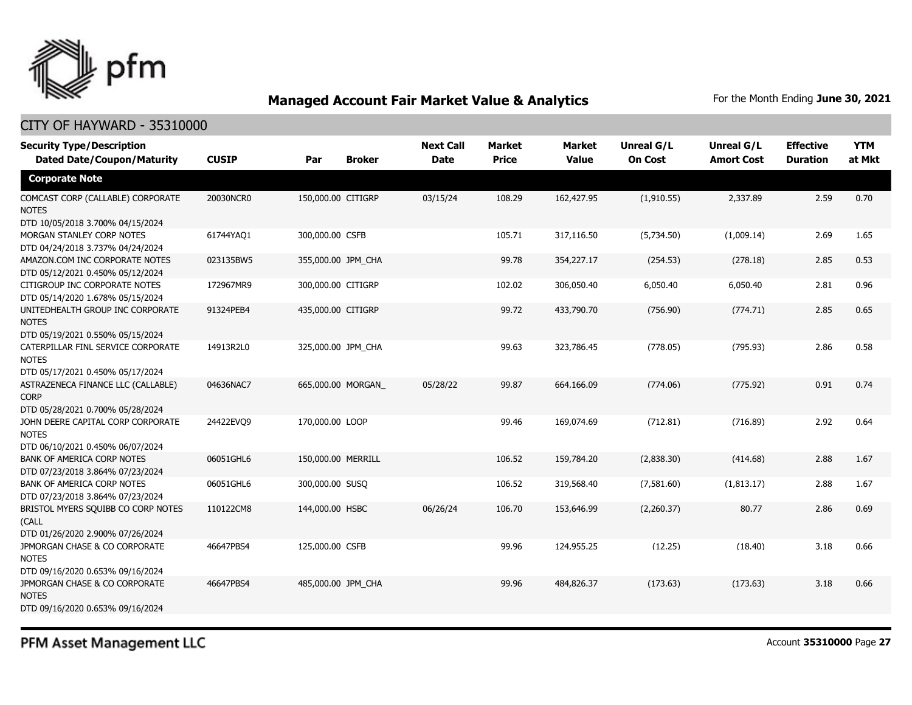

| <b>Security Type/Description</b><br><b>Dated Date/Coupon/Maturity</b>                  | <b>CUSIP</b> | <b>Broker</b><br>Par | <b>Next Call</b><br><b>Date</b> | <b>Market</b><br><b>Price</b> | <b>Market</b><br><b>Value</b> | <b>Unreal G/L</b><br><b>On Cost</b> | <b>Unreal G/L</b><br><b>Amort Cost</b> | <b>Effective</b><br><b>Duration</b> | <b>YTM</b><br>at Mkt |
|----------------------------------------------------------------------------------------|--------------|----------------------|---------------------------------|-------------------------------|-------------------------------|-------------------------------------|----------------------------------------|-------------------------------------|----------------------|
| <b>Corporate Note</b>                                                                  |              |                      |                                 |                               |                               |                                     |                                        |                                     |                      |
| COMCAST CORP (CALLABLE) CORPORATE<br><b>NOTES</b><br>DTD 10/05/2018 3.700% 04/15/2024  | 20030NCR0    | 150,000.00 CITIGRP   | 03/15/24                        | 108.29                        | 162,427.95                    | (1,910.55)                          | 2,337.89                               | 2.59                                | 0.70                 |
| MORGAN STANLEY CORP NOTES<br>DTD 04/24/2018 3.737% 04/24/2024                          | 61744YAQ1    | 300,000.00 CSFB      |                                 | 105.71                        | 317,116.50                    | (5,734.50)                          | (1,009.14)                             | 2.69                                | 1.65                 |
| AMAZON.COM INC CORPORATE NOTES<br>DTD 05/12/2021 0.450% 05/12/2024                     | 023135BW5    | 355,000.00 JPM_CHA   |                                 | 99.78                         | 354,227.17                    | (254.53)                            | (278.18)                               | 2.85                                | 0.53                 |
| CITIGROUP INC CORPORATE NOTES<br>DTD 05/14/2020 1.678% 05/15/2024                      | 172967MR9    | 300,000.00 CITIGRP   |                                 | 102.02                        | 306,050.40                    | 6,050.40                            | 6,050.40                               | 2.81                                | 0.96                 |
| UNITEDHEALTH GROUP INC CORPORATE<br><b>NOTES</b><br>DTD 05/19/2021 0.550% 05/15/2024   | 91324PEB4    | 435,000.00 CITIGRP   |                                 | 99.72                         | 433,790.70                    | (756.90)                            | (774.71)                               | 2.85                                | 0.65                 |
| CATERPILLAR FINL SERVICE CORPORATE<br><b>NOTES</b><br>DTD 05/17/2021 0.450% 05/17/2024 | 14913R2L0    | 325,000.00 JPM_CHA   |                                 | 99.63                         | 323,786.45                    | (778.05)                            | (795.93)                               | 2.86                                | 0.58                 |
| ASTRAZENECA FINANCE LLC (CALLABLE)<br><b>CORP</b><br>DTD 05/28/2021 0.700% 05/28/2024  | 04636NAC7    | 665,000.00 MORGAN    | 05/28/22                        | 99.87                         | 664,166.09                    | (774.06)                            | (775.92)                               | 0.91                                | 0.74                 |
| JOHN DEERE CAPITAL CORP CORPORATE<br><b>NOTES</b><br>DTD 06/10/2021 0.450% 06/07/2024  | 24422EVO9    | 170,000.00 LOOP      |                                 | 99.46                         | 169.074.69                    | (712.81)                            | (716.89)                               | 2.92                                | 0.64                 |
| BANK OF AMERICA CORP NOTES<br>DTD 07/23/2018 3.864% 07/23/2024                         | 06051GHL6    | 150,000.00 MERRILL   |                                 | 106.52                        | 159,784.20                    | (2,838.30)                          | (414.68)                               | 2.88                                | 1.67                 |
| <b>BANK OF AMERICA CORP NOTES</b><br>DTD 07/23/2018 3.864% 07/23/2024                  | 06051GHL6    | 300,000.00 SUSQ      |                                 | 106.52                        | 319,568.40                    | (7,581.60)                          | (1,813.17)                             | 2.88                                | 1.67                 |
| BRISTOL MYERS SQUIBB CO CORP NOTES<br>(CALL<br>DTD 01/26/2020 2.900% 07/26/2024        | 110122CM8    | 144,000.00 HSBC      | 06/26/24                        | 106.70                        | 153,646.99                    | (2,260.37)                          | 80.77                                  | 2.86                                | 0.69                 |
| JPMORGAN CHASE & CO CORPORATE<br><b>NOTES</b><br>DTD 09/16/2020 0.653% 09/16/2024      | 46647PBS4    | 125,000.00 CSFB      |                                 | 99.96                         | 124,955.25                    | (12.25)                             | (18.40)                                | 3.18                                | 0.66                 |
| JPMORGAN CHASE & CO CORPORATE<br><b>NOTES</b><br>DTD 09/16/2020 0.653% 09/16/2024      | 46647PBS4    | 485,000.00 JPM_CHA   |                                 | 99.96                         | 484,826.37                    | (173.63)                            | (173.63)                               | 3.18                                | 0.66                 |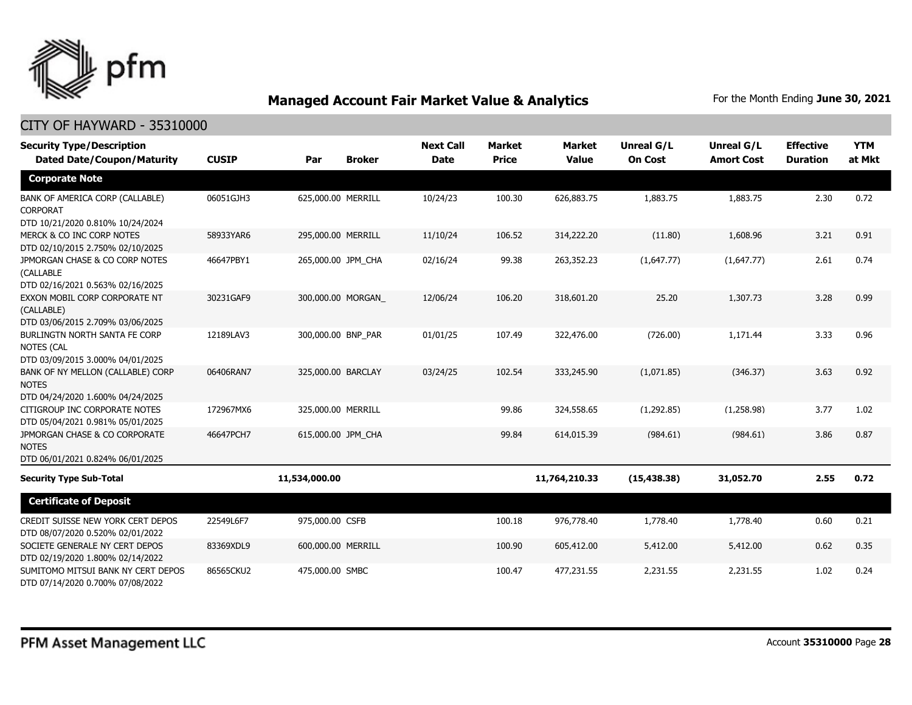

| <b>Security Type/Description</b><br><b>Dated Date/Coupon/Maturity</b>                  | <b>CUSIP</b> | Par                | <b>Broker</b> | <b>Next Call</b><br><b>Date</b> | <b>Market</b><br><b>Price</b> | <b>Market</b><br><b>Value</b> | Unreal G/L<br><b>On Cost</b> | Unreal G/L<br><b>Amort Cost</b> | <b>Effective</b><br><b>Duration</b> | <b>YTM</b><br>at Mkt |
|----------------------------------------------------------------------------------------|--------------|--------------------|---------------|---------------------------------|-------------------------------|-------------------------------|------------------------------|---------------------------------|-------------------------------------|----------------------|
| <b>Corporate Note</b>                                                                  |              |                    |               |                                 |                               |                               |                              |                                 |                                     |                      |
| BANK OF AMERICA CORP (CALLABLE)<br><b>CORPORAT</b><br>DTD 10/21/2020 0.810% 10/24/2024 | 06051GJH3    | 625,000.00 MERRILL |               | 10/24/23                        | 100.30                        | 626,883.75                    | 1,883.75                     | 1,883.75                        | 2.30                                | 0.72                 |
| MERCK & CO INC CORP NOTES<br>DTD 02/10/2015 2.750% 02/10/2025                          | 58933YAR6    | 295,000.00 MERRILL |               | 11/10/24                        | 106.52                        | 314,222.20                    | (11.80)                      | 1,608.96                        | 3.21                                | 0.91                 |
| JPMORGAN CHASE & CO CORP NOTES<br>(CALLABLE<br>DTD 02/16/2021 0.563% 02/16/2025        | 46647PBY1    | 265,000.00 JPM_CHA |               | 02/16/24                        | 99.38                         | 263,352.23                    | (1,647.77)                   | (1,647.77)                      | 2.61                                | 0.74                 |
| EXXON MOBIL CORP CORPORATE NT<br>(CALLABLE)<br>DTD 03/06/2015 2.709% 03/06/2025        | 30231GAF9    | 300,000.00 MORGAN  |               | 12/06/24                        | 106.20                        | 318,601.20                    | 25.20                        | 1,307.73                        | 3.28                                | 0.99                 |
| BURLINGTN NORTH SANTA FE CORP<br>NOTES (CAL<br>DTD 03/09/2015 3.000% 04/01/2025        | 12189LAV3    | 300,000.00 BNP PAR |               | 01/01/25                        | 107.49                        | 322,476.00                    | (726.00)                     | 1,171.44                        | 3.33                                | 0.96                 |
| BANK OF NY MELLON (CALLABLE) CORP<br><b>NOTES</b><br>DTD 04/24/2020 1.600% 04/24/2025  | 06406RAN7    | 325,000.00 BARCLAY |               | 03/24/25                        | 102.54                        | 333,245.90                    | (1,071.85)                   | (346.37)                        | 3.63                                | 0.92                 |
| CITIGROUP INC CORPORATE NOTES<br>DTD 05/04/2021 0.981% 05/01/2025                      | 172967MX6    | 325,000.00 MERRILL |               |                                 | 99.86                         | 324,558.65                    | (1,292.85)                   | (1,258.98)                      | 3.77                                | 1.02                 |
| JPMORGAN CHASE & CO CORPORATE<br><b>NOTES</b><br>DTD 06/01/2021 0.824% 06/01/2025      | 46647PCH7    | 615,000.00 JPM_CHA |               |                                 | 99.84                         | 614,015.39                    | (984.61)                     | (984.61)                        | 3.86                                | 0.87                 |
| <b>Security Type Sub-Total</b>                                                         |              | 11,534,000.00      |               |                                 |                               | 11,764,210.33                 | (15, 438.38)                 | 31,052.70                       | 2.55                                | 0.72                 |
| <b>Certificate of Deposit</b>                                                          |              |                    |               |                                 |                               |                               |                              |                                 |                                     |                      |
| CREDIT SUISSE NEW YORK CERT DEPOS<br>DTD 08/07/2020 0.520% 02/01/2022                  | 22549L6F7    | 975,000.00 CSFB    |               |                                 | 100.18                        | 976,778.40                    | 1,778.40                     | 1,778.40                        | 0.60                                | 0.21                 |
| SOCIETE GENERALE NY CERT DEPOS<br>DTD 02/19/2020 1.800% 02/14/2022                     | 83369XDL9    | 600,000.00 MERRILL |               |                                 | 100.90                        | 605,412.00                    | 5,412.00                     | 5,412.00                        | 0.62                                | 0.35                 |
| SUMITOMO MITSUI BANK NY CERT DEPOS<br>DTD 07/14/2020 0.700% 07/08/2022                 | 86565CKU2    | 475,000.00 SMBC    |               |                                 | 100.47                        | 477,231.55                    | 2,231.55                     | 2,231.55                        | 1.02                                | 0.24                 |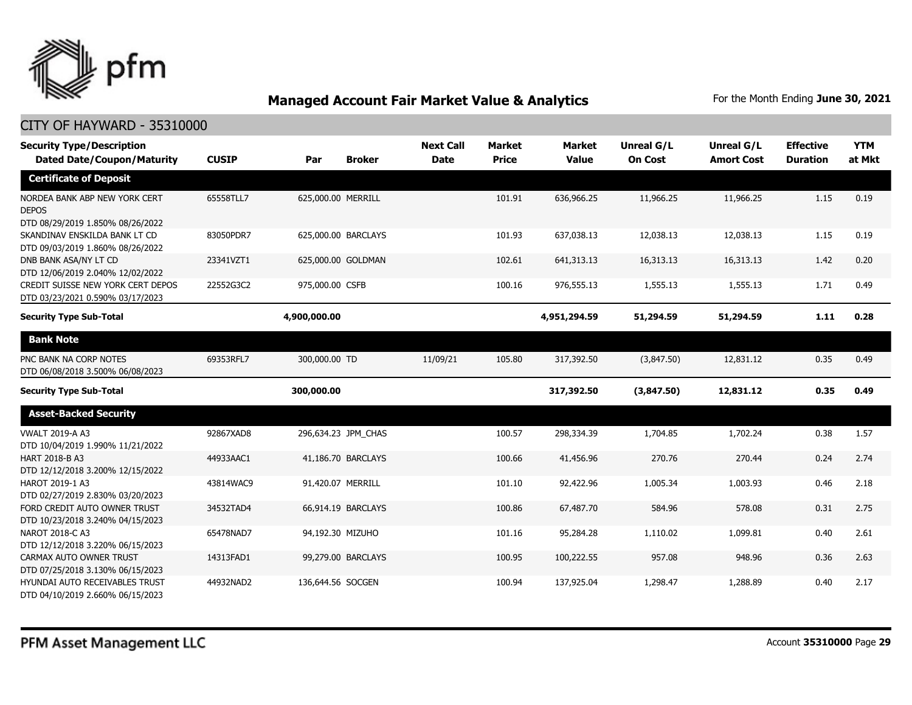

| <b>Security Type/Description</b><br><b>Dated Date/Coupon/Maturity</b>             | <b>CUSIP</b> | Par<br><b>Broker</b> | <b>Next Call</b><br><b>Date</b> | <b>Market</b><br><b>Price</b> | Market<br><b>Value</b> | <b>Unreal G/L</b><br><b>On Cost</b> | Unreal G/L<br><b>Amort Cost</b> | <b>Effective</b><br><b>Duration</b> | <b>YTM</b><br>at Mkt |
|-----------------------------------------------------------------------------------|--------------|----------------------|---------------------------------|-------------------------------|------------------------|-------------------------------------|---------------------------------|-------------------------------------|----------------------|
| <b>Certificate of Deposit</b>                                                     |              |                      |                                 |                               |                        |                                     |                                 |                                     |                      |
| NORDEA BANK ABP NEW YORK CERT<br><b>DEPOS</b><br>DTD 08/29/2019 1.850% 08/26/2022 | 65558TLL7    | 625,000.00 MERRILL   |                                 | 101.91                        | 636,966.25             | 11,966.25                           | 11,966.25                       | 1.15                                | 0.19                 |
| SKANDINAV ENSKILDA BANK LT CD<br>DTD 09/03/2019 1.860% 08/26/2022                 | 83050PDR7    | 625,000.00 BARCLAYS  |                                 | 101.93                        | 637,038.13             | 12,038.13                           | 12,038.13                       | 1.15                                | 0.19                 |
| DNB BANK ASA/NY LT CD<br>DTD 12/06/2019 2.040% 12/02/2022                         | 23341VZT1    | 625,000.00 GOLDMAN   |                                 | 102.61                        | 641,313.13             | 16,313.13                           | 16,313.13                       | 1.42                                | 0.20                 |
| CREDIT SUISSE NEW YORK CERT DEPOS<br>DTD 03/23/2021 0.590% 03/17/2023             | 22552G3C2    | 975,000.00 CSFB      |                                 | 100.16                        | 976,555.13             | 1,555.13                            | 1,555.13                        | 1.71                                | 0.49                 |
| <b>Security Type Sub-Total</b>                                                    |              | 4,900,000.00         |                                 |                               | 4,951,294.59           | 51,294.59                           | 51,294.59                       | 1.11                                | 0.28                 |
| <b>Bank Note</b>                                                                  |              |                      |                                 |                               |                        |                                     |                                 |                                     |                      |
| PNC BANK NA CORP NOTES<br>DTD 06/08/2018 3.500% 06/08/2023                        | 69353RFL7    | 300,000.00 TD        | 11/09/21                        | 105.80                        | 317,392.50             | (3,847.50)                          | 12,831.12                       | 0.35                                | 0.49                 |
| <b>Security Type Sub-Total</b>                                                    |              | 300,000.00           |                                 |                               | 317,392.50             | (3,847.50)                          | 12,831.12                       | 0.35                                | 0.49                 |
| <b>Asset-Backed Security</b>                                                      |              |                      |                                 |                               |                        |                                     |                                 |                                     |                      |
| <b>VWALT 2019-A A3</b><br>DTD 10/04/2019 1.990% 11/21/2022                        | 92867XAD8    | 296,634.23 JPM_CHAS  |                                 | 100.57                        | 298,334.39             | 1,704.85                            | 1,702.24                        | 0.38                                | 1.57                 |
| HART 2018-B A3<br>DTD 12/12/2018 3.200% 12/15/2022                                | 44933AAC1    | 41,186.70 BARCLAYS   |                                 | 100.66                        | 41,456.96              | 270.76                              | 270.44                          | 0.24                                | 2.74                 |
| HAROT 2019-1 A3<br>DTD 02/27/2019 2.830% 03/20/2023                               | 43814WAC9    | 91,420.07 MERRILL    |                                 | 101.10                        | 92,422.96              | 1,005.34                            | 1,003.93                        | 0.46                                | 2.18                 |
| FORD CREDIT AUTO OWNER TRUST<br>DTD 10/23/2018 3.240% 04/15/2023                  | 34532TAD4    | 66,914.19 BARCLAYS   |                                 | 100.86                        | 67,487.70              | 584.96                              | 578.08                          | 0.31                                | 2.75                 |
| <b>NAROT 2018-C A3</b><br>DTD 12/12/2018 3.220% 06/15/2023                        | 65478NAD7    | 94,192.30 MIZUHO     |                                 | 101.16                        | 95,284.28              | 1,110.02                            | 1,099.81                        | 0.40                                | 2.61                 |
| CARMAX AUTO OWNER TRUST<br>DTD 07/25/2018 3.130% 06/15/2023                       | 14313FAD1    | 99,279.00 BARCLAYS   |                                 | 100.95                        | 100,222.55             | 957.08                              | 948.96                          | 0.36                                | 2.63                 |
| HYUNDAI AUTO RECEIVABLES TRUST<br>DTD 04/10/2019 2.660% 06/15/2023                | 44932NAD2    | 136,644.56 SOCGEN    |                                 | 100.94                        | 137,925.04             | 1,298.47                            | 1,288.89                        | 0.40                                | 2.17                 |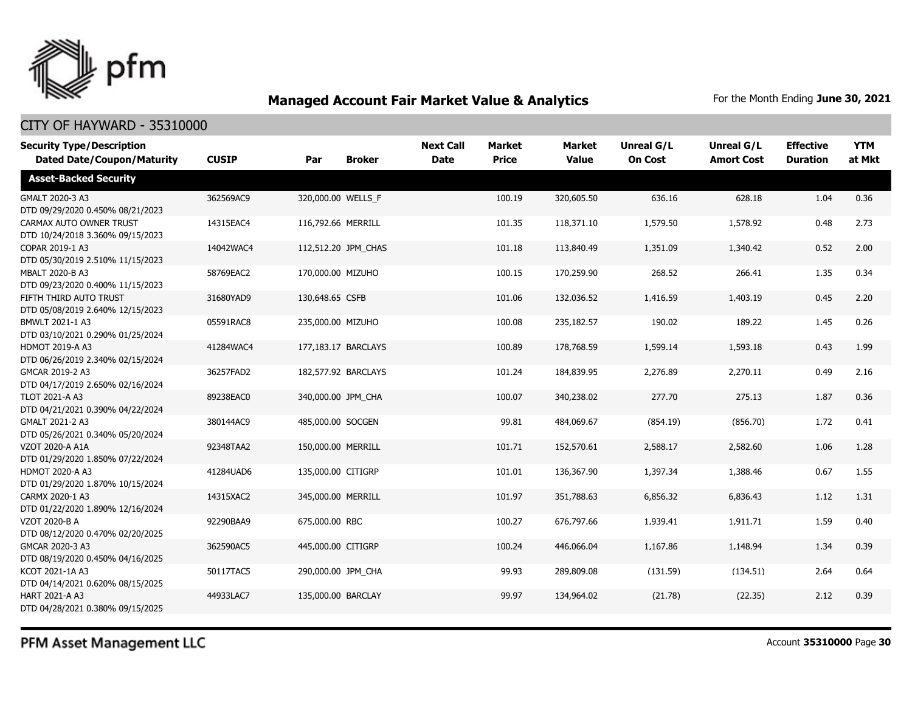

| <b>Security Type/Description</b><br><b>Dated Date/Coupon/Maturity</b> | <b>CUSIP</b> | Par                | <b>Broker</b>       | <b>Next Call</b><br><b>Date</b> | Market<br><b>Price</b> | <b>Market</b><br><b>Value</b> | <b>Unreal G/L</b><br><b>On Cost</b> | Unreal G/L<br><b>Amort Cost</b> | <b>Effective</b><br><b>Duration</b> | <b>YTM</b><br>at Mkt |
|-----------------------------------------------------------------------|--------------|--------------------|---------------------|---------------------------------|------------------------|-------------------------------|-------------------------------------|---------------------------------|-------------------------------------|----------------------|
| <b>Asset-Backed Security</b>                                          |              |                    |                     |                                 |                        |                               |                                     |                                 |                                     |                      |
| GMALT 2020-3 A3<br>DTD 09/29/2020 0.450% 08/21/2023                   | 362569AC9    |                    | 320,000.00 WELLS_F  |                                 | 100.19                 | 320,605.50                    | 636.16                              | 628.18                          | 1.04                                | 0.36                 |
| CARMAX AUTO OWNER TRUST<br>DTD 10/24/2018 3.360% 09/15/2023           | 14315EAC4    | 116,792.66 MERRILL |                     |                                 | 101.35                 | 118,371.10                    | 1,579.50                            | 1,578.92                        | 0.48                                | 2.73                 |
| COPAR 2019-1 A3<br>DTD 05/30/2019 2.510% 11/15/2023                   | 14042WAC4    |                    | 112,512.20 JPM_CHAS |                                 | 101.18                 | 113,840.49                    | 1,351.09                            | 1,340.42                        | 0.52                                | 2.00                 |
| MBALT 2020-B A3<br>DTD 09/23/2020 0.400% 11/15/2023                   | 58769EAC2    | 170,000.00 MIZUHO  |                     |                                 | 100.15                 | 170,259.90                    | 268.52                              | 266.41                          | 1.35                                | 0.34                 |
| FIFTH THIRD AUTO TRUST<br>DTD 05/08/2019 2.640% 12/15/2023            | 31680YAD9    | 130,648.65 CSFB    |                     |                                 | 101.06                 | 132,036.52                    | 1,416.59                            | 1,403.19                        | 0.45                                | 2.20                 |
| BMWLT 2021-1 A3<br>DTD 03/10/2021 0.290% 01/25/2024                   | 05591RAC8    | 235,000.00 MIZUHO  |                     |                                 | 100.08                 | 235,182.57                    | 190.02                              | 189.22                          | 1.45                                | 0.26                 |
| HDMOT 2019-A A3<br>DTD 06/26/2019 2.340% 02/15/2024                   | 41284WAC4    |                    | 177,183.17 BARCLAYS |                                 | 100.89                 | 178,768.59                    | 1,599.14                            | 1,593.18                        | 0.43                                | 1.99                 |
| GMCAR 2019-2 A3<br>DTD 04/17/2019 2.650% 02/16/2024                   | 36257FAD2    |                    | 182,577.92 BARCLAYS |                                 | 101.24                 | 184,839.95                    | 2,276.89                            | 2,270.11                        | 0.49                                | 2.16                 |
| <b>TLOT 2021-A A3</b><br>DTD 04/21/2021 0.390% 04/22/2024             | 89238EAC0    |                    | 340,000.00 JPM CHA  |                                 | 100.07                 | 340,238.02                    | 277.70                              | 275.13                          | 1.87                                | 0.36                 |
| GMALT 2021-2 A3<br>DTD 05/26/2021 0.340% 05/20/2024                   | 380144AC9    | 485,000.00 SOCGEN  |                     |                                 | 99.81                  | 484,069.67                    | (854.19)                            | (856.70)                        | 1.72                                | 0.41                 |
| <b>VZOT 2020-A A1A</b><br>DTD 01/29/2020 1.850% 07/22/2024            | 92348TAA2    | 150,000.00 MERRILL |                     |                                 | 101.71                 | 152,570.61                    | 2,588.17                            | 2,582.60                        | 1.06                                | 1.28                 |
| <b>HDMOT 2020-A A3</b><br>DTD 01/29/2020 1.870% 10/15/2024            | 41284UAD6    | 135,000.00 CITIGRP |                     |                                 | 101.01                 | 136,367.90                    | 1,397.34                            | 1,388.46                        | 0.67                                | 1.55                 |
| CARMX 2020-1 A3<br>DTD 01/22/2020 1.890% 12/16/2024                   | 14315XAC2    | 345,000.00 MERRILL |                     |                                 | 101.97                 | 351,788.63                    | 6,856.32                            | 6,836.43                        | 1.12                                | 1.31                 |
| VZOT 2020-B A<br>DTD 08/12/2020 0.470% 02/20/2025                     | 92290BAA9    | 675,000.00 RBC     |                     |                                 | 100.27                 | 676,797.66                    | 1,939.41                            | 1,911.71                        | 1.59                                | 0.40                 |
| GMCAR 2020-3 A3<br>DTD 08/19/2020 0.450% 04/16/2025                   | 362590AC5    | 445,000.00 CITIGRP |                     |                                 | 100.24                 | 446,066.04                    | 1,167.86                            | 1,148.94                        | 1.34                                | 0.39                 |
| KCOT 2021-1A A3<br>DTD 04/14/2021 0.620% 08/15/2025                   | 50117TAC5    |                    | 290,000.00 JPM_CHA  |                                 | 99.93                  | 289,809.08                    | (131.59)                            | (134.51)                        | 2.64                                | 0.64                 |
| <b>HART 2021-A A3</b><br>DTD 04/28/2021 0.380% 09/15/2025             | 44933LAC7    | 135,000.00 BARCLAY |                     |                                 | 99.97                  | 134,964.02                    | (21.78)                             | (22.35)                         | 2.12                                | 0.39                 |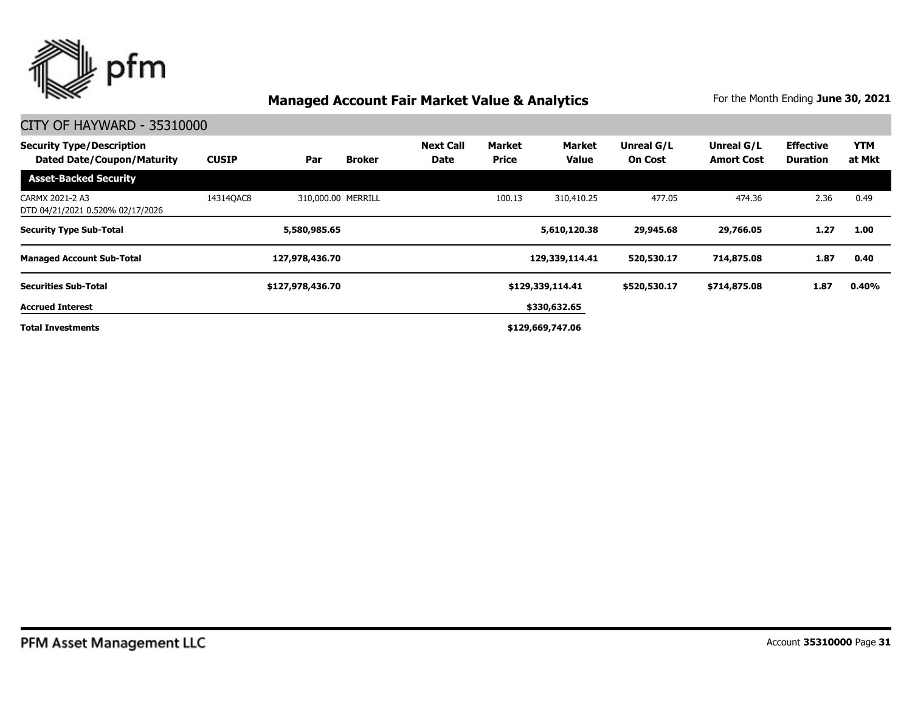

| <b>Security Type/Description</b><br><b>Dated Date/Coupon/Maturity</b> | <b>CUSIP</b> | Par                | <b>Broker</b> | <b>Next Call</b><br><b>Date</b> | Market<br><b>Price</b> | <b>Market</b><br><b>Value</b> | Unreal G/L<br><b>On Cost</b> | Unreal G/L<br><b>Amort Cost</b> | <b>Effective</b><br><b>Duration</b> | <b>YTM</b><br>at Mkt |
|-----------------------------------------------------------------------|--------------|--------------------|---------------|---------------------------------|------------------------|-------------------------------|------------------------------|---------------------------------|-------------------------------------|----------------------|
| <b>Asset-Backed Security</b>                                          |              |                    |               |                                 |                        |                               |                              |                                 |                                     |                      |
| CARMX 2021-2 A3<br>DTD 04/21/2021 0.520% 02/17/2026                   | 143140AC8    | 310,000.00 MERRILL |               |                                 | 100.13                 | 310,410.25                    | 477.05                       | 474.36                          | 2.36                                | 0.49                 |
| <b>Security Type Sub-Total</b>                                        |              | 5,580,985.65       |               |                                 |                        | 5,610,120.38                  | 29,945.68                    | 29,766.05                       | 1.27                                | 1.00                 |
| <b>Managed Account Sub-Total</b>                                      |              | 127,978,436.70     |               |                                 |                        | 129,339,114.41                | 520,530.17                   | 714,875.08                      | 1.87                                | 0.40                 |
| <b>Securities Sub-Total</b>                                           |              | \$127,978,436.70   |               |                                 |                        | \$129,339,114.41              | \$520,530.17                 | \$714,875.08                    | 1.87                                | 0.40%                |
| <b>Accrued Interest</b>                                               |              |                    |               |                                 |                        | \$330,632.65                  |                              |                                 |                                     |                      |
| <b>Total Investments</b>                                              |              |                    |               |                                 |                        | \$129,669,747.06              |                              |                                 |                                     |                      |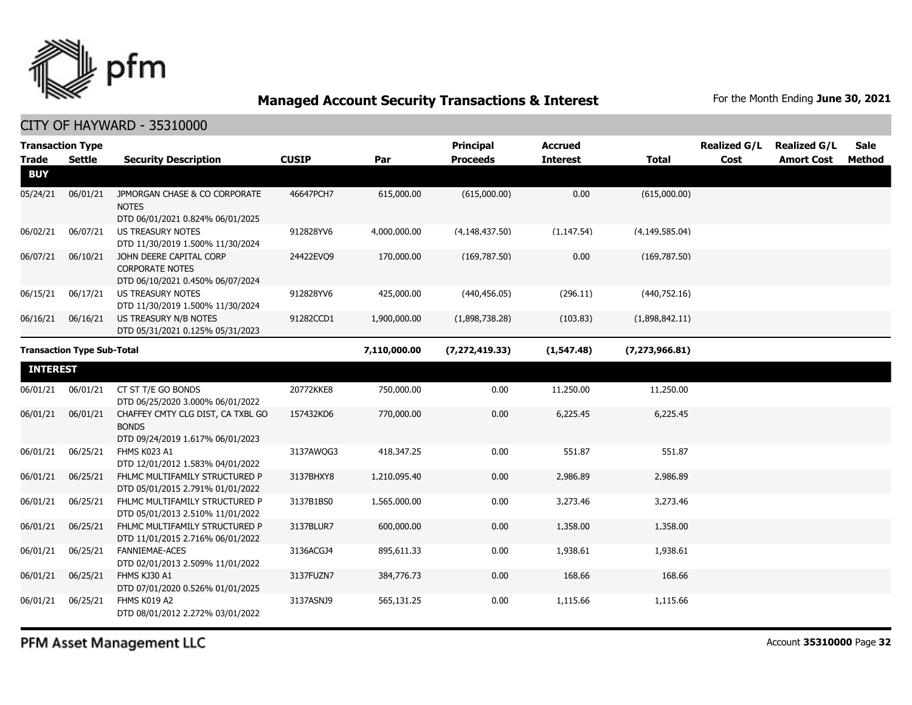

CITY OF HAYWARD - 35310000

| <b>Trade</b>    | <b>Transaction Type</b><br><b>Settle</b> | <b>Security Description</b>                                                           | <b>CUSIP</b> | Par          | <b>Principal</b><br><b>Proceeds</b> | <b>Accrued</b><br><b>Interest</b> | <b>Total</b>     | <b>Realized G/L</b><br>Cost | <b>Realized G/L</b><br><b>Amort Cost</b> | <b>Sale</b><br><b>Method</b> |
|-----------------|------------------------------------------|---------------------------------------------------------------------------------------|--------------|--------------|-------------------------------------|-----------------------------------|------------------|-----------------------------|------------------------------------------|------------------------------|
| <b>BUY</b>      |                                          |                                                                                       |              |              |                                     |                                   |                  |                             |                                          |                              |
| 05/24/21        | 06/01/21                                 | JPMORGAN CHASE & CO CORPORATE<br><b>NOTES</b><br>DTD 06/01/2021 0.824% 06/01/2025     | 46647PCH7    | 615,000.00   | (615,000.00)                        | 0.00                              | (615,000.00)     |                             |                                          |                              |
| 06/02/21        | 06/07/21                                 | <b>US TREASURY NOTES</b><br>DTD 11/30/2019 1.500% 11/30/2024                          | 912828YV6    | 4,000,000.00 | (4, 148, 437.50)                    | (1, 147.54)                       | (4, 149, 585.04) |                             |                                          |                              |
| 06/07/21        | 06/10/21                                 | JOHN DEERE CAPITAL CORP<br><b>CORPORATE NOTES</b><br>DTD 06/10/2021 0.450% 06/07/2024 | 24422EVO9    | 170,000.00   | (169, 787.50)                       | 0.00                              | (169, 787.50)    |                             |                                          |                              |
| 06/15/21        | 06/17/21                                 | <b>US TREASURY NOTES</b><br>DTD 11/30/2019 1.500% 11/30/2024                          | 912828YV6    | 425,000.00   | (440, 456.05)                       | (296.11)                          | (440,752.16)     |                             |                                          |                              |
| 06/16/21        | 06/16/21                                 | US TREASURY N/B NOTES<br>DTD 05/31/2021 0.125% 05/31/2023                             | 91282CCD1    | 1,900,000.00 | (1,898,738.28)                      | (103.83)                          | (1,898,842.11)   |                             |                                          |                              |
|                 | <b>Transaction Type Sub-Total</b>        |                                                                                       |              | 7,110,000.00 | (7, 272, 419.33)                    | (1, 547.48)                       | (7, 273, 966.81) |                             |                                          |                              |
| <b>INTEREST</b> |                                          |                                                                                       |              |              |                                     |                                   |                  |                             |                                          |                              |
| 06/01/21        | 06/01/21                                 | CT ST T/E GO BONDS<br>DTD 06/25/2020 3.000% 06/01/2022                                | 20772KKE8    | 750,000.00   | 0.00                                | 11,250.00                         | 11,250.00        |                             |                                          |                              |
| 06/01/21        | 06/01/21                                 | CHAFFEY CMTY CLG DIST, CA TXBL GO<br><b>BONDS</b><br>DTD 09/24/2019 1.617% 06/01/2023 | 157432KD6    | 770,000.00   | 0.00                                | 6,225.45                          | 6,225.45         |                             |                                          |                              |
| 06/01/21        | 06/25/21                                 | FHMS K023 A1<br>DTD 12/01/2012 1.583% 04/01/2022                                      | 3137AWOG3    | 418,347.25   | 0.00                                | 551.87                            | 551.87           |                             |                                          |                              |
| 06/01/21        | 06/25/21                                 | FHLMC MULTIFAMILY STRUCTURED P<br>DTD 05/01/2015 2.791% 01/01/2022                    | 3137BHXY8    | 1,210,095.40 | 0.00                                | 2,986.89                          | 2,986.89         |                             |                                          |                              |
| 06/01/21        | 06/25/21                                 | FHLMC MULTIFAMILY STRUCTURED P<br>DTD 05/01/2013 2.510% 11/01/2022                    | 3137B1BS0    | 1,565,000.00 | 0.00                                | 3,273.46                          | 3,273.46         |                             |                                          |                              |
| 06/01/21        | 06/25/21                                 | FHLMC MULTIFAMILY STRUCTURED P<br>DTD 11/01/2015 2.716% 06/01/2022                    | 3137BLUR7    | 600,000.00   | 0.00                                | 1,358.00                          | 1,358.00         |                             |                                          |                              |
| 06/01/21        | 06/25/21                                 | <b>FANNIEMAE-ACES</b><br>DTD 02/01/2013 2.509% 11/01/2022                             | 3136ACGJ4    | 895,611.33   | 0.00                                | 1,938.61                          | 1,938.61         |                             |                                          |                              |
| 06/01/21        | 06/25/21                                 | FHMS KJ30 A1<br>DTD 07/01/2020 0.526% 01/01/2025                                      | 3137FUZN7    | 384,776.73   | 0.00                                | 168.66                            | 168.66           |                             |                                          |                              |
| 06/01/21        | 06/25/21                                 | FHMS K019 A2<br>DTD 08/01/2012 2.272% 03/01/2022                                      | 3137ASNJ9    | 565,131.25   | 0.00                                | 1,115.66                          | 1,115.66         |                             |                                          |                              |

PFM Asset Management LLC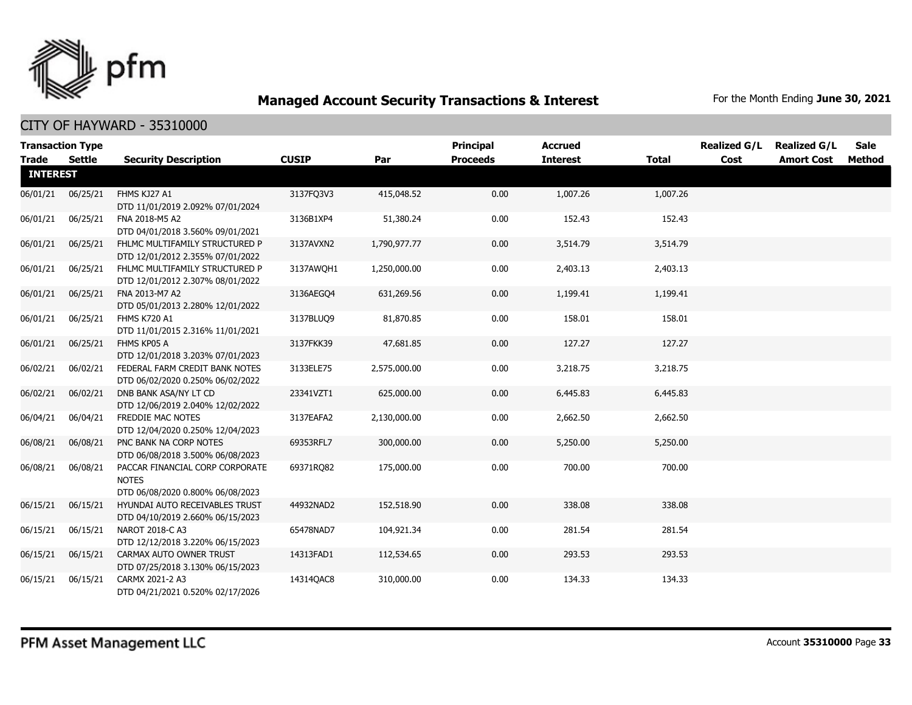

| <b>Transaction Type</b> |               |                                                                                     |              |              | <b>Principal</b> | <b>Accrued</b>  |              | <b>Realized G/L</b> | <b>Realized G/L</b> | Sale          |
|-------------------------|---------------|-------------------------------------------------------------------------------------|--------------|--------------|------------------|-----------------|--------------|---------------------|---------------------|---------------|
| <b>Trade</b>            | <b>Settle</b> | <b>Security Description</b>                                                         | <b>CUSIP</b> | Par          | <b>Proceeds</b>  | <b>Interest</b> | <b>Total</b> | Cost                | <b>Amort Cost</b>   | <b>Method</b> |
| <b>INTEREST</b>         |               |                                                                                     |              |              |                  |                 |              |                     |                     |               |
| 06/01/21                | 06/25/21      | FHMS KJ27 A1<br>DTD 11/01/2019 2.092% 07/01/2024                                    | 3137FQ3V3    | 415,048.52   | 0.00             | 1,007.26        | 1,007.26     |                     |                     |               |
| 06/01/21                | 06/25/21      | FNA 2018-M5 A2<br>DTD 04/01/2018 3.560% 09/01/2021                                  | 3136B1XP4    | 51,380.24    | 0.00             | 152.43          | 152.43       |                     |                     |               |
| 06/01/21                | 06/25/21      | FHLMC MULTIFAMILY STRUCTURED P<br>DTD 12/01/2012 2.355% 07/01/2022                  | 3137AVXN2    | 1,790,977.77 | 0.00             | 3,514.79        | 3,514.79     |                     |                     |               |
| 06/01/21                | 06/25/21      | FHLMC MULTIFAMILY STRUCTURED P<br>DTD 12/01/2012 2.307% 08/01/2022                  | 3137AWQH1    | 1,250,000.00 | 0.00             | 2,403.13        | 2,403.13     |                     |                     |               |
| 06/01/21                | 06/25/21      | FNA 2013-M7 A2<br>DTD 05/01/2013 2.280% 12/01/2022                                  | 3136AEGQ4    | 631,269.56   | 0.00             | 1,199.41        | 1,199.41     |                     |                     |               |
| 06/01/21                | 06/25/21      | <b>FHMS K720 A1</b><br>DTD 11/01/2015 2.316% 11/01/2021                             | 3137BLUQ9    | 81,870.85    | 0.00             | 158.01          | 158.01       |                     |                     |               |
| 06/01/21                | 06/25/21      | FHMS KP05 A<br>DTD 12/01/2018 3.203% 07/01/2023                                     | 3137FKK39    | 47,681.85    | 0.00             | 127.27          | 127.27       |                     |                     |               |
| 06/02/21                | 06/02/21      | FEDERAL FARM CREDIT BANK NOTES<br>DTD 06/02/2020 0.250% 06/02/2022                  | 3133ELE75    | 2,575,000.00 | 0.00             | 3,218.75        | 3,218.75     |                     |                     |               |
| 06/02/21                | 06/02/21      | DNB BANK ASA/NY LT CD<br>DTD 12/06/2019 2.040% 12/02/2022                           | 23341VZT1    | 625,000.00   | 0.00             | 6,445.83        | 6,445.83     |                     |                     |               |
| 06/04/21                | 06/04/21      | FREDDIE MAC NOTES<br>DTD 12/04/2020 0.250% 12/04/2023                               | 3137EAFA2    | 2,130,000.00 | 0.00             | 2,662.50        | 2,662.50     |                     |                     |               |
| 06/08/21                | 06/08/21      | PNC BANK NA CORP NOTES<br>DTD 06/08/2018 3.500% 06/08/2023                          | 69353RFL7    | 300,000.00   | 0.00             | 5,250.00        | 5,250.00     |                     |                     |               |
| 06/08/21                | 06/08/21      | PACCAR FINANCIAL CORP CORPORATE<br><b>NOTES</b><br>DTD 06/08/2020 0.800% 06/08/2023 | 69371RQ82    | 175,000.00   | 0.00             | 700.00          | 700.00       |                     |                     |               |
| 06/15/21                | 06/15/21      | HYUNDAI AUTO RECEIVABLES TRUST<br>DTD 04/10/2019 2.660% 06/15/2023                  | 44932NAD2    | 152,518.90   | 0.00             | 338.08          | 338.08       |                     |                     |               |
| 06/15/21                | 06/15/21      | NAROT 2018-C A3<br>DTD 12/12/2018 3.220% 06/15/2023                                 | 65478NAD7    | 104,921.34   | 0.00             | 281.54          | 281.54       |                     |                     |               |
| 06/15/21                | 06/15/21      | CARMAX AUTO OWNER TRUST<br>DTD 07/25/2018 3.130% 06/15/2023                         | 14313FAD1    | 112,534.65   | 0.00             | 293.53          | 293.53       |                     |                     |               |
| 06/15/21                | 06/15/21      | CARMX 2021-2 A3<br>DTD 04/21/2021 0.520% 02/17/2026                                 | 14314QAC8    | 310,000.00   | 0.00             | 134.33          | 134.33       |                     |                     |               |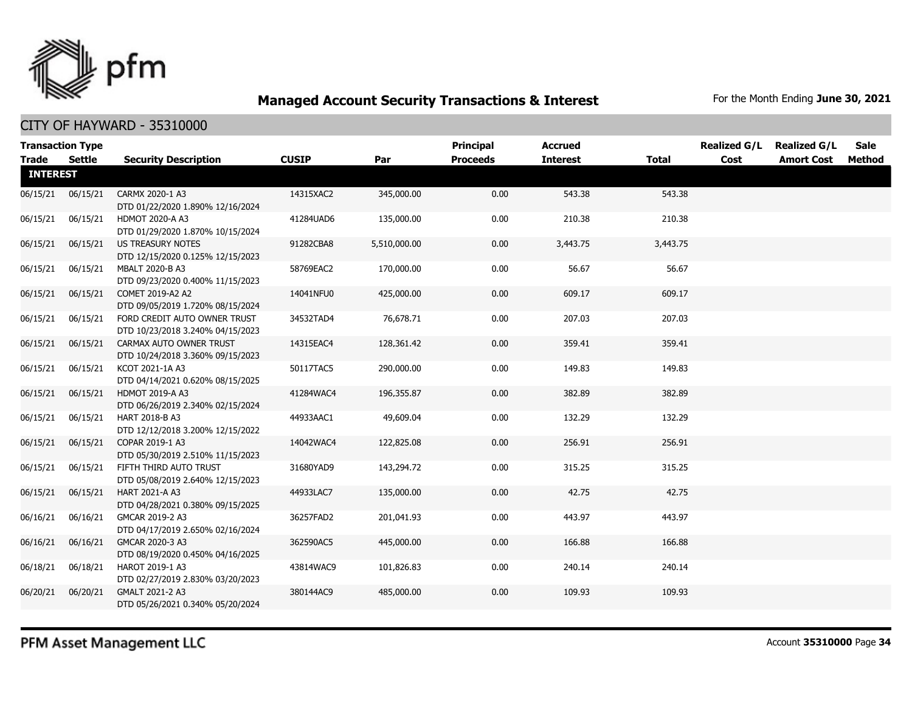

| <b>Transaction Type</b> |          |                                                                  |              |              | <b>Principal</b> | <b>Accrued</b>  |              | <b>Realized G/L</b> | <b>Realized G/L</b> | Sale   |
|-------------------------|----------|------------------------------------------------------------------|--------------|--------------|------------------|-----------------|--------------|---------------------|---------------------|--------|
| <b>Trade</b>            | Settle   | <b>Security Description</b>                                      | <b>CUSIP</b> | Par          | <b>Proceeds</b>  | <b>Interest</b> | <b>Total</b> | Cost                | <b>Amort Cost</b>   | Method |
| <b>INTEREST</b>         |          |                                                                  |              |              |                  |                 |              |                     |                     |        |
| 06/15/21                | 06/15/21 | CARMX 2020-1 A3<br>DTD 01/22/2020 1.890% 12/16/2024              | 14315XAC2    | 345,000.00   | 0.00             | 543.38          | 543.38       |                     |                     |        |
| 06/15/21                | 06/15/21 | <b>HDMOT 2020-A A3</b><br>DTD 01/29/2020 1.870% 10/15/2024       | 41284UAD6    | 135,000.00   | 0.00             | 210.38          | 210.38       |                     |                     |        |
| 06/15/21                | 06/15/21 | <b>US TREASURY NOTES</b><br>DTD 12/15/2020 0.125% 12/15/2023     | 91282CBA8    | 5,510,000.00 | 0.00             | 3,443.75        | 3,443.75     |                     |                     |        |
| 06/15/21                | 06/15/21 | MBALT 2020-B A3<br>DTD 09/23/2020 0.400% 11/15/2023              | 58769EAC2    | 170,000.00   | 0.00             | 56.67           | 56.67        |                     |                     |        |
| 06/15/21                | 06/15/21 | COMET 2019-A2 A2<br>DTD 09/05/2019 1.720% 08/15/2024             | 14041NFU0    | 425,000.00   | 0.00             | 609.17          | 609.17       |                     |                     |        |
| 06/15/21                | 06/15/21 | FORD CREDIT AUTO OWNER TRUST<br>DTD 10/23/2018 3.240% 04/15/2023 | 34532TAD4    | 76,678.71    | 0.00             | 207.03          | 207.03       |                     |                     |        |
| 06/15/21                | 06/15/21 | CARMAX AUTO OWNER TRUST<br>DTD 10/24/2018 3.360% 09/15/2023      | 14315EAC4    | 128,361.42   | 0.00             | 359.41          | 359.41       |                     |                     |        |
| 06/15/21                | 06/15/21 | KCOT 2021-1A A3<br>DTD 04/14/2021 0.620% 08/15/2025              | 50117TAC5    | 290,000.00   | 0.00             | 149.83          | 149.83       |                     |                     |        |
| 06/15/21                | 06/15/21 | <b>HDMOT 2019-A A3</b><br>DTD 06/26/2019 2.340% 02/15/2024       | 41284WAC4    | 196,355.87   | 0.00             | 382.89          | 382.89       |                     |                     |        |
| 06/15/21                | 06/15/21 | HART 2018-B A3<br>DTD 12/12/2018 3.200% 12/15/2022               | 44933AAC1    | 49,609.04    | 0.00             | 132.29          | 132.29       |                     |                     |        |
| 06/15/21                | 06/15/21 | COPAR 2019-1 A3<br>DTD 05/30/2019 2.510% 11/15/2023              | 14042WAC4    | 122,825.08   | 0.00             | 256.91          | 256.91       |                     |                     |        |
| 06/15/21                | 06/15/21 | FIFTH THIRD AUTO TRUST<br>DTD 05/08/2019 2.640% 12/15/2023       | 31680YAD9    | 143,294.72   | 0.00             | 315.25          | 315.25       |                     |                     |        |
| 06/15/21                | 06/15/21 | HART 2021-A A3<br>DTD 04/28/2021 0.380% 09/15/2025               | 44933LAC7    | 135,000.00   | 0.00             | 42.75           | 42.75        |                     |                     |        |
| 06/16/21                | 06/16/21 | GMCAR 2019-2 A3<br>DTD 04/17/2019 2.650% 02/16/2024              | 36257FAD2    | 201,041.93   | 0.00             | 443.97          | 443.97       |                     |                     |        |
| 06/16/21                | 06/16/21 | GMCAR 2020-3 A3<br>DTD 08/19/2020 0.450% 04/16/2025              | 362590AC5    | 445,000.00   | 0.00             | 166.88          | 166.88       |                     |                     |        |
| 06/18/21                | 06/18/21 | HAROT 2019-1 A3<br>DTD 02/27/2019 2.830% 03/20/2023              | 43814WAC9    | 101,826.83   | 0.00             | 240.14          | 240.14       |                     |                     |        |
| 06/20/21                | 06/20/21 | GMALT 2021-2 A3<br>DTD 05/26/2021 0.340% 05/20/2024              | 380144AC9    | 485,000.00   | 0.00             | 109.93          | 109.93       |                     |                     |        |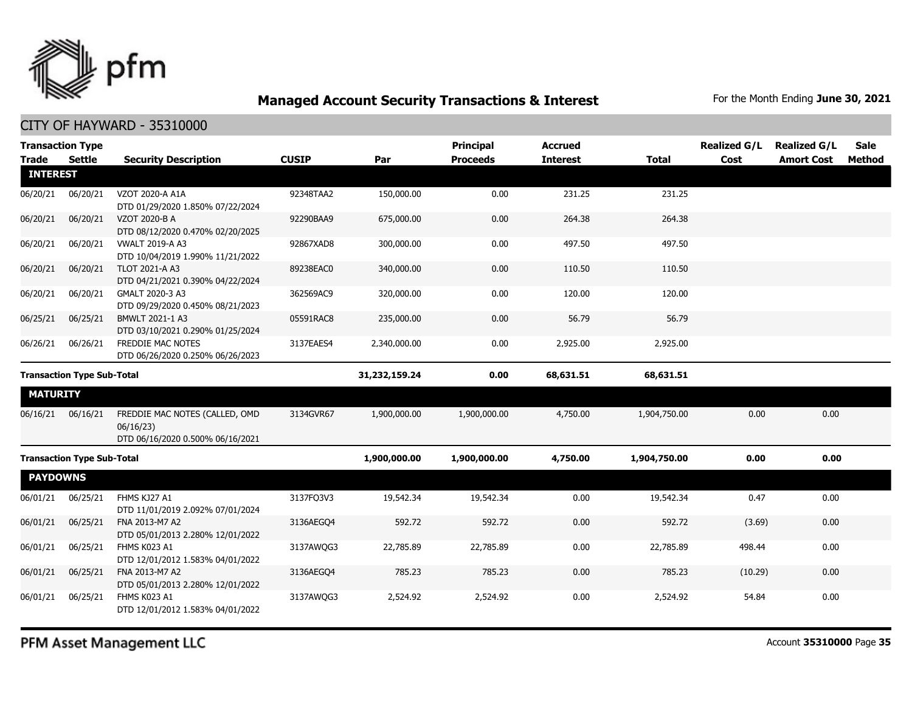

| <b>Trade</b>                      | <b>Transaction Type</b><br>Settle | <b>Security Description</b>                                                     | <b>CUSIP</b>  | Par          | <b>Principal</b><br><b>Proceeds</b> | <b>Accrued</b><br><b>Interest</b> | <b>Total</b> | <b>Realized G/L</b><br>Cost | <b>Realized G/L</b><br><b>Amort Cost</b> | <b>Sale</b><br><b>Method</b> |
|-----------------------------------|-----------------------------------|---------------------------------------------------------------------------------|---------------|--------------|-------------------------------------|-----------------------------------|--------------|-----------------------------|------------------------------------------|------------------------------|
| <b>INTEREST</b>                   |                                   |                                                                                 |               |              |                                     |                                   |              |                             |                                          |                              |
| 06/20/21                          | 06/20/21                          | VZOT 2020-A A1A<br>DTD 01/29/2020 1.850% 07/22/2024                             | 92348TAA2     | 150,000.00   | 0.00                                | 231.25                            | 231.25       |                             |                                          |                              |
| 06/20/21                          | 06/20/21                          | VZOT 2020-B A<br>DTD 08/12/2020 0.470% 02/20/2025                               | 92290BAA9     | 675,000.00   | 0.00                                | 264.38                            | 264.38       |                             |                                          |                              |
| 06/20/21                          | 06/20/21                          | <b>VWALT 2019-A A3</b><br>DTD 10/04/2019 1.990% 11/21/2022                      | 92867XAD8     | 300,000.00   | 0.00                                | 497.50                            | 497.50       |                             |                                          |                              |
| 06/20/21                          | 06/20/21                          | <b>TLOT 2021-A A3</b><br>DTD 04/21/2021 0.390% 04/22/2024                       | 89238EAC0     | 340,000.00   | 0.00                                | 110.50                            | 110.50       |                             |                                          |                              |
| 06/20/21                          | 06/20/21                          | GMALT 2020-3 A3<br>DTD 09/29/2020 0.450% 08/21/2023                             | 362569AC9     | 320,000.00   | 0.00                                | 120.00                            | 120.00       |                             |                                          |                              |
| 06/25/21                          | 06/25/21                          | BMWLT 2021-1 A3<br>DTD 03/10/2021 0.290% 01/25/2024                             | 05591RAC8     | 235,000.00   | 0.00                                | 56.79                             | 56.79        |                             |                                          |                              |
| 06/26/21                          | 06/26/21                          | FREDDIE MAC NOTES<br>DTD 06/26/2020 0.250% 06/26/2023                           | 3137EAES4     | 2,340,000.00 | 0.00                                | 2,925.00                          | 2,925.00     |                             |                                          |                              |
| <b>Transaction Type Sub-Total</b> |                                   |                                                                                 | 31,232,159.24 | 0.00         | 68,631.51                           | 68,631.51                         |              |                             |                                          |                              |
| <b>MATURITY</b>                   |                                   |                                                                                 |               |              |                                     |                                   |              |                             |                                          |                              |
| 06/16/21                          | 06/16/21                          | FREDDIE MAC NOTES (CALLED, OMD<br>06/16/23)<br>DTD 06/16/2020 0.500% 06/16/2021 | 3134GVR67     | 1,900,000.00 | 1,900,000.00                        | 4,750.00                          | 1,904,750.00 | 0.00                        | 0.00                                     |                              |
| <b>Transaction Type Sub-Total</b> |                                   |                                                                                 | 1,900,000.00  | 1,900,000.00 | 4,750.00                            | 1,904,750.00                      | 0.00         | 0.00                        |                                          |                              |
| <b>PAYDOWNS</b>                   |                                   |                                                                                 |               |              |                                     |                                   |              |                             |                                          |                              |
| 06/01/21                          | 06/25/21                          | FHMS KJ27 A1<br>DTD 11/01/2019 2.092% 07/01/2024                                | 3137FQ3V3     | 19,542.34    | 19,542.34                           | 0.00                              | 19,542.34    | 0.47                        | 0.00                                     |                              |
| 06/01/21                          | 06/25/21                          | FNA 2013-M7 A2<br>DTD 05/01/2013 2.280% 12/01/2022                              | 3136AEGO4     | 592.72       | 592.72                              | 0.00                              | 592.72       | (3.69)                      | 0.00                                     |                              |
| 06/01/21                          | 06/25/21                          | FHMS K023 A1<br>DTD 12/01/2012 1.583% 04/01/2022                                | 3137AWQG3     | 22,785.89    | 22,785.89                           | 0.00                              | 22,785.89    | 498.44                      | 0.00                                     |                              |
| 06/01/21                          | 06/25/21                          | FNA 2013-M7 A2<br>DTD 05/01/2013 2.280% 12/01/2022                              | 3136AEGO4     | 785.23       | 785.23                              | 0.00                              | 785.23       | (10.29)                     | 0.00                                     |                              |
| 06/01/21                          | 06/25/21                          | FHMS K023 A1<br>DTD 12/01/2012 1.583% 04/01/2022                                | 3137AWOG3     | 2,524.92     | 2,524.92                            | 0.00                              | 2,524.92     | 54.84                       | 0.00                                     |                              |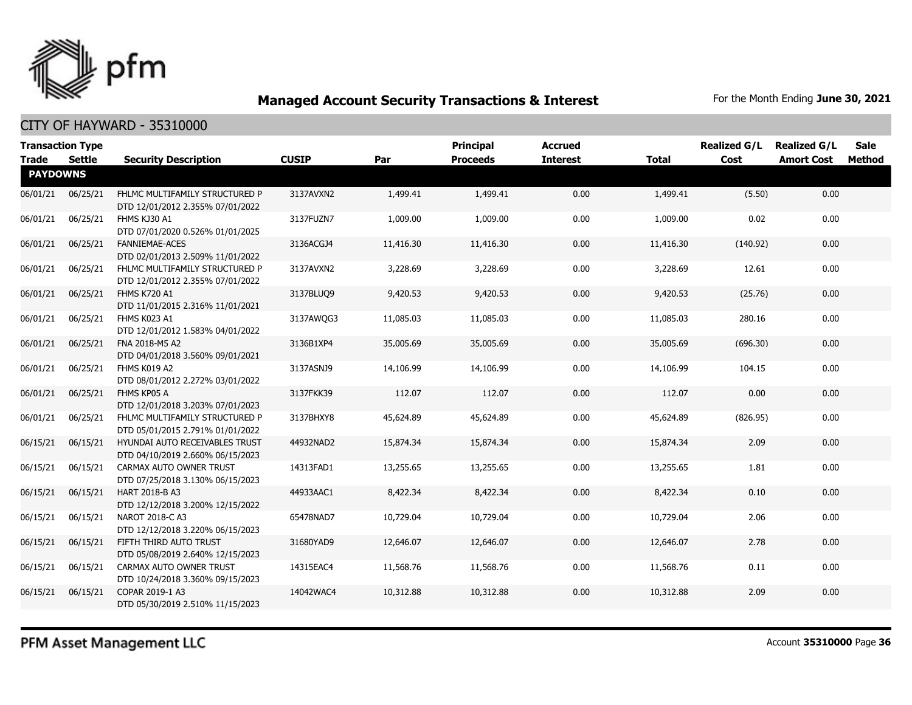

| <b>Transaction Type</b><br><b>Trade</b> | Settle   | <b>Security Description</b>                                        | <b>CUSIP</b> | Par       | <b>Principal</b><br><b>Proceeds</b> | <b>Accrued</b><br><b>Interest</b> | <b>Total</b> | <b>Realized G/L</b><br>Cost | <b>Realized G/L</b><br><b>Amort Cost</b> | Sale<br>Method |
|-----------------------------------------|----------|--------------------------------------------------------------------|--------------|-----------|-------------------------------------|-----------------------------------|--------------|-----------------------------|------------------------------------------|----------------|
| <b>PAYDOWNS</b>                         |          |                                                                    |              |           |                                     |                                   |              |                             |                                          |                |
| 06/01/21                                | 06/25/21 | FHLMC MULTIFAMILY STRUCTURED P<br>DTD 12/01/2012 2.355% 07/01/2022 | 3137AVXN2    | 1,499.41  | 1,499.41                            | 0.00                              | 1,499.41     | (5.50)                      | 0.00                                     |                |
| 06/01/21                                | 06/25/21 | FHMS KJ30 A1<br>DTD 07/01/2020 0.526% 01/01/2025                   | 3137FUZN7    | 1,009.00  | 1,009.00                            | 0.00                              | 1,009.00     | 0.02                        | 0.00                                     |                |
| 06/01/21                                | 06/25/21 | <b>FANNIEMAE-ACES</b><br>DTD 02/01/2013 2.509% 11/01/2022          | 3136ACGJ4    | 11,416.30 | 11,416.30                           | 0.00                              | 11,416.30    | (140.92)                    | 0.00                                     |                |
| 06/01/21                                | 06/25/21 | FHLMC MULTIFAMILY STRUCTURED P<br>DTD 12/01/2012 2.355% 07/01/2022 | 3137AVXN2    | 3,228.69  | 3,228.69                            | 0.00                              | 3,228.69     | 12.61                       | 0.00                                     |                |
| 06/01/21                                | 06/25/21 | <b>FHMS K720 A1</b><br>DTD 11/01/2015 2.316% 11/01/2021            | 3137BLUQ9    | 9,420.53  | 9,420.53                            | 0.00                              | 9,420.53     | (25.76)                     | 0.00                                     |                |
| 06/01/21                                | 06/25/21 | FHMS K023 A1<br>DTD 12/01/2012 1.583% 04/01/2022                   | 3137AWQG3    | 11,085.03 | 11,085.03                           | 0.00                              | 11,085.03    | 280.16                      | 0.00                                     |                |
| 06/01/21                                | 06/25/21 | FNA 2018-M5 A2<br>DTD 04/01/2018 3.560% 09/01/2021                 | 3136B1XP4    | 35,005.69 | 35,005.69                           | 0.00                              | 35,005.69    | (696.30)                    | 0.00                                     |                |
| 06/01/21                                | 06/25/21 | FHMS K019 A2<br>DTD 08/01/2012 2.272% 03/01/2022                   | 3137ASNJ9    | 14,106.99 | 14,106.99                           | 0.00                              | 14,106.99    | 104.15                      | 0.00                                     |                |
| 06/01/21                                | 06/25/21 | FHMS KP05 A<br>DTD 12/01/2018 3.203% 07/01/2023                    | 3137FKK39    | 112.07    | 112.07                              | 0.00                              | 112.07       | 0.00                        | 0.00                                     |                |
| 06/01/21                                | 06/25/21 | FHLMC MULTIFAMILY STRUCTURED P<br>DTD 05/01/2015 2.791% 01/01/2022 | 3137BHXY8    | 45,624.89 | 45,624.89                           | 0.00                              | 45,624.89    | (826.95)                    | 0.00                                     |                |
| 06/15/21                                | 06/15/21 | HYUNDAI AUTO RECEIVABLES TRUST<br>DTD 04/10/2019 2.660% 06/15/2023 | 44932NAD2    | 15,874.34 | 15,874.34                           | 0.00                              | 15,874.34    | 2.09                        | 0.00                                     |                |
| 06/15/21                                | 06/15/21 | CARMAX AUTO OWNER TRUST<br>DTD 07/25/2018 3.130% 06/15/2023        | 14313FAD1    | 13,255.65 | 13,255.65                           | 0.00                              | 13,255.65    | 1.81                        | 0.00                                     |                |
| 06/15/21                                | 06/15/21 | HART 2018-B A3<br>DTD 12/12/2018 3.200% 12/15/2022                 | 44933AAC1    | 8,422.34  | 8,422.34                            | 0.00                              | 8,422.34     | 0.10                        | 0.00                                     |                |
| 06/15/21                                | 06/15/21 | NAROT 2018-C A3<br>DTD 12/12/2018 3.220% 06/15/2023                | 65478NAD7    | 10,729.04 | 10,729.04                           | 0.00                              | 10,729.04    | 2.06                        | 0.00                                     |                |
| 06/15/21                                | 06/15/21 | FIFTH THIRD AUTO TRUST<br>DTD 05/08/2019 2.640% 12/15/2023         | 31680YAD9    | 12,646.07 | 12,646.07                           | 0.00                              | 12,646.07    | 2.78                        | 0.00                                     |                |
| 06/15/21                                | 06/15/21 | CARMAX AUTO OWNER TRUST<br>DTD 10/24/2018 3.360% 09/15/2023        | 14315EAC4    | 11,568.76 | 11,568.76                           | 0.00                              | 11,568.76    | 0.11                        | 0.00                                     |                |
| 06/15/21                                | 06/15/21 | COPAR 2019-1 A3<br>DTD 05/30/2019 2.510% 11/15/2023                | 14042WAC4    | 10,312.88 | 10,312.88                           | 0.00                              | 10,312.88    | 2.09                        | 0.00                                     |                |